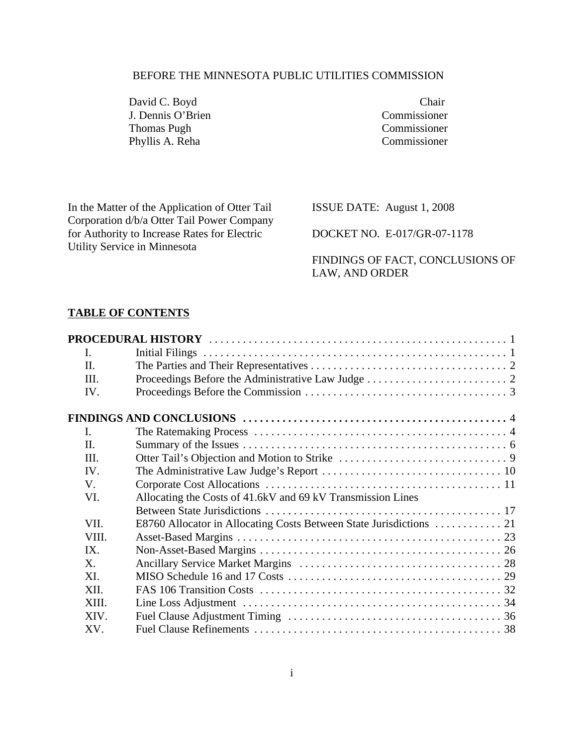#### BEFORE THE MINNESOTA PUBLIC UTILITIES COMMISSION

David C. Boyd Chair J. Dennis O'Brien Commissioner Thomas Pugh Commissioner Phyllis A. Reha Commissioner

In the Matter of the Application of Otter Tail Corporation d/b/a Otter Tail Power Company for Authority to Increase Rates for Electric Utility Service in Minnesota

ISSUE DATE: August 1, 2008

DOCKET NO. E-017/GR-07-1178

FINDINGS OF FACT, CONCLUSIONS OF LAW, AND ORDER

## **TABLE OF CONTENTS**

|       | PROCEDURAL HISTORY                                                  |
|-------|---------------------------------------------------------------------|
|       |                                                                     |
|       |                                                                     |
|       |                                                                     |
|       |                                                                     |
|       |                                                                     |
|       |                                                                     |
|       |                                                                     |
|       |                                                                     |
| IV.   |                                                                     |
|       |                                                                     |
|       | Allocating the Costs of 41.6kV and 69 kV Transmission Lines         |
|       |                                                                     |
| VII.  | E8760 Allocator in Allocating Costs Between State Jurisdictions  21 |
| VIII. |                                                                     |
| IX.   |                                                                     |
|       |                                                                     |
|       |                                                                     |
| XII.  |                                                                     |
| XIII. |                                                                     |
| XIV.  |                                                                     |
| XV.   |                                                                     |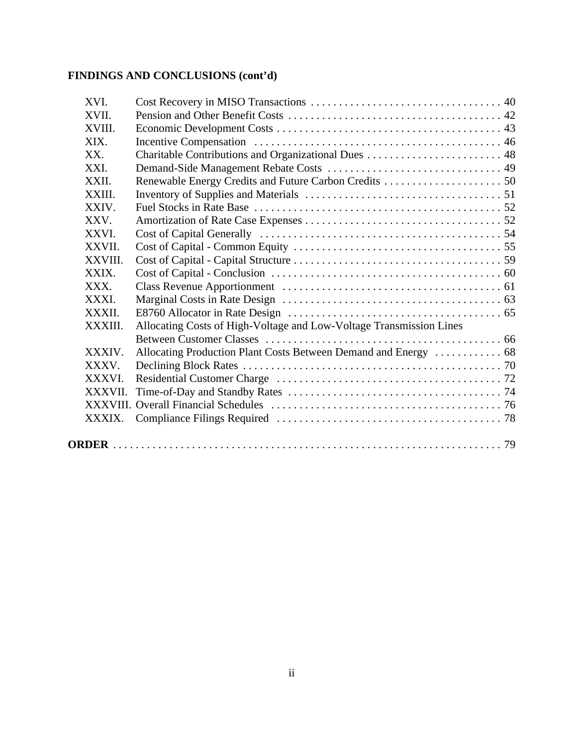# **FINDINGS AND CONCLUSIONS (cont'd)**

| XVI.        |                                                                     |  |
|-------------|---------------------------------------------------------------------|--|
| XVII.       |                                                                     |  |
| XVIII.      |                                                                     |  |
| XIX.        |                                                                     |  |
| XX.         |                                                                     |  |
| XXI.        |                                                                     |  |
| XXII.       |                                                                     |  |
| XXIII       |                                                                     |  |
| XXIV.       |                                                                     |  |
| XXV.        |                                                                     |  |
| <b>XXVI</b> |                                                                     |  |
| XXVII       |                                                                     |  |
| XXVIII      |                                                                     |  |
| XXIX.       |                                                                     |  |
| XXX.        |                                                                     |  |
| <b>XXXI</b> |                                                                     |  |
| XXXII       |                                                                     |  |
| XXXIII.     | Allocating Costs of High-Voltage and Low-Voltage Transmission Lines |  |
|             |                                                                     |  |
| XXXIV.      | Allocating Production Plant Costs Between Demand and Energy  68     |  |
| XXXV        |                                                                     |  |
| XXXVI.      |                                                                     |  |
| <b>XXXV</b> |                                                                     |  |
|             |                                                                     |  |
|             |                                                                     |  |
|             |                                                                     |  |
|             |                                                                     |  |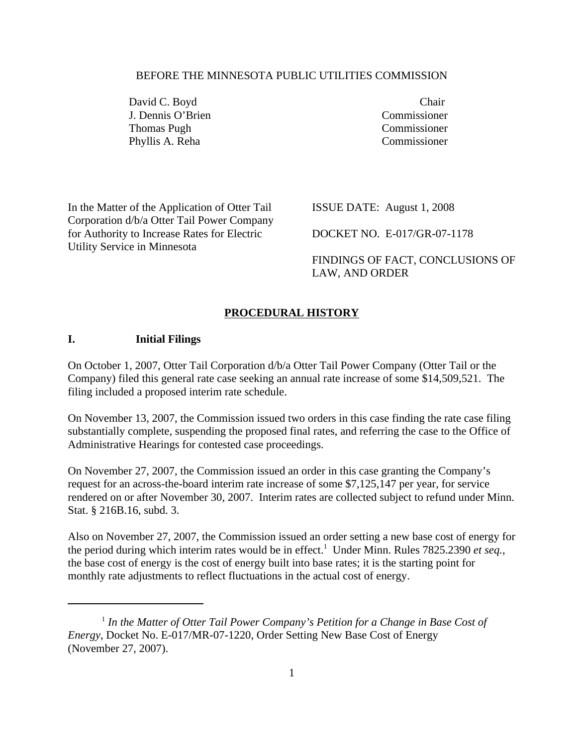#### BEFORE THE MINNESOTA PUBLIC UTILITIES COMMISSION

David C. Boyd Chair J. Dennis O'Brien Commissioner Thomas Pugh Commissioner Phyllis A. Reha Commissioner

In the Matter of the Application of Otter Tail Corporation d/b/a Otter Tail Power Company for Authority to Increase Rates for Electric Utility Service in Minnesota

ISSUE DATE: August 1, 2008

DOCKET NO. E-017/GR-07-1178

FINDINGS OF FACT, CONCLUSIONS OF LAW, AND ORDER

#### **PROCEDURAL HISTORY**

#### **I. Initial Filings**

On October 1, 2007, Otter Tail Corporation d/b/a Otter Tail Power Company (Otter Tail or the Company) filed this general rate case seeking an annual rate increase of some \$14,509,521. The filing included a proposed interim rate schedule.

On November 13, 2007, the Commission issued two orders in this case finding the rate case filing substantially complete, suspending the proposed final rates, and referring the case to the Office of Administrative Hearings for contested case proceedings.

On November 27, 2007, the Commission issued an order in this case granting the Company's request for an across-the-board interim rate increase of some \$7,125,147 per year, for service rendered on or after November 30, 2007. Interim rates are collected subject to refund under Minn. Stat. § 216B.16, subd. 3.

Also on November 27, 2007, the Commission issued an order setting a new base cost of energy for the period during which interim rates would be in effect.<sup>1</sup> Under Minn. Rules 7825.2390 *et seq.*, the base cost of energy is the cost of energy built into base rates; it is the starting point for monthly rate adjustments to reflect fluctuations in the actual cost of energy.

<sup>&</sup>lt;sup>1</sup> In the Matter of Otter Tail Power Company's Petition for a Change in Base Cost of *Energy*, Docket No. E-017/MR-07-1220, Order Setting New Base Cost of Energy (November 27, 2007).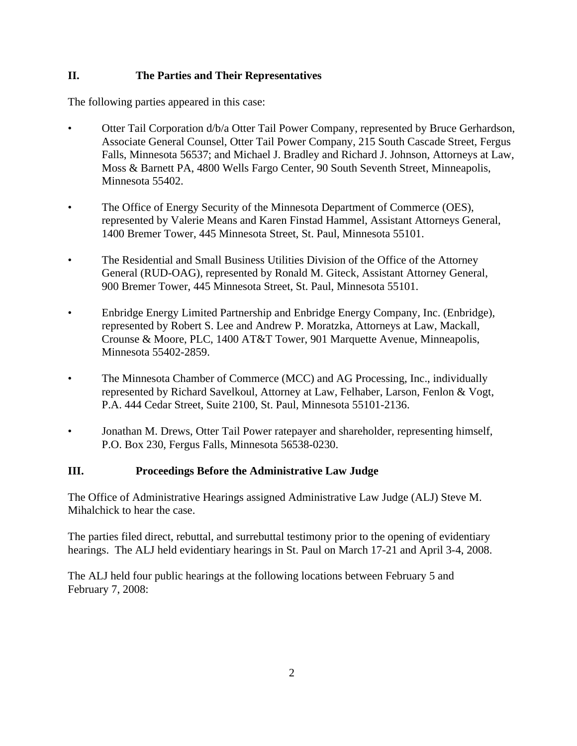#### **II. The Parties and Their Representatives**

The following parties appeared in this case:

- Otter Tail Corporation d/b/a Otter Tail Power Company, represented by Bruce Gerhardson, Associate General Counsel, Otter Tail Power Company, 215 South Cascade Street, Fergus Falls, Minnesota 56537; and Michael J. Bradley and Richard J. Johnson, Attorneys at Law, Moss & Barnett PA, 4800 Wells Fargo Center, 90 South Seventh Street, Minneapolis, Minnesota 55402.
- The Office of Energy Security of the Minnesota Department of Commerce (OES), represented by Valerie Means and Karen Finstad Hammel, Assistant Attorneys General, 1400 Bremer Tower, 445 Minnesota Street, St. Paul, Minnesota 55101.
- The Residential and Small Business Utilities Division of the Office of the Attorney General (RUD-OAG), represented by Ronald M. Giteck, Assistant Attorney General, 900 Bremer Tower, 445 Minnesota Street, St. Paul, Minnesota 55101.
- Enbridge Energy Limited Partnership and Enbridge Energy Company, Inc. (Enbridge), represented by Robert S. Lee and Andrew P. Moratzka, Attorneys at Law, Mackall, Crounse & Moore, PLC, 1400 AT&T Tower, 901 Marquette Avenue, Minneapolis, Minnesota 55402-2859.
- The Minnesota Chamber of Commerce (MCC) and AG Processing, Inc., individually represented by Richard Savelkoul, Attorney at Law, Felhaber, Larson, Fenlon & Vogt, P.A. 444 Cedar Street, Suite 2100, St. Paul, Minnesota 55101-2136.
- Jonathan M. Drews, Otter Tail Power ratepayer and shareholder, representing himself, P.O. Box 230, Fergus Falls, Minnesota 56538-0230.

#### **III. Proceedings Before the Administrative Law Judge**

The Office of Administrative Hearings assigned Administrative Law Judge (ALJ) Steve M. Mihalchick to hear the case.

The parties filed direct, rebuttal, and surrebuttal testimony prior to the opening of evidentiary hearings. The ALJ held evidentiary hearings in St. Paul on March 17-21 and April 3-4, 2008.

The ALJ held four public hearings at the following locations between February 5 and February 7, 2008: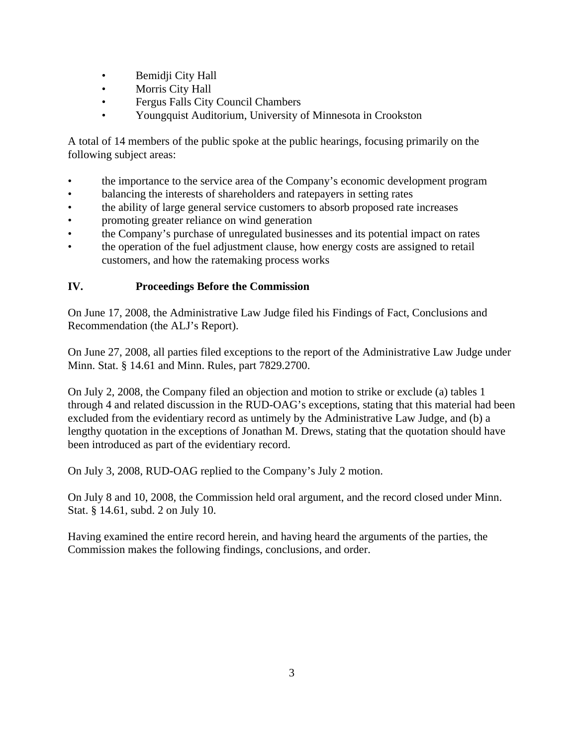- Bemidji City Hall
- Morris City Hall
- Fergus Falls City Council Chambers
- Youngquist Auditorium, University of Minnesota in Crookston

A total of 14 members of the public spoke at the public hearings, focusing primarily on the following subject areas:

- 
- 
- 
- 
- the importance to the service area of the Company's economic development program<br>balancing the interests of shareholders and ratepayers in setting rates<br>the ability of large general service customers to absorb proposed r
- the operation of the fuel adjustment clause, how energy costs are assigned to retail customers, and how the ratemaking process works

#### **IV. Proceedings Before the Commission**

On June 17, 2008, the Administrative Law Judge filed his Findings of Fact, Conclusions and Recommendation (the ALJ's Report).

On June 27, 2008, all parties filed exceptions to the report of the Administrative Law Judge under Minn. Stat. § 14.61 and Minn. Rules, part 7829.2700.

On July 2, 2008, the Company filed an objection and motion to strike or exclude (a) tables 1 through 4 and related discussion in the RUD-OAG's exceptions, stating that this material had been excluded from the evidentiary record as untimely by the Administrative Law Judge, and (b) a lengthy quotation in the exceptions of Jonathan M. Drews, stating that the quotation should have been introduced as part of the evidentiary record.

On July 3, 2008, RUD-OAG replied to the Company's July 2 motion.

On July 8 and 10, 2008, the Commission held oral argument, and the record closed under Minn. Stat. § 14.61, subd. 2 on July 10.

Having examined the entire record herein, and having heard the arguments of the parties, the Commission makes the following findings, conclusions, and order.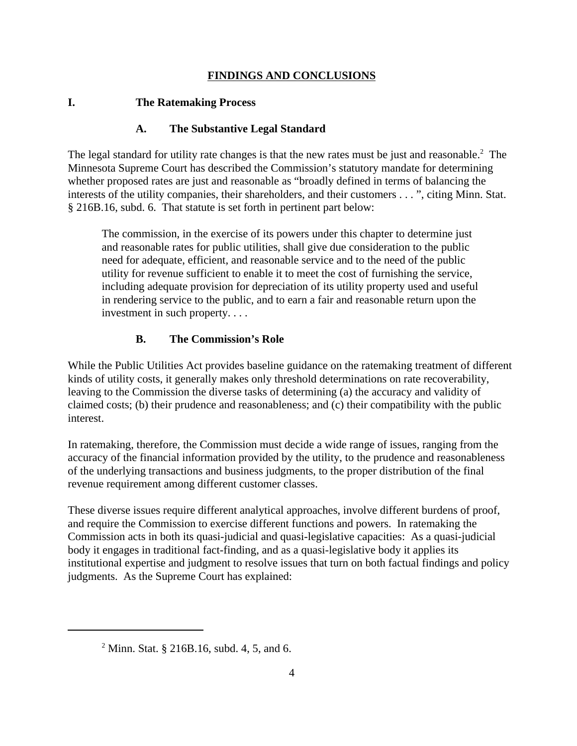#### **FINDINGS AND CONCLUSIONS**

#### **I. The Ratemaking Process**

#### **A. The Substantive Legal Standard**

The legal standard for utility rate changes is that the new rates must be just and reasonable.<sup>2</sup> The The state of  $\Gamma$ Minnesota Supreme Court has described the Commission's statutory mandate for determining whether proposed rates are just and reasonable as "broadly defined in terms of balancing the interests of the utility companies, their shareholders, and their customers . . . ", citing Minn. Stat. § 216B.16, subd. 6. That statute is set forth in pertinent part below:

The commission, in the exercise of its powers under this chapter to determine just and reasonable rates for public utilities, shall give due consideration to the public need for adequate, efficient, and reasonable service and to the need of the public utility for revenue sufficient to enable it to meet the cost of furnishing the service, including adequate provision for depreciation of its utility property used and useful in rendering service to the public, and to earn a fair and reasonable return upon the investment in such property. . . .

#### **B. The Commission's Role**

While the Public Utilities Act provides baseline guidance on the ratemaking treatment of different kinds of utility costs, it generally makes only threshold determinations on rate recoverability, leaving to the Commission the diverse tasks of determining (a) the accuracy and validity of claimed costs; (b) their prudence and reasonableness; and (c) their compatibility with the public interest.

In ratemaking, therefore, the Commission must decide a wide range of issues, ranging from the accuracy of the financial information provided by the utility, to the prudence and reasonableness of the underlying transactions and business judgments, to the proper distribution of the final revenue requirement among different customer classes.

These diverse issues require different analytical approaches, involve different burdens of proof, and require the Commission to exercise different functions and powers. In ratemaking the Commission acts in both its quasi-judicial and quasi-legislative capacities: As a quasi-judicial body it engages in traditional fact-finding, and as a quasi-legislative body it applies its institutional expertise and judgment to resolve issues that turn on both factual findings and policy judgments. As the Supreme Court has explained:

<sup>&</sup>lt;sup>2</sup> Minn. Stat. § 216B.16, subd. 4, 5, and 6.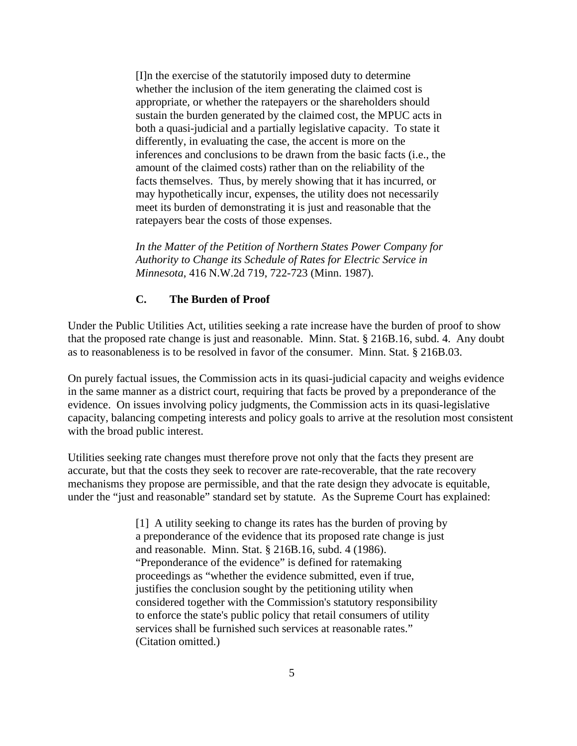[I]n the exercise of the statutorily imposed duty to determine whether the inclusion of the item generating the claimed cost is appropriate, or whether the ratepayers or the shareholders should sustain the burden generated by the claimed cost, the MPUC acts in both a quasi-judicial and a partially legislative capacity. To state it differently, in evaluating the case, the accent is more on the inferences and conclusions to be drawn from the basic facts (i.e., the amount of the claimed costs) rather than on the reliability of the facts themselves. Thus, by merely showing that it has incurred, or may hypothetically incur, expenses, the utility does not necessarily meet its burden of demonstrating it is just and reasonable that the ratepayers bear the costs of those expenses.

*In the Matter of the Petition of Northern States Power Company for Authority to Change its Schedule of Rates for Electric Service in Minnesota*, 416 N.W.2d 719, 722-723 (Minn. 1987).

#### **C. The Burden of Proof**

Under the Public Utilities Act, utilities seeking a rate increase have the burden of proof to show that the proposed rate change is just and reasonable. Minn. Stat. § 216B.16, subd. 4. Any doubt as to reasonableness is to be resolved in favor of the consumer. Minn. Stat. § 216B.03.

On purely factual issues, the Commission acts in its quasi-judicial capacity and weighs evidence in the same manner as a district court, requiring that facts be proved by a preponderance of the evidence. On issues involving policy judgments, the Commission acts in its quasi-legislative capacity, balancing competing interests and policy goals to arrive at the resolution most consistent with the broad public interest.

Utilities seeking rate changes must therefore prove not only that the facts they present are accurate, but that the costs they seek to recover are rate-recoverable, that the rate recovery mechanisms they propose are permissible, and that the rate design they advocate is equitable, under the "just and reasonable" standard set by statute. As the Supreme Court has explained:

> [1] A utility seeking to change its rates has the burden of proving by a preponderance of the evidence that its proposed rate change is just and reasonable. Minn. Stat. § 216B.16, subd. 4 (1986). "Preponderance of the evidence" is defined for ratemaking proceedings as "whether the evidence submitted, even if true, justifies the conclusion sought by the petitioning utility when considered together with the Commission's statutory responsibility to enforce the state's public policy that retail consumers of utility services shall be furnished such services at reasonable rates." (Citation omitted.)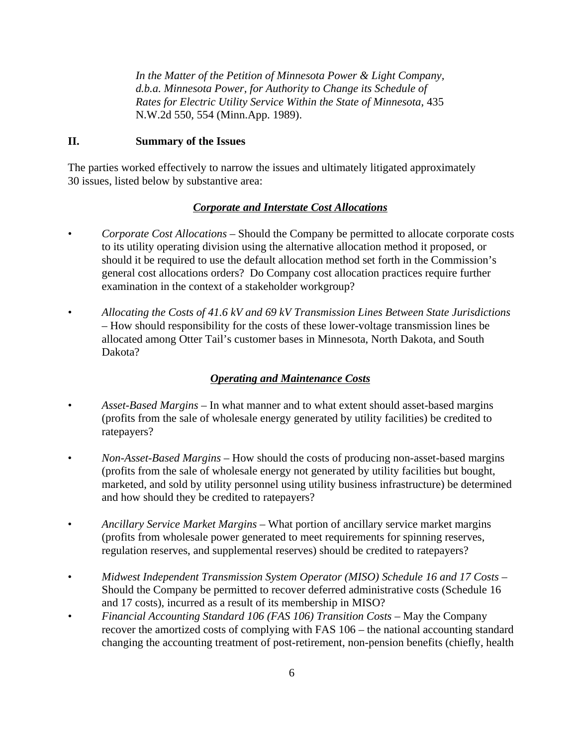*In the Matter of the Petition of Minnesota Power & Light Company, d.b.a. Minnesota Power, for Authority to Change its Schedule of Rates for Electric Utility Service Within the State of Minnesota*, 435 N.W.2d 550, 554 (Minn.App. 1989).

### **II. Summary of the Issues**

The parties worked effectively to narrow the issues and ultimately litigated approximately 30 issues, listed below by substantive area:

#### *Corporate and Interstate Cost Allocations*

- *• Corporate Cost Allocations* Should the Company be permitted to allocate corporate costs to its utility operating division using the alternative allocation method it proposed, or should it be required to use the default allocation method set forth in the Commission's general cost allocations orders? Do Company cost allocation practices require further examination in the context of a stakeholder workgroup?
- *• Allocating the Costs of 41.6 kV and 69 kV Transmission Lines Between State Jurisdictions* – How should responsibility for the costs of these lower-voltage transmission lines be allocated among Otter Tail's customer bases in Minnesota, North Dakota, and South Dakota?

# *Operating and Maintenance Costs*

- *• Asset-Based Margins* In what manner and to what extent should asset-based margins (profits from the sale of wholesale energy generated by utility facilities) be credited to
- ratepayers? *Non-Asset-Based Margins* How should the costs of producing non-asset-based margins (profits from the sale of wholesale energy not generated by utility facilities but bought, marketed, and sold by utility personnel using utility business infrastructure) be determined and how should they be credited to ratepayers?
- *Ancillary Service Market Margins* What portion of ancillary service market margins (profits from wholesale power generated to meet requirements for spinning reserves,
- regulation reserves, and supplemental reserves) should be credited to ratepayers? *Midwest Independent Transmission System Operator (MISO) Schedule 16 and 17 Costs* Should the Company be permitted to recover deferred administrative costs (Schedule 16 and 17 costs), incurred as a result of its membership in MISO?
- *• Financial Accounting Standard 106 (FAS 106) Transition Costs* May the Company recover the amortized costs of complying with FAS 106 – the national accounting standard changing the accounting treatment of post-retirement, non-pension benefits (chiefly, health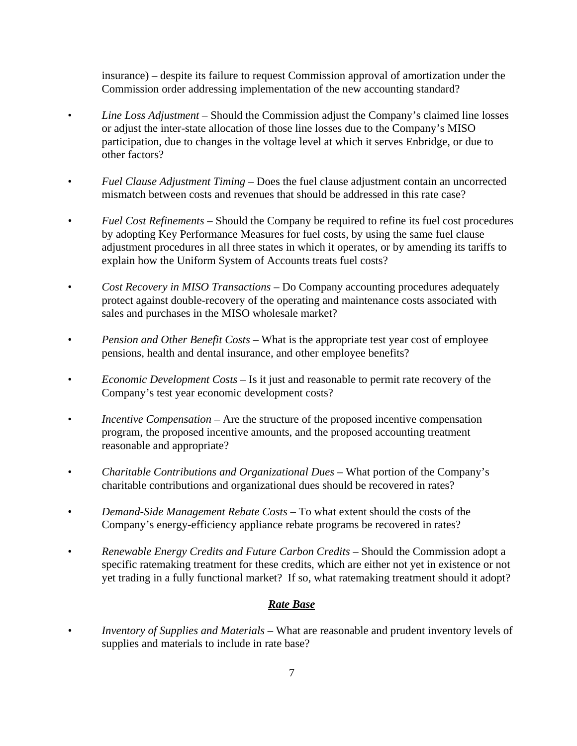insurance) – despite its failure to request Commission approval of amortization under the Commission order addressing implementation of the new accounting standard?

- *Line Loss Adjustment* Should the Commission adjust the Company's claimed line losses or adjust the inter-state allocation of those line losses due to the Company's MISO participation, due to changes in the voltage level at which it serves Enbridge, or due to other factors?
- *Fuel Clause Adjustment Timing* Does the fuel clause adjustment contain an uncorrected mismatch between costs and revenues that should be addressed in this rate case?
- *• Fuel Cost Refinements* Should the Company be required to refine its fuel cost procedures by adopting Key Performance Measures for fuel costs, by using the same fuel clause adjustment procedures in all three states in which it operates, or by amending its tariffs to explain how the Uniform System of Accounts treats fuel costs?
- *Cost Recovery in MISO Transactions* Do Company accounting procedures adequately protect against double-recovery of the operating and maintenance costs associated with sales and purchases in the MISO wholesale market?
- *Pension and Other Benefit Costs* What is the appropriate test year cost of employee pensions, health and dental insurance, and other employee benefits?
- *Economic Development Costs* Is it just and reasonable to permit rate recovery of the Company's test year economic development costs?
- *Incentive Compensation* Are the structure of the proposed incentive compensation program, the proposed incentive amounts, and the proposed accounting treatment reasonable and appropriate?
- *Charitable Contributions and Organizational Dues* What portion of the Company's charitable contributions and organizational dues should be recovered in rates?
- *Demand-Side Management Rebate Costs –* To what extent should the costs of the Company's energy-efficiency appliance rebate programs be recovered in rates?
- *Renewable Energy Credits and Future Carbon Credits* Should the Commission adopt a specific ratemaking treatment for these credits, which are either not yet in existence or not yet trading in a fully functional market? If so, what ratemaking treatment should it adopt?

#### *Rate Base*

*• Inventory of Supplies and Materials* – What are reasonable and prudent inventory levels of supplies and materials to include in rate base?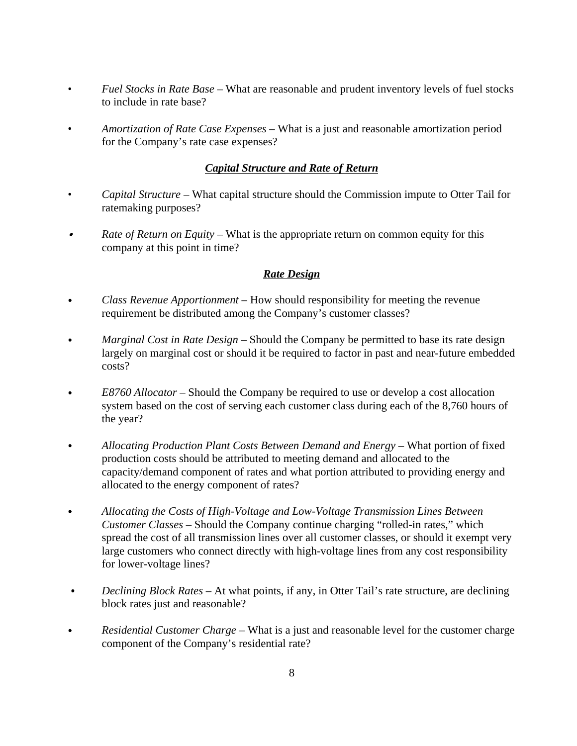- *Fuel Stocks in Rate Base* What are reasonable and prudent inventory levels of fuel stocks to include in rate base?
- *Amortization of Rate Case Expenses* What is a just and reasonable amortization period for the Company's rate case expenses?

#### *Capital Structure and Rate of Return*

- *Capital Structure –* What capital structure should the Commission impute to Otter Tail for ratemaking purposes?
- *Rate of Return on Equity* What is the appropriate return on common equity for this  $\bullet$ company at this point in time?

#### *Rate Design*

- *Class Revenue Apportionment –* How should responsibility for meeting the revenue  $\bullet$ requirement be distributed among the Company's customer classes?
- *Marginal Cost in Rate Design* Should the Company be permitted to base its rate design  $\bullet$ largely on marginal cost or should it be required to factor in past and near-future embedded costs?
- *E8760 Allocator* Should the Company be required to use or develop a cost allocation system based on the cost of serving each customer class during each of the 8,760 hours of the year?
- $\bullet$ *Allocating Production Plant Costs Between Demand and Energy* – What portion of fixed production costs should be attributed to meeting demand and allocated to the capacity/demand component of rates and what portion attributed to providing energy and allocated to the energy component of rates?
- *Allocating the Costs of High-Voltage and Low-Voltage Transmission Lines Between*  $\bullet$ *Customer Classes* – Should the Company continue charging "rolled-in rates," which spread the cost of all transmission lines over all customer classes, or should it exempt very large customers who connect directly with high-voltage lines from any cost responsibility for lower-voltage lines?
- *Declining Block Rates* At what points, if any, in Otter Tail's rate structure, are declining  $\bullet$ block rates just and reasonable?
- *Residential Customer Charge* What is a just and reasonable level for the customer charge  $\bullet$ component of the Company's residential rate?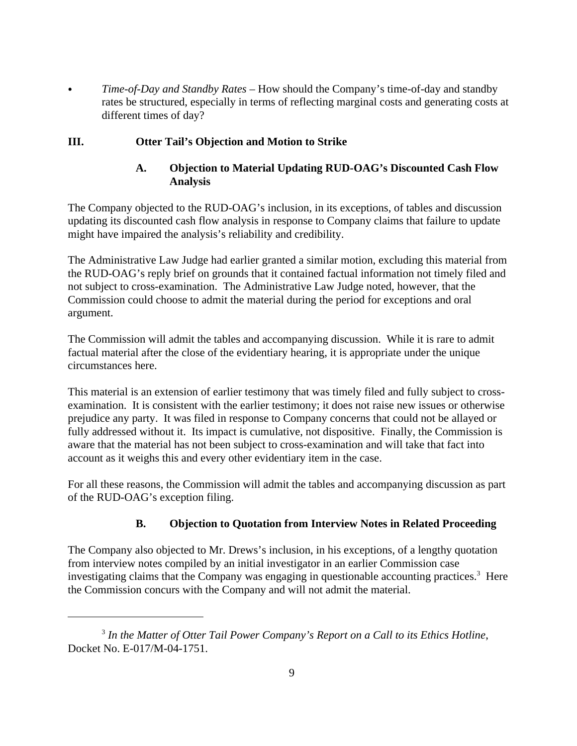*Time-of-Day and Standby Rates* – How should the Company's time-of-day and standby rates be structured, especially in terms of reflecting marginal costs and generating costs at different times of day?

### **III. Otter Tail's Objection and Motion to Strike**

## **A. Objection to Material Updating RUD-OAG's Discounted Cash Flow Analysis**

The Company objected to the RUD-OAG's inclusion, in its exceptions, of tables and discussion updating its discounted cash flow analysis in response to Company claims that failure to update might have impaired the analysis's reliability and credibility.

The Administrative Law Judge had earlier granted a similar motion, excluding this material from the RUD-OAG's reply brief on grounds that it contained factual information not timely filed and not subject to cross-examination. The Administrative Law Judge noted, however, that the Commission could choose to admit the material during the period for exceptions and oral argument.

The Commission will admit the tables and accompanying discussion. While it is rare to admit factual material after the close of the evidentiary hearing, it is appropriate under the unique circumstances here.

This material is an extension of earlier testimony that was timely filed and fully subject to crossexamination. It is consistent with the earlier testimony; it does not raise new issues or otherwise prejudice any party. It was filed in response to Company concerns that could not be allayed or fully addressed without it. Its impact is cumulative, not dispositive. Finally, the Commission is aware that the material has not been subject to cross-examination and will take that fact into account as it weighs this and every other evidentiary item in the case.

For all these reasons, the Commission will admit the tables and accompanying discussion as part of the RUD-OAG's exception filing.

# **B. Objection to Quotation from Interview Notes in Related Proceeding**

The Company also objected to Mr. Drews's inclusion, in his exceptions, of a lengthy quotation from interview notes compiled by an initial investigator in an earlier Commission case investigating claims that the Company was engaging in questionable accounting practices.<sup>3</sup> Here **Here** the Commission concurs with the Company and will not admit the material.

<sup>3</sup> *In the Matter of Otter Tail Power Company's Report on a Call to its Ethics Hotline*, Docket No. E-017/M-04-1751.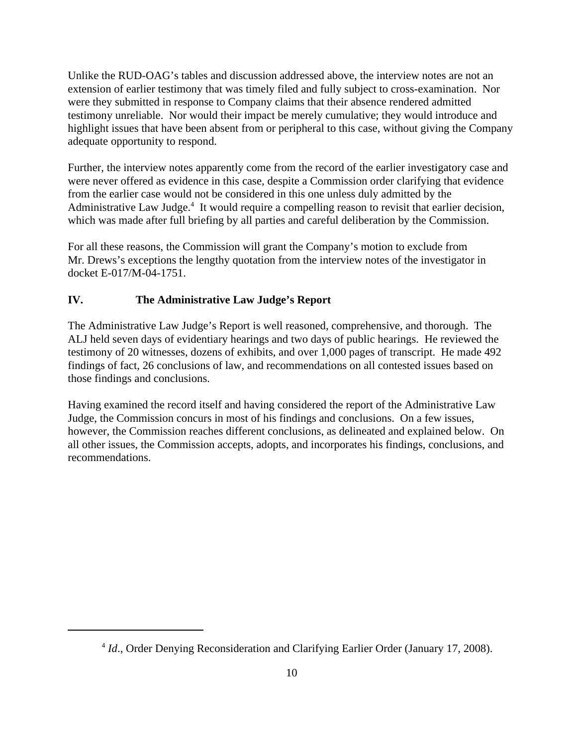Unlike the RUD-OAG's tables and discussion addressed above, the interview notes are not an extension of earlier testimony that was timely filed and fully subject to cross-examination. Nor were they submitted in response to Company claims that their absence rendered admitted testimony unreliable. Nor would their impact be merely cumulative; they would introduce and highlight issues that have been absent from or peripheral to this case, without giving the Company adequate opportunity to respond.

Further, the interview notes apparently come from the record of the earlier investigatory case and were never offered as evidence in this case, despite a Commission order clarifying that evidence from the earlier case would not be considered in this one unless duly admitted by the Administrative Law Judge.<sup>4</sup> It would require a compelling reason to revisit that earlier decision, which was made after full briefing by all parties and careful deliberation by the Commission.

For all these reasons, the Commission will grant the Company's motion to exclude from Mr. Drews's exceptions the lengthy quotation from the interview notes of the investigator in docket E-017/M-04-1751.

## **IV. The Administrative Law Judge's Report**

The Administrative Law Judge's Report is well reasoned, comprehensive, and thorough. The ALJ held seven days of evidentiary hearings and two days of public hearings. He reviewed the testimony of 20 witnesses, dozens of exhibits, and over 1,000 pages of transcript. He made 492 findings of fact, 26 conclusions of law, and recommendations on all contested issues based on those findings and conclusions.

Having examined the record itself and having considered the report of the Administrative Law Judge, the Commission concurs in most of his findings and conclusions. On a few issues, however, the Commission reaches different conclusions, as delineated and explained below. On all other issues, the Commission accepts, adopts, and incorporates his findings, conclusions, and recommendations.

<sup>&</sup>lt;sup>4</sup> *Id.*, Order Denying Reconsideration and Clarifying Earlier Order (January 17, 2008).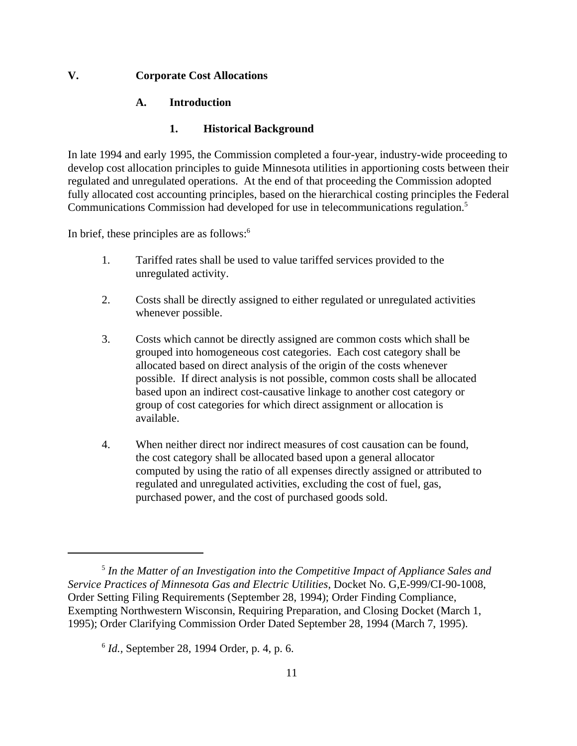#### **V. Corporate Cost Allocations**

#### **A. Introduction**

#### **1. Historical Background**

In late 1994 and early 1995, the Commission completed a four-year, industry-wide proceeding to develop cost allocation principles to guide Minnesota utilities in apportioning costs between their regulated and unregulated operations. At the end of that proceeding the Commission adopted fully allocated cost accounting principles, based on the hierarchical costing principles the Federal Communications Commission had developed for use in telecommunications regulation.5

In brief, these principles are as follows: $6$ 

- the principles are as follows:<sup>6</sup><br>1. Tariffed rates shall be used to value tariffed services provided to the unregulated activity.
- 2. Costs shall be directly assigned to either regulated or unregulated activities whenever possible.
- 3. Costs which cannot be directly assigned are common costs which shall be grouped into homogeneous cost categories. Each cost category shall be allocated based on direct analysis of the origin of the costs whenever possible. If direct analysis is not possible, common costs shall be allocated based upon an indirect cost-causative linkage to another cost category or group of cost categories for which direct assignment or allocation is available.
- 4. When neither direct nor indirect measures of cost causation can be found, the cost category shall be allocated based upon a general allocator computed by using the ratio of all expenses directly assigned or attributed to regulated and unregulated activities, excluding the cost of fuel, gas, purchased power, and the cost of purchased goods sold.

<sup>5</sup> *In the Matter of an Investigation into the Competitive Impact of Appliance Sales and Service Practices of Minnesota Gas and Electric Utilities*, Docket No. G,E-999/CI-90-1008, Order Setting Filing Requirements (September 28, 1994); Order Finding Compliance, Exempting Northwestern Wisconsin, Requiring Preparation, and Closing Docket (March 1, 1995); Order Clarifying Commission Order Dated September 28, 1994 (March 7, 1995).

<sup>6</sup> *Id.,* September 28, 1994 Order, p. 4, p. 6.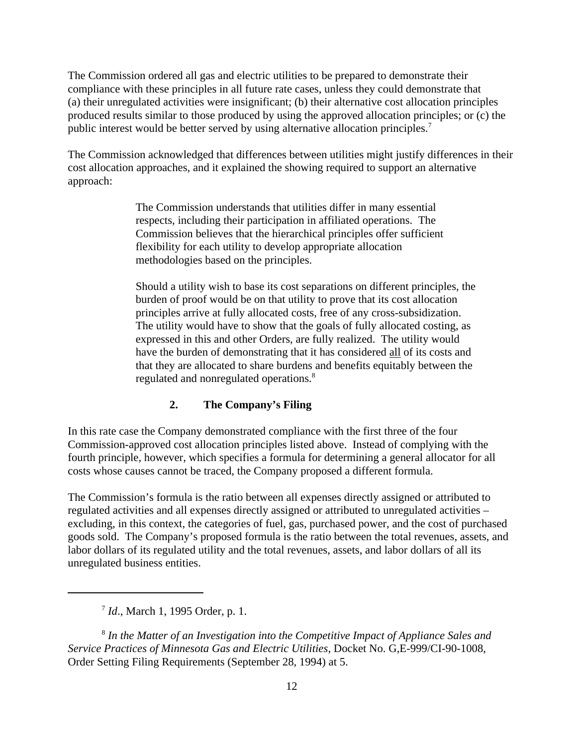The Commission ordered all gas and electric utilities to be prepared to demonstrate their compliance with these principles in all future rate cases, unless they could demonstrate that (a) their unregulated activities were insignificant; (b) their alternative cost allocation principles produced results similar to those produced by using the approved allocation principles; or (c) the public interest would be better served by using alternative allocation principles.7

The Commission acknowledged that differences between utilities might justify differences in their cost allocation approaches, and it explained the showing required to support an alternative approach:

> The Commission understands that utilities differ in many essential respects, including their participation in affiliated operations. The Commission believes that the hierarchical principles offer sufficient flexibility for each utility to develop appropriate allocation methodologies based on the principles.

Should a utility wish to base its cost separations on different principles, the burden of proof would be on that utility to prove that its cost allocation principles arrive at fully allocated costs, free of any cross-subsidization. The utility would have to show that the goals of fully allocated costing, as expressed in this and other Orders, are fully realized. The utility would have the burden of demonstrating that it has considered all of its costs and that they are allocated to share burdens and benefits equitably between the regulated and nonregulated operations.<sup>8</sup>

#### **2. The Company's Filing**

In this rate case the Company demonstrated compliance with the first three of the four Commission-approved cost allocation principles listed above. Instead of complying with the fourth principle, however, which specifies a formula for determining a general allocator for all costs whose causes cannot be traced, the Company proposed a different formula.

The Commission's formula is the ratio between all expenses directly assigned or attributed to regulated activities and all expenses directly assigned or attributed to unregulated activities – excluding, in this context, the categories of fuel, gas, purchased power, and the cost of purchased goods sold. The Company's proposed formula is the ratio between the total revenues, assets, and labor dollars of its regulated utility and the total revenues, assets, and labor dollars of all its unregulated business entities.

8 *In the Matter of an Investigation into the Competitive Impact of Appliance Sales and Service Practices of Minnesota Gas and Electric Utilities*, Docket No. G,E-999/CI-90-1008, Order Setting Filing Requirements (September 28, 1994) at 5.

<sup>7</sup> *Id*., March 1, 1995 Order, p. 1.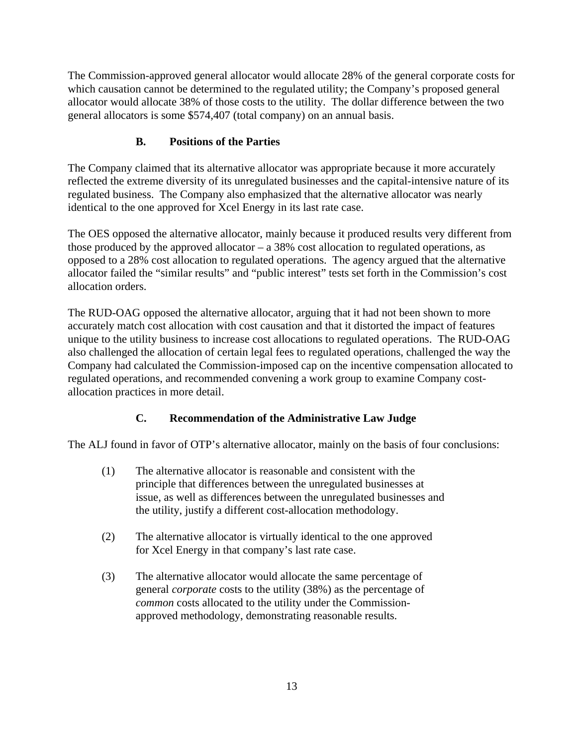The Commission-approved general allocator would allocate 28% of the general corporate costs for which causation cannot be determined to the regulated utility; the Company's proposed general allocator would allocate 38% of those costs to the utility. The dollar difference between the two general allocators is some \$574,407 (total company) on an annual basis.

# **B. Positions of the Parties**

The Company claimed that its alternative allocator was appropriate because it more accurately reflected the extreme diversity of its unregulated businesses and the capital-intensive nature of its regulated business. The Company also emphasized that the alternative allocator was nearly identical to the one approved for Xcel Energy in its last rate case.

The OES opposed the alternative allocator, mainly because it produced results very different from those produced by the approved allocator  $-$  a 38% cost allocation to regulated operations, as opposed to a 28% cost allocation to regulated operations. The agency argued that the alternative allocator failed the "similar results" and "public interest" tests set forth in the Commission's cost allocation orders.

The RUD-OAG opposed the alternative allocator, arguing that it had not been shown to more accurately match cost allocation with cost causation and that it distorted the impact of features unique to the utility business to increase cost allocations to regulated operations. The RUD-OAG also challenged the allocation of certain legal fees to regulated operations, challenged the way the Company had calculated the Commission-imposed cap on the incentive compensation allocated to regulated operations, and recommended convening a work group to examine Company costallocation practices in more detail.

# **C. Recommendation of the Administrative Law Judge**

The ALJ found in favor of OTP's alternative allocator, mainly on the basis of four conclusions:

- (1) The alternative allocator is reasonable and consistent with the principle that differences between the unregulated businesses at issue, as well as differences between the unregulated businesses and the utility, justify a different cost-allocation methodology.
- (2) The alternative allocator is virtually identical to the one approved for Xcel Energy in that company's last rate case.
- (3) The alternative allocator would allocate the same percentage of general *corporate* costs to the utility (38%) as the percentage of *common* costs allocated to the utility under the Commissionapproved methodology, demonstrating reasonable results.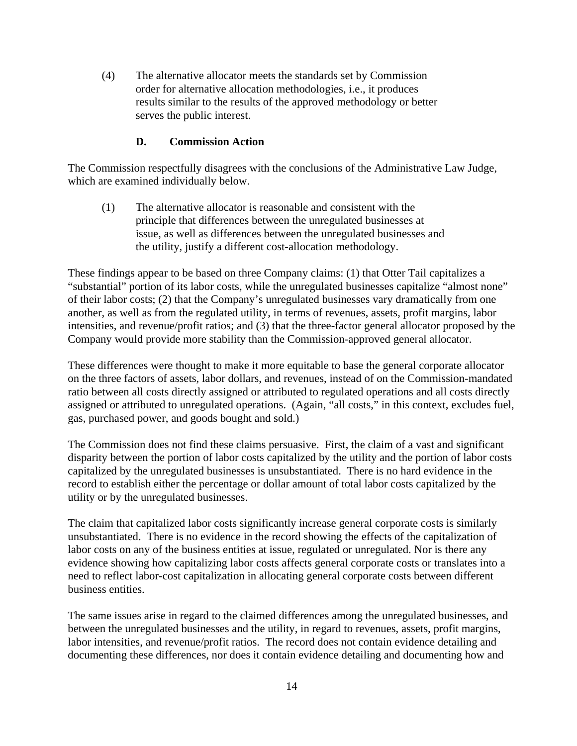(4) The alternative allocator meets the standards set by Commission order for alternative allocation methodologies, i.e., it produces results similar to the results of the approved methodology or better serves the public interest.

#### **D. Commission Action**

The Commission respectfully disagrees with the conclusions of the Administrative Law Judge, which are examined individually below.

(1) The alternative allocator is reasonable and consistent with the principle that differences between the unregulated businesses at issue, as well as differences between the unregulated businesses and the utility, justify a different cost-allocation methodology.

These findings appear to be based on three Company claims: (1) that Otter Tail capitalizes a "substantial" portion of its labor costs, while the unregulated businesses capitalize "almost none" of their labor costs; (2) that the Company's unregulated businesses vary dramatically from one another, as well as from the regulated utility, in terms of revenues, assets, profit margins, labor intensities, and revenue/profit ratios; and (3) that the three-factor general allocator proposed by the Company would provide more stability than the Commission-approved general allocator.

These differences were thought to make it more equitable to base the general corporate allocator on the three factors of assets, labor dollars, and revenues, instead of on the Commission-mandated ratio between all costs directly assigned or attributed to regulated operations and all costs directly assigned or attributed to unregulated operations. (Again, "all costs," in this context, excludes fuel, gas, purchased power, and goods bought and sold.)

The Commission does not find these claims persuasive. First, the claim of a vast and significant disparity between the portion of labor costs capitalized by the utility and the portion of labor costs capitalized by the unregulated businesses is unsubstantiated. There is no hard evidence in the record to establish either the percentage or dollar amount of total labor costs capitalized by the utility or by the unregulated businesses.

The claim that capitalized labor costs significantly increase general corporate costs is similarly unsubstantiated. There is no evidence in the record showing the effects of the capitalization of labor costs on any of the business entities at issue, regulated or unregulated. Nor is there any evidence showing how capitalizing labor costs affects general corporate costs or translates into a need to reflect labor-cost capitalization in allocating general corporate costs between different business entities.

The same issues arise in regard to the claimed differences among the unregulated businesses, and between the unregulated businesses and the utility, in regard to revenues, assets, profit margins, labor intensities, and revenue/profit ratios. The record does not contain evidence detailing and documenting these differences, nor does it contain evidence detailing and documenting how and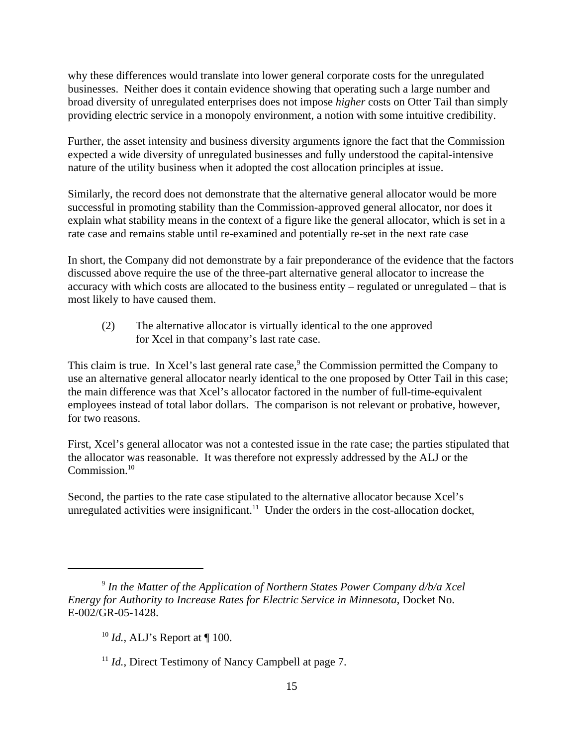why these differences would translate into lower general corporate costs for the unregulated businesses. Neither does it contain evidence showing that operating such a large number and broad diversity of unregulated enterprises does not impose *higher* costs on Otter Tail than simply providing electric service in a monopoly environment, a notion with some intuitive credibility.

Further, the asset intensity and business diversity arguments ignore the fact that the Commission expected a wide diversity of unregulated businesses and fully understood the capital-intensive nature of the utility business when it adopted the cost allocation principles at issue.

Similarly, the record does not demonstrate that the alternative general allocator would be more successful in promoting stability than the Commission-approved general allocator, nor does it explain what stability means in the context of a figure like the general allocator, which is set in a rate case and remains stable until re-examined and potentially re-set in the next rate case

In short, the Company did not demonstrate by a fair preponderance of the evidence that the factors discussed above require the use of the three-part alternative general allocator to increase the accuracy with which costs are allocated to the business entity – regulated or unregulated – that is most likely to have caused them.

(2) The alternative allocator is virtually identical to the one approved for Xcel in that company's last rate case.

This claim is true. In Xcel's last general rate case,<sup>9</sup> the Commission permitted the Company to use an alternative general allocator nearly identical to the one proposed by Otter Tail in this case; the main difference was that Xcel's allocator factored in the number of full-time-equivalent employees instead of total labor dollars. The comparison is not relevant or probative, however, for two reasons.

First, Xcel's general allocator was not a contested issue in the rate case; the parties stipulated that the allocator was reasonable. It was therefore not expressly addressed by the ALJ or the  $\text{Commission.}^{10}$ Commission.<sup>10</sup><br>Second, the parties to the rate case stipulated to the alternative allocator because Xcel's

unregulated activities were insignificant.<sup>11</sup> Under the orders in the cost-allocation docket,

<sup>&</sup>lt;sup>9</sup> In the Matter of the Application of Northern States Power Company d/b/a Xcel *Energy for Authority to Increase Rates for Electric Service in Minnesota*, Docket No. E-002/GR-05-1428.

<sup>&</sup>lt;sup>10</sup> *Id.*, ALJ's Report at ¶ 100.

<sup>&</sup>lt;sup>11</sup> *Id.*, Direct Testimony of Nancy Campbell at page 7.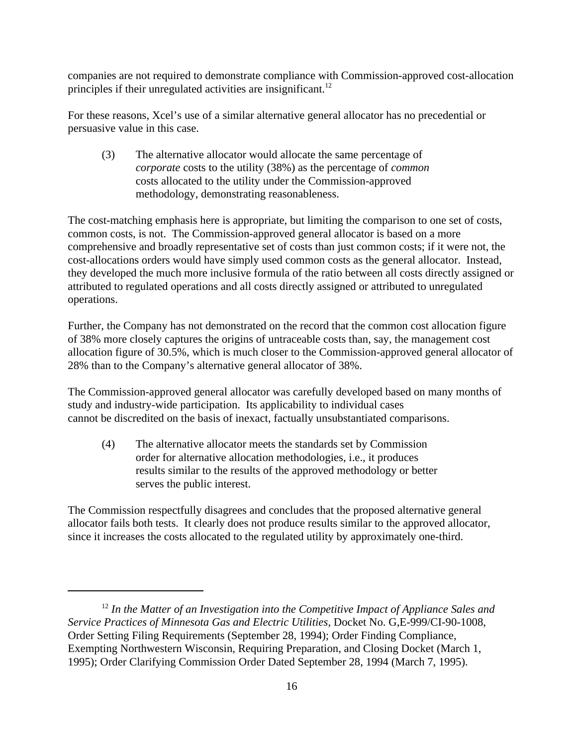companies are not required to demonstrate compliance with Commission-approved cost-allocation principles if their unregulated activities are insignificant.<sup>12</sup>

 For these reasons, Xcel's use of a similar alternative general allocator has no precedential or persuasive value in this case.

(3) The alternative allocator would allocate the same percentage of *corporate* costs to the utility (38%) as the percentage of *common* costs allocated to the utility under the Commission-approved methodology, demonstrating reasonableness.

The cost-matching emphasis here is appropriate, but limiting the comparison to one set of costs, common costs, is not. The Commission-approved general allocator is based on a more comprehensive and broadly representative set of costs than just common costs; if it were not, the cost-allocations orders would have simply used common costs as the general allocator. Instead, they developed the much more inclusive formula of the ratio between all costs directly assigned or attributed to regulated operations and all costs directly assigned or attributed to unregulated operations.

Further, the Company has not demonstrated on the record that the common cost allocation figure of 38% more closely captures the origins of untraceable costs than, say, the management cost allocation figure of 30.5%, which is much closer to the Commission-approved general allocator of 28% than to the Company's alternative general allocator of 38%.

The Commission-approved general allocator was carefully developed based on many months of study and industry-wide participation. Its applicability to individual cases cannot be discredited on the basis of inexact, factually unsubstantiated comparisons.

(4) The alternative allocator meets the standards set by Commission order for alternative allocation methodologies, i.e., it produces results similar to the results of the approved methodology or better serves the public interest.

The Commission respectfully disagrees and concludes that the proposed alternative general allocator fails both tests. It clearly does not produce results similar to the approved allocator, since it increases the costs allocated to the regulated utility by approximately one-third.

<sup>&</sup>lt;sup>12</sup> In the Matter of an Investigation into the Competitive Impact of Appliance Sales and *Service Practices of Minnesota Gas and Electric Utilities*, Docket No. G,E-999/CI-90-1008, Order Setting Filing Requirements (September 28, 1994); Order Finding Compliance, Exempting Northwestern Wisconsin, Requiring Preparation, and Closing Docket (March 1, 1995); Order Clarifying Commission Order Dated September 28, 1994 (March 7, 1995).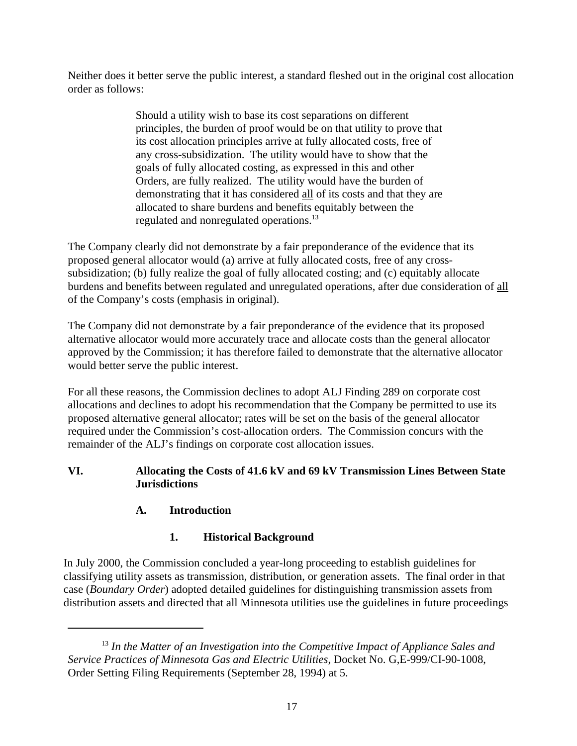Neither does it better serve the public interest, a standard fleshed out in the original cost allocation order as follows:

> Should a utility wish to base its cost separations on different principles, the burden of proof would be on that utility to prove that its cost allocation principles arrive at fully allocated costs, free of any cross-subsidization. The utility would have to show that the goals of fully allocated costing, as expressed in this and other Orders, are fully realized. The utility would have the burden of demonstrating that it has considered all of its costs and that they are allocated to share burdens and benefits equitably between the regulated and nonregulated operations.13

The Company clearly did not demonstrate by a fair preponderance of the evidence that its proposed general allocator would (a) arrive at fully allocated costs, free of any crosssubsidization; (b) fully realize the goal of fully allocated costing; and (c) equitably allocate burdens and benefits between regulated and unregulated operations, after due consideration of all of the Company's costs (emphasis in original).

The Company did not demonstrate by a fair preponderance of the evidence that its proposed alternative allocator would more accurately trace and allocate costs than the general allocator approved by the Commission; it has therefore failed to demonstrate that the alternative allocator would better serve the public interest.

For all these reasons, the Commission declines to adopt ALJ Finding 289 on corporate cost allocations and declines to adopt his recommendation that the Company be permitted to use its proposed alternative general allocator; rates will be set on the basis of the general allocator required under the Commission's cost-allocation orders. The Commission concurs with the remainder of the ALJ's findings on corporate cost allocation issues.

## **VI. Allocating the Costs of 41.6 kV and 69 kV Transmission Lines Between State Jurisdictions**

# **A. Introduction**

# **1. Historical Background**

In July 2000, the Commission concluded a year-long proceeding to establish guidelines for classifying utility assets as transmission, distribution, or generation assets. The final order in that case (*Boundary Order*) adopted detailed guidelines for distinguishing transmission assets from distribution assets and directed that all Minnesota utilities use the guidelines in future proceedings

<sup>&</sup>lt;sup>13</sup> In the Matter of an Investigation into the Competitive Impact of Appliance Sales and *Service Practices of Minnesota Gas and Electric Utilities*, Docket No. G,E-999/CI-90-1008, Order Setting Filing Requirements (September 28, 1994) at 5.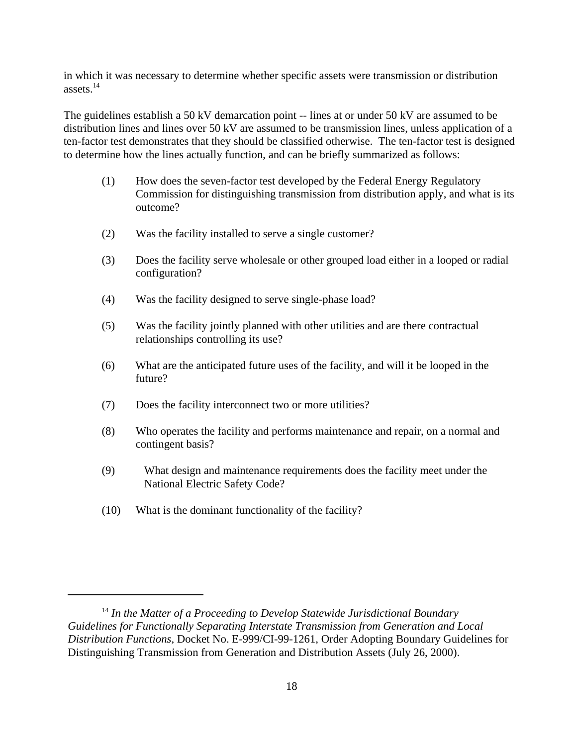in which it was necessary to determine whether specific assets were transmission or distribution  $\lambda^{14}$ 

The guidelines establish a 50 kV demarcation point -- lines at or under 50 kV are assumed to be distribution lines and lines over 50 kV are assumed to be transmission lines, unless application of a ten-factor test demonstrates that they should be classified otherwise. The ten-factor test is designed to determine how the lines actually function, and can be briefly summarized as follows:

- (1) How does the seven-factor test developed by the Federal Energy Regulatory Commission for distinguishing transmission from distribution apply, and what is its outcome?
- (2) Was the facility installed to serve a single customer?
- (3) Does the facility serve wholesale or other grouped load either in a looped or radial configuration?
- (4) Was the facility designed to serve single-phase load?
- (5) Was the facility jointly planned with other utilities and are there contractual relationships controlling its use?
- (6) What are the anticipated future uses of the facility, and will it be looped in the future?
- (7) Does the facility interconnect two or more utilities?
- (8) Who operates the facility and performs maintenance and repair, on a normal and contingent basis?
- (9) What design and maintenance requirements does the facility meet under the National Electric Safety Code?
- (10) What is the dominant functionality of the facility?

<sup>&</sup>lt;sup>14</sup> In the Matter of a Proceeding to Develop Statewide Jurisdictional Boundary *Guidelines for Functionally Separating Interstate Transmission from Generation and Local Distribution Functions*, Docket No. E-999/CI-99-1261, Order Adopting Boundary Guidelines for Distinguishing Transmission from Generation and Distribution Assets (July 26, 2000).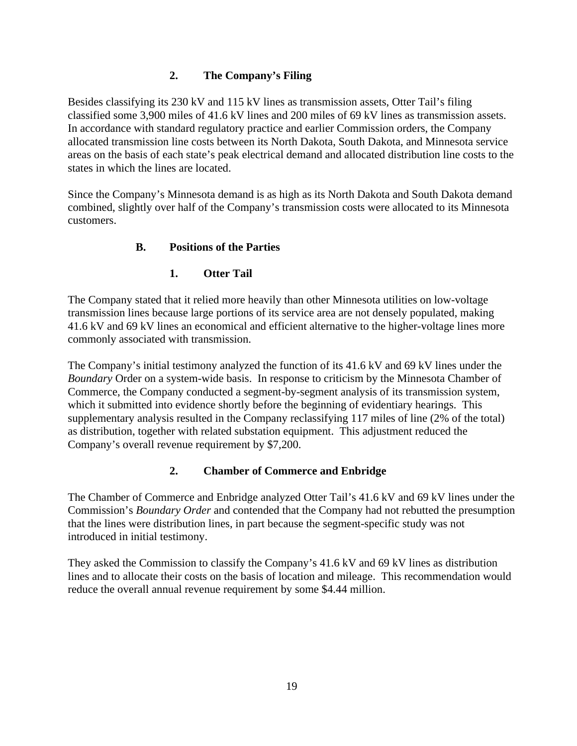## **2. The Company's Filing**

Besides classifying its 230 kV and 115 kV lines as transmission assets, Otter Tail's filing classified some 3,900 miles of 41.6 kV lines and 200 miles of 69 kV lines as transmission assets. In accordance with standard regulatory practice and earlier Commission orders, the Company allocated transmission line costs between its North Dakota, South Dakota, and Minnesota service areas on the basis of each state's peak electrical demand and allocated distribution line costs to the states in which the lines are located.

Since the Company's Minnesota demand is as high as its North Dakota and South Dakota demand combined, slightly over half of the Company's transmission costs were allocated to its Minnesota customers.

## **B. Positions of the Parties**

# **1. Otter Tail**

The Company stated that it relied more heavily than other Minnesota utilities on low-voltage transmission lines because large portions of its service area are not densely populated, making 41.6 kV and 69 kV lines an economical and efficient alternative to the higher-voltage lines more commonly associated with transmission.

The Company's initial testimony analyzed the function of its 41.6 kV and 69 kV lines under the *Boundary* Order on a system-wide basis. In response to criticism by the Minnesota Chamber of Commerce, the Company conducted a segment-by-segment analysis of its transmission system, which it submitted into evidence shortly before the beginning of evidentiary hearings. This supplementary analysis resulted in the Company reclassifying 117 miles of line (2% of the total) as distribution, together with related substation equipment. This adjustment reduced the Company's overall revenue requirement by \$7,200.

#### **2. Chamber of Commerce and Enbridge**

The Chamber of Commerce and Enbridge analyzed Otter Tail's 41.6 kV and 69 kV lines under the Commission's *Boundary Order* and contended that the Company had not rebutted the presumption that the lines were distribution lines, in part because the segment-specific study was not introduced in initial testimony.

They asked the Commission to classify the Company's 41.6 kV and 69 kV lines as distribution lines and to allocate their costs on the basis of location and mileage. This recommendation would reduce the overall annual revenue requirement by some \$4.44 million.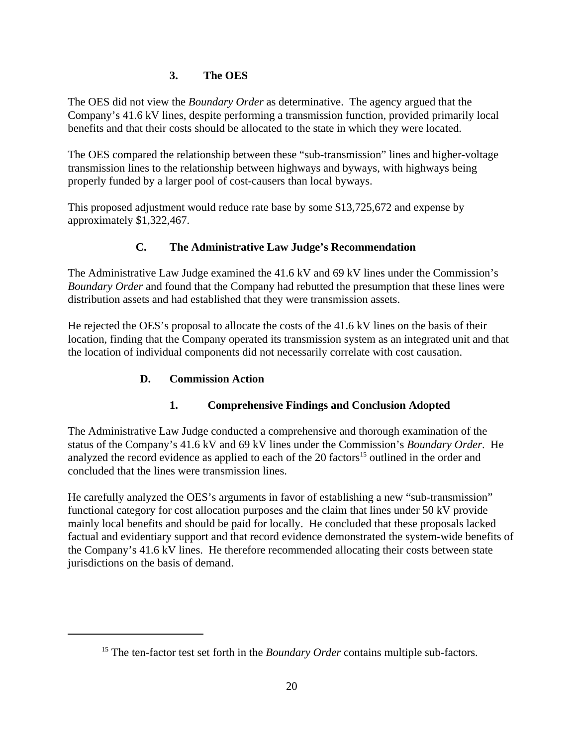### **3. The OES**

The OES did not view the *Boundary Order* as determinative. The agency argued that the Company's 41.6 kV lines, despite performing a transmission function, provided primarily local benefits and that their costs should be allocated to the state in which they were located.

The OES compared the relationship between these "sub-transmission" lines and higher-voltage transmission lines to the relationship between highways and byways, with highways being properly funded by a larger pool of cost-causers than local byways.

This proposed adjustment would reduce rate base by some \$13,725,672 and expense by approximately \$1,322,467.

## **C. The Administrative Law Judge's Recommendation**

The Administrative Law Judge examined the 41.6 kV and 69 kV lines under the Commission's *Boundary Order* and found that the Company had rebutted the presumption that these lines were distribution assets and had established that they were transmission assets.

He rejected the OES's proposal to allocate the costs of the 41.6 kV lines on the basis of their location, finding that the Company operated its transmission system as an integrated unit and that the location of individual components did not necessarily correlate with cost causation.

## **D. Commission Action**

# **1. Comprehensive Findings and Conclusion Adopted**

The Administrative Law Judge conducted a comprehensive and thorough examination of the status of the Company's 41.6 kV and 69 kV lines under the Commission's *Boundary Order*. He analyzed the record evidence as applied to each of the  $20$  factors<sup>15</sup> outlined in the order and concluded that the lines were transmission lines.

He carefully analyzed the OES's arguments in favor of establishing a new "sub-transmission" functional category for cost allocation purposes and the claim that lines under 50 kV provide mainly local benefits and should be paid for locally. He concluded that these proposals lacked factual and evidentiary support and that record evidence demonstrated the system-wide benefits of the Company's 41.6 kV lines. He therefore recommended allocating their costs between state jurisdictions on the basis of demand.

<sup>&</sup>lt;sup>15</sup> The ten-factor test set forth in the *Boundary Order* contains multiple sub-factors.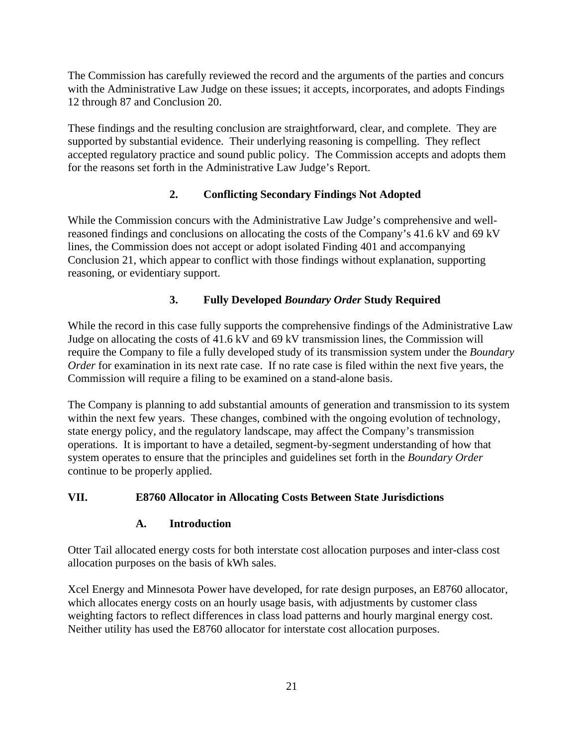The Commission has carefully reviewed the record and the arguments of the parties and concurs with the Administrative Law Judge on these issues; it accepts, incorporates, and adopts Findings 12 through 87 and Conclusion 20.

These findings and the resulting conclusion are straightforward, clear, and complete. They are supported by substantial evidence. Their underlying reasoning is compelling. They reflect accepted regulatory practice and sound public policy. The Commission accepts and adopts them for the reasons set forth in the Administrative Law Judge's Report.

# **2. Conflicting Secondary Findings Not Adopted**

While the Commission concurs with the Administrative Law Judge's comprehensive and wellreasoned findings and conclusions on allocating the costs of the Company's 41.6 kV and 69 kV lines, the Commission does not accept or adopt isolated Finding 401 and accompanying Conclusion 21, which appear to conflict with those findings without explanation, supporting reasoning, or evidentiary support.

## **3. Fully Developed** *Boundary Order* **Study Required**

While the record in this case fully supports the comprehensive findings of the Administrative Law Judge on allocating the costs of 41.6 kV and 69 kV transmission lines, the Commission will require the Company to file a fully developed study of its transmission system under the *Boundary Order* for examination in its next rate case. If no rate case is filed within the next five years, the Commission will require a filing to be examined on a stand-alone basis.

The Company is planning to add substantial amounts of generation and transmission to its system within the next few years. These changes, combined with the ongoing evolution of technology, state energy policy, and the regulatory landscape, may affect the Company's transmission operations. It is important to have a detailed, segment-by-segment understanding of how that system operates to ensure that the principles and guidelines set forth in the *Boundary Order* continue to be properly applied.

#### **VII. E8760 Allocator in Allocating Costs Between State Jurisdictions**

#### **A. Introduction**

Otter Tail allocated energy costs for both interstate cost allocation purposes and inter-class cost allocation purposes on the basis of kWh sales.

Xcel Energy and Minnesota Power have developed, for rate design purposes, an E8760 allocator, which allocates energy costs on an hourly usage basis, with adjustments by customer class weighting factors to reflect differences in class load patterns and hourly marginal energy cost. Neither utility has used the E8760 allocator for interstate cost allocation purposes.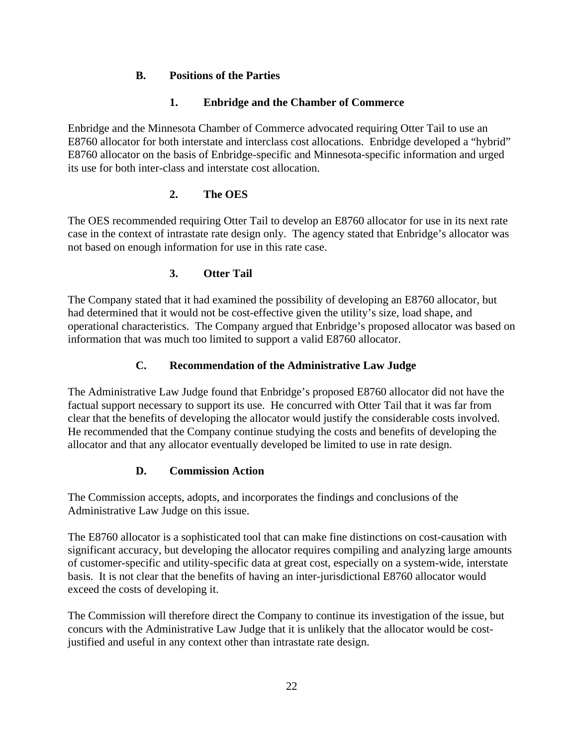### **B. Positions of the Parties**

### **1. Enbridge and the Chamber of Commerce**

Enbridge and the Minnesota Chamber of Commerce advocated requiring Otter Tail to use an E8760 allocator for both interstate and interclass cost allocations. Enbridge developed a "hybrid" E8760 allocator on the basis of Enbridge-specific and Minnesota-specific information and urged its use for both inter-class and interstate cost allocation.

## **2. The OES**

The OES recommended requiring Otter Tail to develop an E8760 allocator for use in its next rate case in the context of intrastate rate design only. The agency stated that Enbridge's allocator was not based on enough information for use in this rate case.

### **3. Otter Tail**

The Company stated that it had examined the possibility of developing an E8760 allocator, but had determined that it would not be cost-effective given the utility's size, load shape, and operational characteristics. The Company argued that Enbridge's proposed allocator was based on information that was much too limited to support a valid E8760 allocator.

## **C. Recommendation of the Administrative Law Judge**

The Administrative Law Judge found that Enbridge's proposed E8760 allocator did not have the factual support necessary to support its use. He concurred with Otter Tail that it was far from clear that the benefits of developing the allocator would justify the considerable costs involved. He recommended that the Company continue studying the costs and benefits of developing the allocator and that any allocator eventually developed be limited to use in rate design.

#### **D. Commission Action**

The Commission accepts, adopts, and incorporates the findings and conclusions of the Administrative Law Judge on this issue.

The E8760 allocator is a sophisticated tool that can make fine distinctions on cost-causation with significant accuracy, but developing the allocator requires compiling and analyzing large amounts of customer-specific and utility-specific data at great cost, especially on a system-wide, interstate basis. It is not clear that the benefits of having an inter-jurisdictional E8760 allocator would exceed the costs of developing it.

The Commission will therefore direct the Company to continue its investigation of the issue, but concurs with the Administrative Law Judge that it is unlikely that the allocator would be costjustified and useful in any context other than intrastate rate design.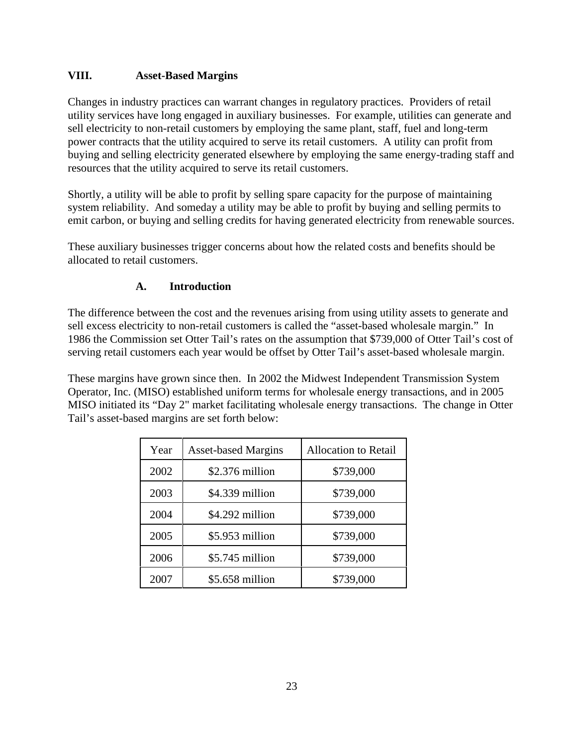## **VIII. Asset-Based Margins**

Changes in industry practices can warrant changes in regulatory practices. Providers of retail utility services have long engaged in auxiliary businesses. For example, utilities can generate and sell electricity to non-retail customers by employing the same plant, staff, fuel and long-term power contracts that the utility acquired to serve its retail customers. A utility can profit from buying and selling electricity generated elsewhere by employing the same energy-trading staff and resources that the utility acquired to serve its retail customers.

Shortly, a utility will be able to profit by selling spare capacity for the purpose of maintaining system reliability. And someday a utility may be able to profit by buying and selling permits to emit carbon, or buying and selling credits for having generated electricity from renewable sources.

These auxiliary businesses trigger concerns about how the related costs and benefits should be allocated to retail customers.

## **A. Introduction**

The difference between the cost and the revenues arising from using utility assets to generate and sell excess electricity to non-retail customers is called the "asset-based wholesale margin." In 1986 the Commission set Otter Tail's rates on the assumption that \$739,000 of Otter Tail's cost of serving retail customers each year would be offset by Otter Tail's asset-based wholesale margin.

These margins have grown since then. In 2002 the Midwest Independent Transmission System Operator, Inc. (MISO) established uniform terms for wholesale energy transactions, and in 2005 MISO initiated its "Day 2" market facilitating wholesale energy transactions. The change in Otter Tail's asset-based margins are set forth below:

| Year | <b>Asset-based Margins</b> | <b>Allocation to Retail</b> |
|------|----------------------------|-----------------------------|
| 2002 | $$2.376$ million           | \$739,000                   |
| 2003 | \$4.339 million            | \$739,000                   |
| 2004 | \$4.292 million            | \$739,000                   |
| 2005 | $$5.953$ million           | \$739,000                   |
| 2006 | $$5.745$ million           | \$739,000                   |
| 2007 | $$5.658$ million           | \$739,000                   |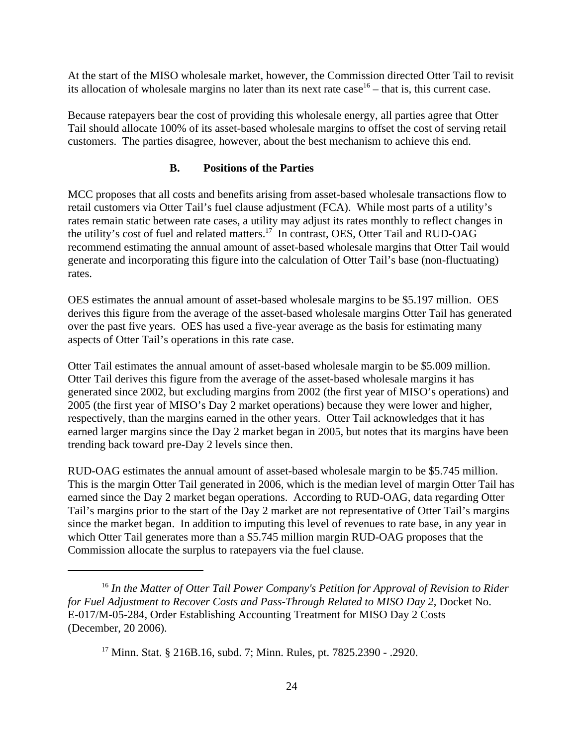At the start of the MISO wholesale market, however, the Commission directed Otter Tail to revisit its allocation of wholesale margins no later than its next rate case<sup>16</sup> – that is, this current case.

Because ratepayers bear the cost of providing this wholesale energy, all parties agree that Otter Tail should allocate 100% of its asset-based wholesale margins to offset the cost of serving retail customers. The parties disagree, however, about the best mechanism to achieve this end.

#### **B. Positions of the Parties**

MCC proposes that all costs and benefits arising from asset-based wholesale transactions flow to retail customers via Otter Tail's fuel clause adjustment (FCA). While most parts of a utility's rates remain static between rate cases, a utility may adjust its rates monthly to reflect changes in the utility's cost of fuel and related matters.17 In contrast, OES, Otter Tail and RUD-OAG recommend estimating the annual amount of asset-based wholesale margins that Otter Tail would generate and incorporating this figure into the calculation of Otter Tail's base (non-fluctuating) rates.

OES estimates the annual amount of asset-based wholesale margins to be \$5.197 million. OES derives this figure from the average of the asset-based wholesale margins Otter Tail has generated over the past five years. OES has used a five-year average as the basis for estimating many aspects of Otter Tail's operations in this rate case.

Otter Tail estimates the annual amount of asset-based wholesale margin to be \$5.009 million. Otter Tail derives this figure from the average of the asset-based wholesale margins it has generated since 2002, but excluding margins from 2002 (the first year of MISO's operations) and 2005 (the first year of MISO's Day 2 market operations) because they were lower and higher, respectively, than the margins earned in the other years. Otter Tail acknowledges that it has earned larger margins since the Day 2 market began in 2005, but notes that its margins have been trending back toward pre-Day 2 levels since then.

RUD-OAG estimates the annual amount of asset-based wholesale margin to be \$5.745 million. This is the margin Otter Tail generated in 2006, which is the median level of margin Otter Tail has earned since the Day 2 market began operations. According to RUD-OAG, data regarding Otter Tail's margins prior to the start of the Day 2 market are not representative of Otter Tail's margins since the market began. In addition to imputing this level of revenues to rate base, in any year in which Otter Tail generates more than a \$5.745 million margin RUD-OAG proposes that the Commission allocate the surplus to ratepayers via the fuel clause.

<sup>16</sup> *In the Matter of Otter Tail Power Company's Petition for Approval of Revision to Rider for Fuel Adjustment to Recover Costs and Pass-Through Related to MISO Day 2*, Docket No. E-017/M-05-284, Order Establishing Accounting Treatment for MISO Day 2 Costs (December, 20 2006).

<sup>17</sup> Minn. Stat. § 216B.16, subd. 7; Minn. Rules, pt. 7825.2390 - .2920.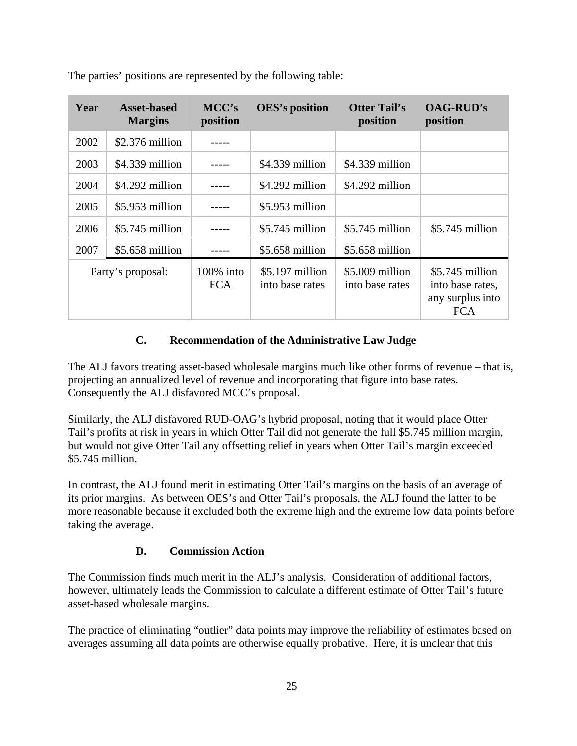| Year | <b>Asset-based</b><br><b>Margins</b> | MCC's<br>position                        | <b>OES's position</b>                                       | <b>Otter Tail's</b><br>position | <b>OAG-RUD's</b><br>position                        |
|------|--------------------------------------|------------------------------------------|-------------------------------------------------------------|---------------------------------|-----------------------------------------------------|
|      | $2002$ \$2.376 million               | $--- -$                                  |                                                             |                                 |                                                     |
|      | $2003$ \$4.339 million               | $---$                                    | $$4.339$ million $$4.339$ million                           |                                 |                                                     |
|      | $2004$ \$4.292 million               | $\overline{\phantom{a}}$                 | $$4.292$ million $$4.292$ million                           |                                 |                                                     |
|      | $2005$ \$5.953 million               | $\begin{array}{c} - - - - - \end{array}$ | \$5.953 million                                             |                                 |                                                     |
|      | $2006$ \$5.745 million               | $--- -$                                  |                                                             |                                 | \$5.745 million   \$5.745 million   \$5.745 million |
|      | 2007   \$5.658 million               | $\sim$ $\sim$ $\sim$ $\sim$ $\sim$       | $\frac{1}{2}$ \$5.658 million $\frac{1}{2}$ \$5.658 million |                                 |                                                     |
|      | Party's proposal:                    | 100% into                                | $\vert$ \$5.197 million $\vert$ \$5.009 million             |                                 | $\frac{1}{2}$ \$5.745 million                       |
|      |                                      | FCA                                      | into base rates   into base rates                           |                                 | into base rates,<br>any surplus into<br>FCA         |

The parties' positions are represented by the following table:

#### **C. Recommendation of the Administrative Law Judge**

The ALJ favors treating asset-based wholesale margins much like other forms of revenue – that is, projecting an annualized level of revenue and incorporating that figure into base rates. Consequently the ALJ disfavored MCC's proposal.

Similarly, the ALJ disfavored RUD-OAG's hybrid proposal, noting that it would place Otter Tail's profits at risk in years in which Otter Tail did not generate the full \$5.745 million margin, but would not give Otter Tail any offsetting relief in years when Otter Tail's margin exceeded \$5.745 million.

In contrast, the ALJ found merit in estimating Otter Tail's margins on the basis of an average of its prior margins. As between OES's and Otter Tail's proposals, the ALJ found the latter to be more reasonable because it excluded both the extreme high and the extreme low data points before taking the average.

#### **D. Commission Action**

The Commission finds much merit in the ALJ's analysis. Consideration of additional factors, however, ultimately leads the Commission to calculate a different estimate of Otter Tail's future asset-based wholesale margins.

The practice of eliminating "outlier" data points may improve the reliability of estimates based on averages assuming all data points are otherwise equally probative. Here, it is unclear that this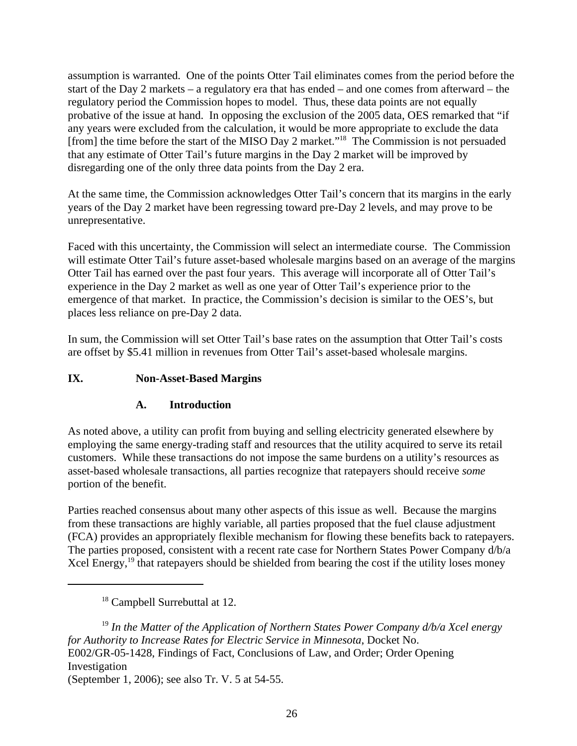assumption is warranted. One of the points Otter Tail eliminates comes from the period before the start of the Day 2 markets – a regulatory era that has ended – and one comes from afterward – the regulatory period the Commission hopes to model. Thus, these data points are not equally probative of the issue at hand. In opposing the exclusion of the 2005 data, OES remarked that "if any years were excluded from the calculation, it would be more appropriate to exclude the data [from] the time before the start of the MISO Day 2 market."18 The Commission is not persuaded that any estimate of Otter Tail's future margins in the Day 2 market will be improved by disregarding one of the only three data points from the Day 2 era.

At the same time, the Commission acknowledges Otter Tail's concern that its margins in the early years of the Day 2 market have been regressing toward pre-Day 2 levels, and may prove to be unrepresentative.

Faced with this uncertainty, the Commission will select an intermediate course. The Commission will estimate Otter Tail's future asset-based wholesale margins based on an average of the margins Otter Tail has earned over the past four years. This average will incorporate all of Otter Tail's experience in the Day 2 market as well as one year of Otter Tail's experience prior to the emergence of that market. In practice, the Commission's decision is similar to the OES's, but places less reliance on pre-Day 2 data.

In sum, the Commission will set Otter Tail's base rates on the assumption that Otter Tail's costs are offset by \$5.41 million in revenues from Otter Tail's asset-based wholesale margins.

## **IX. Non-Asset-Based Margins**

#### **A. Introduction**

As noted above, a utility can profit from buying and selling electricity generated elsewhere by employing the same energy-trading staff and resources that the utility acquired to serve its retail customers. While these transactions do not impose the same burdens on a utility's resources as asset-based wholesale transactions, all parties recognize that ratepayers should receive *some* portion of the benefit.

Parties reached consensus about many other aspects of this issue as well. Because the margins from these transactions are highly variable, all parties proposed that the fuel clause adjustment (FCA) provides an appropriately flexible mechanism for flowing these benefits back to ratepayers. The parties proposed, consistent with a recent rate case for Northern States Power Company d/b/a Xcel Energy, $19$  that ratepayers should be shielded from bearing the cost if the utility loses money

<sup>19</sup> *In the Matter of the Application of Northern States Power Company d/b/a Xcel energy for Authority to Increase Rates for Electric Service in Minnesota*, Docket No. E002/GR-05-1428, Findings of Fact, Conclusions of Law, and Order; Order Opening Investigation (September 1, 2006); see also Tr. V. 5 at 54-55.

<sup>&</sup>lt;sup>18</sup> Campbell Surrebuttal at 12.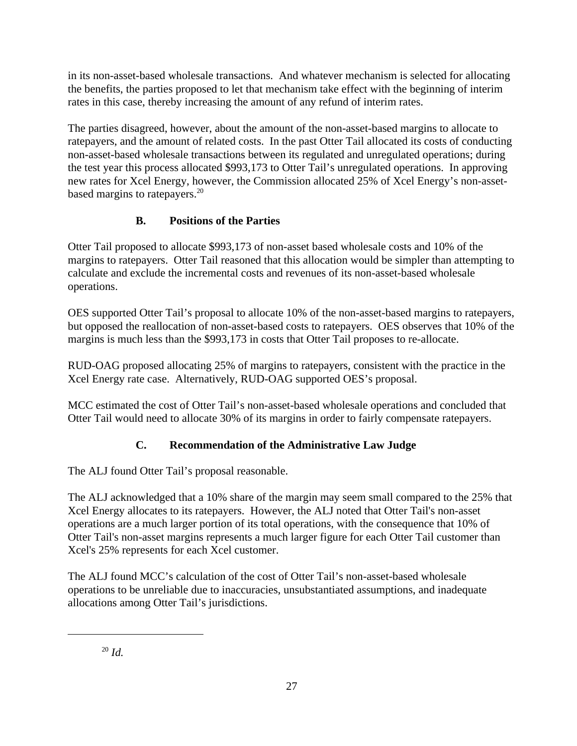in its non-asset-based wholesale transactions. And whatever mechanism is selected for allocating the benefits, the parties proposed to let that mechanism take effect with the beginning of interim rates in this case, thereby increasing the amount of any refund of interim rates.

The parties disagreed, however, about the amount of the non-asset-based margins to allocate to ratepayers, and the amount of related costs. In the past Otter Tail allocated its costs of conducting non-asset-based wholesale transactions between its regulated and unregulated operations; during the test year this process allocated \$993,173 to Otter Tail's unregulated operations. In approving new rates for Xcel Energy, however, the Commission allocated 25% of Xcel Energy's non-assetbased margins to ratepayers.<sup>20</sup>

# **B. Positions of the Parties**

Otter Tail proposed to allocate \$993,173 of non-asset based wholesale costs and 10% of the margins to ratepayers. Otter Tail reasoned that this allocation would be simpler than attempting to calculate and exclude the incremental costs and revenues of its non-asset-based wholesale operations.

OES supported Otter Tail's proposal to allocate 10% of the non-asset-based margins to ratepayers, but opposed the reallocation of non-asset-based costs to ratepayers. OES observes that 10% of the margins is much less than the \$993,173 in costs that Otter Tail proposes to re-allocate.

RUD-OAG proposed allocating 25% of margins to ratepayers, consistent with the practice in the Xcel Energy rate case. Alternatively, RUD-OAG supported OES's proposal.

MCC estimated the cost of Otter Tail's non-asset-based wholesale operations and concluded that Otter Tail would need to allocate 30% of its margins in order to fairly compensate ratepayers.

# **C. Recommendation of the Administrative Law Judge**

The ALJ found Otter Tail's proposal reasonable.

The ALJ acknowledged that a 10% share of the margin may seem small compared to the 25% that Xcel Energy allocates to its ratepayers. However, the ALJ noted that Otter Tail's non-asset operations are a much larger portion of its total operations, with the consequence that 10% of Otter Tail's non-asset margins represents a much larger figure for each Otter Tail customer than Xcel's 25% represents for each Xcel customer.

The ALJ found MCC's calculation of the cost of Otter Tail's non-asset-based wholesale operations to be unreliable due to inaccuracies, unsubstantiated assumptions, and inadequate allocations among Otter Tail's jurisdictions.

<sup>20</sup> *Id.*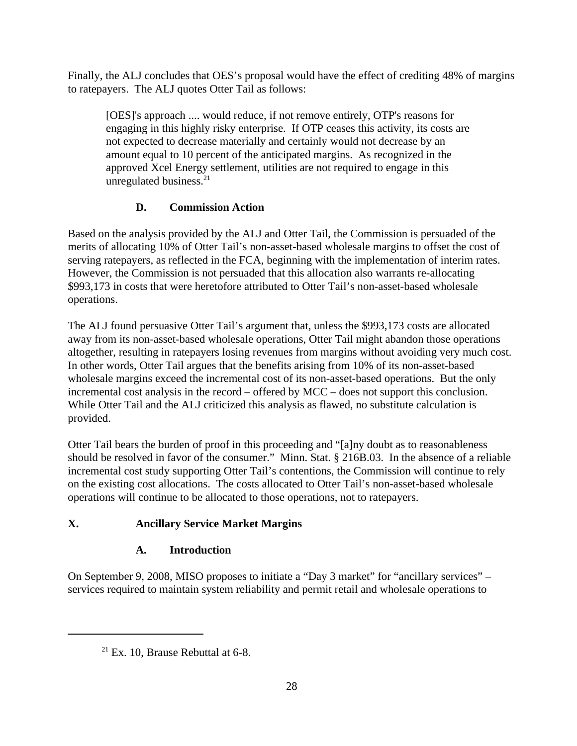Finally, the ALJ concludes that OES's proposal would have the effect of crediting 48% of margins to ratepayers. The ALJ quotes Otter Tail as follows:

[OES]'s approach .... would reduce, if not remove entirely, OTP's reasons for engaging in this highly risky enterprise. If OTP ceases this activity, its costs are not expected to decrease materially and certainly would not decrease by an amount equal to 10 percent of the anticipated margins. As recognized in the approved Xcel Energy settlement, utilities are not required to engage in this unregulated business. $21$ 

# **D. Commission Action**

Based on the analysis provided by the ALJ and Otter Tail, the Commission is persuaded of the merits of allocating 10% of Otter Tail's non-asset-based wholesale margins to offset the cost of serving ratepayers, as reflected in the FCA, beginning with the implementation of interim rates. However, the Commission is not persuaded that this allocation also warrants re-allocating \$993,173 in costs that were heretofore attributed to Otter Tail's non-asset-based wholesale operations.

The ALJ found persuasive Otter Tail's argument that, unless the \$993,173 costs are allocated away from its non-asset-based wholesale operations, Otter Tail might abandon those operations altogether, resulting in ratepayers losing revenues from margins without avoiding very much cost. In other words, Otter Tail argues that the benefits arising from 10% of its non-asset-based wholesale margins exceed the incremental cost of its non-asset-based operations. But the only incremental cost analysis in the record – offered by MCC – does not support this conclusion. While Otter Tail and the ALJ criticized this analysis as flawed, no substitute calculation is provided.

Otter Tail bears the burden of proof in this proceeding and "[a]ny doubt as to reasonableness should be resolved in favor of the consumer." Minn. Stat. § 216B.03. In the absence of a reliable incremental cost study supporting Otter Tail's contentions, the Commission will continue to rely on the existing cost allocations. The costs allocated to Otter Tail's non-asset-based wholesale operations will continue to be allocated to those operations, not to ratepayers.

# **X. Ancillary Service Market Margins**

# **A. Introduction**

On September 9, 2008, MISO proposes to initiate a "Day 3 market" for "ancillary services" – services required to maintain system reliability and permit retail and wholesale operations to

 $21$  Ex. 10, Brause Rebuttal at 6-8.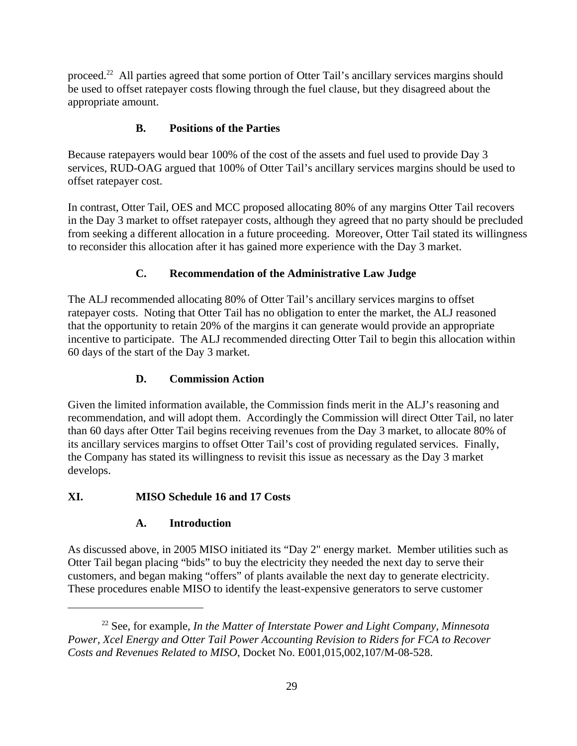proceed.<sup>22</sup> All parties agreed that some portion of Otter Tail's ancillary services margins should be used to offset ratepayer costs flowing through the fuel clause, but they disagreed about the appropriate amount.

# **B. Positions of the Parties**

Because ratepayers would bear 100% of the cost of the assets and fuel used to provide Day 3 services, RUD-OAG argued that 100% of Otter Tail's ancillary services margins should be used to offset ratepayer cost.

In contrast, Otter Tail, OES and MCC proposed allocating 80% of any margins Otter Tail recovers in the Day 3 market to offset ratepayer costs, although they agreed that no party should be precluded from seeking a different allocation in a future proceeding. Moreover, Otter Tail stated its willingness to reconsider this allocation after it has gained more experience with the Day 3 market.

## **C. Recommendation of the Administrative Law Judge**

The ALJ recommended allocating 80% of Otter Tail's ancillary services margins to offset ratepayer costs. Noting that Otter Tail has no obligation to enter the market, the ALJ reasoned that the opportunity to retain 20% of the margins it can generate would provide an appropriate incentive to participate. The ALJ recommended directing Otter Tail to begin this allocation within 60 days of the start of the Day 3 market.

### **D. Commission Action**

Given the limited information available, the Commission finds merit in the ALJ's reasoning and recommendation, and will adopt them. Accordingly the Commission will direct Otter Tail, no later than 60 days after Otter Tail begins receiving revenues from the Day 3 market, to allocate 80% of its ancillary services margins to offset Otter Tail's cost of providing regulated services. Finally, the Company has stated its willingness to revisit this issue as necessary as the Day 3 market develops.

# **XI. MISO Schedule 16 and 17 Costs**

## **A. Introduction**

As discussed above, in 2005 MISO initiated its "Day 2" energy market. Member utilities such as Otter Tail began placing "bids" to buy the electricity they needed the next day to serve their customers, and began making "offers" of plants available the next day to generate electricity. These procedures enable MISO to identify the least-expensive generators to serve customer

<sup>22</sup> See, for example, *In the Matter of Interstate Power and Light Company, Minnesota Power, Xcel Energy and Otter Tail Power Accounting Revision to Riders for FCA to Recover Costs and Revenues Related to MISO*, Docket No. E001,015,002,107/M-08-528.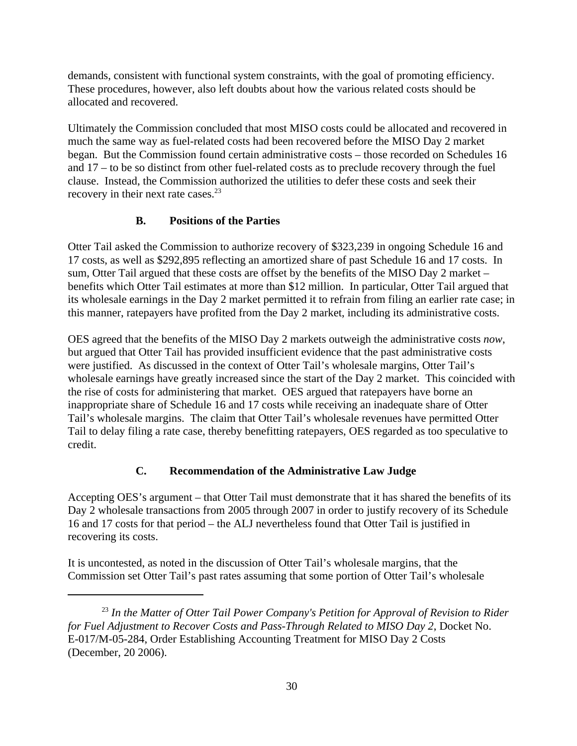demands, consistent with functional system constraints, with the goal of promoting efficiency. These procedures, however, also left doubts about how the various related costs should be allocated and recovered.

Ultimately the Commission concluded that most MISO costs could be allocated and recovered in much the same way as fuel-related costs had been recovered before the MISO Day 2 market began. But the Commission found certain administrative costs – those recorded on Schedules 16 and 17 – to be so distinct from other fuel-related costs as to preclude recovery through the fuel clause. Instead, the Commission authorized the utilities to defer these costs and seek their recovery in their next rate cases.<sup>23</sup>

#### **B. Positions of the Parties**

Otter Tail asked the Commission to authorize recovery of \$323,239 in ongoing Schedule 16 and 17 costs, as well as \$292,895 reflecting an amortized share of past Schedule 16 and 17 costs. In sum, Otter Tail argued that these costs are offset by the benefits of the MISO Day 2 market – benefits which Otter Tail estimates at more than \$12 million. In particular, Otter Tail argued that its wholesale earnings in the Day 2 market permitted it to refrain from filing an earlier rate case; in this manner, ratepayers have profited from the Day 2 market, including its administrative costs.

OES agreed that the benefits of the MISO Day 2 markets outweigh the administrative costs *now*, but argued that Otter Tail has provided insufficient evidence that the past administrative costs were justified. As discussed in the context of Otter Tail's wholesale margins, Otter Tail's wholesale earnings have greatly increased since the start of the Day 2 market. This coincided with the rise of costs for administering that market. OES argued that ratepayers have borne an inappropriate share of Schedule 16 and 17 costs while receiving an inadequate share of Otter Tail's wholesale margins. The claim that Otter Tail's wholesale revenues have permitted Otter Tail to delay filing a rate case, thereby benefitting ratepayers, OES regarded as too speculative to credit.

#### **C. Recommendation of the Administrative Law Judge**

Accepting OES's argument – that Otter Tail must demonstrate that it has shared the benefits of its Day 2 wholesale transactions from 2005 through 2007 in order to justify recovery of its Schedule 16 and 17 costs for that period – the ALJ nevertheless found that Otter Tail is justified in recovering its costs.

It is uncontested, as noted in the discussion of Otter Tail's wholesale margins, that the Commission set Otter Tail's past rates assuming that some portion of Otter Tail's wholesale

<sup>23</sup> *In the Matter of Otter Tail Power Company's Petition for Approval of Revision to Rider for Fuel Adjustment to Recover Costs and Pass-Through Related to MISO Day 2*, Docket No. E-017/M-05-284, Order Establishing Accounting Treatment for MISO Day 2 Costs (December, 20 2006).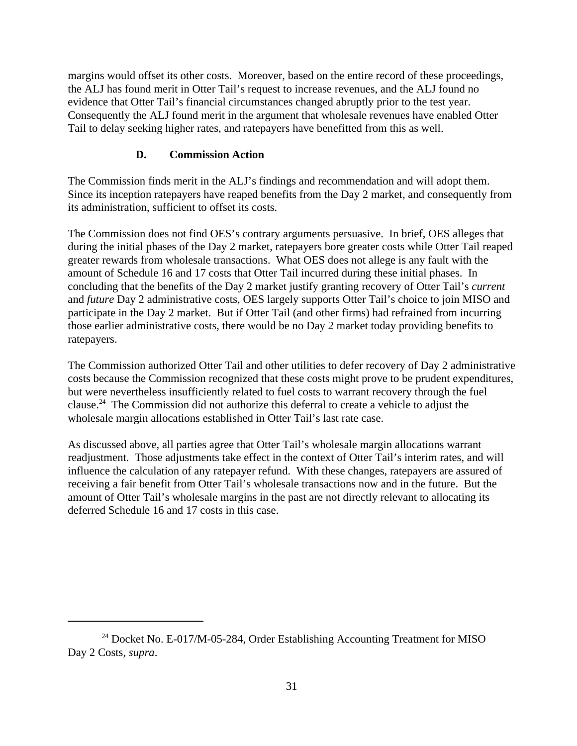margins would offset its other costs. Moreover, based on the entire record of these proceedings, the ALJ has found merit in Otter Tail's request to increase revenues, and the ALJ found no evidence that Otter Tail's financial circumstances changed abruptly prior to the test year. Consequently the ALJ found merit in the argument that wholesale revenues have enabled Otter Tail to delay seeking higher rates, and ratepayers have benefitted from this as well.

#### **D. Commission Action**

The Commission finds merit in the ALJ's findings and recommendation and will adopt them. Since its inception ratepayers have reaped benefits from the Day 2 market, and consequently from its administration, sufficient to offset its costs.

The Commission does not find OES's contrary arguments persuasive. In brief, OES alleges that during the initial phases of the Day 2 market, ratepayers bore greater costs while Otter Tail reaped greater rewards from wholesale transactions. What OES does not allege is any fault with the amount of Schedule 16 and 17 costs that Otter Tail incurred during these initial phases. In concluding that the benefits of the Day 2 market justify granting recovery of Otter Tail's *current* and *future* Day 2 administrative costs, OES largely supports Otter Tail's choice to join MISO and participate in the Day 2 market. But if Otter Tail (and other firms) had refrained from incurring those earlier administrative costs, there would be no Day 2 market today providing benefits to ratepayers.

The Commission authorized Otter Tail and other utilities to defer recovery of Day 2 administrative costs because the Commission recognized that these costs might prove to be prudent expenditures, but were nevertheless insufficiently related to fuel costs to warrant recovery through the fuel clause.24 The Commission did not authorize this deferral to create a vehicle to adjust the wholesale margin allocations established in Otter Tail's last rate case.

As discussed above, all parties agree that Otter Tail's wholesale margin allocations warrant readjustment. Those adjustments take effect in the context of Otter Tail's interim rates, and will influence the calculation of any ratepayer refund. With these changes, ratepayers are assured of receiving a fair benefit from Otter Tail's wholesale transactions now and in the future. But the amount of Otter Tail's wholesale margins in the past are not directly relevant to allocating its deferred Schedule 16 and 17 costs in this case.

 $^{24}$  Docket No. E-017/M-05-284, Order Establishing Accounting Treatment for MISO Day 2 Costs, *supra*.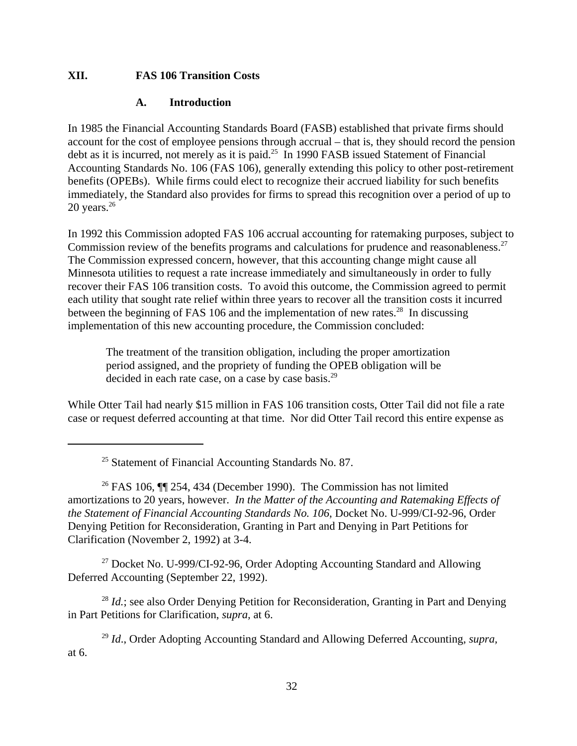#### **XII. FAS 106 Transition Costs**

#### **A. Introduction**

In 1985 the Financial Accounting Standards Board (FASB) established that private firms should account for the cost of employee pensions through accrual – that is, they should record the pension debt as it is incurred, not merely as it is paid.<sup>25</sup> In 1990 FASB issued Statement of Financial Accounting Standards No. 106 (FAS 106), generally extending this policy to other post-retirement benefits (OPEBs). While firms could elect to recognize their accrued liability for such benefits immediately, the Standard also provides for firms to spread this recognition over a period of up to 20 years.<sup>26</sup>

In 1992 this Commission adopted FAS 106 accrual accounting for ratemaking purposes, subject to Commission review of the benefits programs and calculations for prudence and reasonableness.<sup>27</sup> The Commission expressed concern, however, that this accounting change might cause all Minnesota utilities to request a rate increase immediately and simultaneously in order to fully recover their FAS 106 transition costs. To avoid this outcome, the Commission agreed to permit each utility that sought rate relief within three years to recover all the transition costs it incurred between the beginning of FAS 106 and the implementation of new rates.<sup>28</sup> In discussing implementation of this new accounting procedure, the Commission concluded:

The treatment of the transition obligation, including the proper amortization period assigned, and the propriety of funding the OPEB obligation will be decided in each rate case, on a case by case basis.<sup>29</sup>

While Otter Tail had nearly \$15 million in FAS 106 transition costs, Otter Tail did not file a rate case or request deferred accounting at that time. Nor did Otter Tail record this entire expense as

 $25$  Statement of Financial Accounting Standards No. 87.

<sup>26</sup> FAS 106,  $\P$  254, 434 (December 1990). The Commission has not limited amortizations to 20 years, however. *In the Matter of the Accounting and Ratemaking Effects of the Statement of Financial Accounting Standards No. 106*, Docket No. U-999/CI-92-96, Order Denying Petition for Reconsideration, Granting in Part and Denying in Part Petitions for Clarification (November 2, 1992) at 3-4.

 $27$  Docket No. U-999/CI-92-96, Order Adopting Accounting Standard and Allowing Deferred Accounting (September 22, 1992).

<sup>28</sup> *Id.*; see also Order Denying Petition for Reconsideration, Granting in Part and Denying in Part Petitions for Clarification, *supra,* at 6.

<sup>29</sup> *Id*., Order Adopting Accounting Standard and Allowing Deferred Accounting, *supra,* at 6.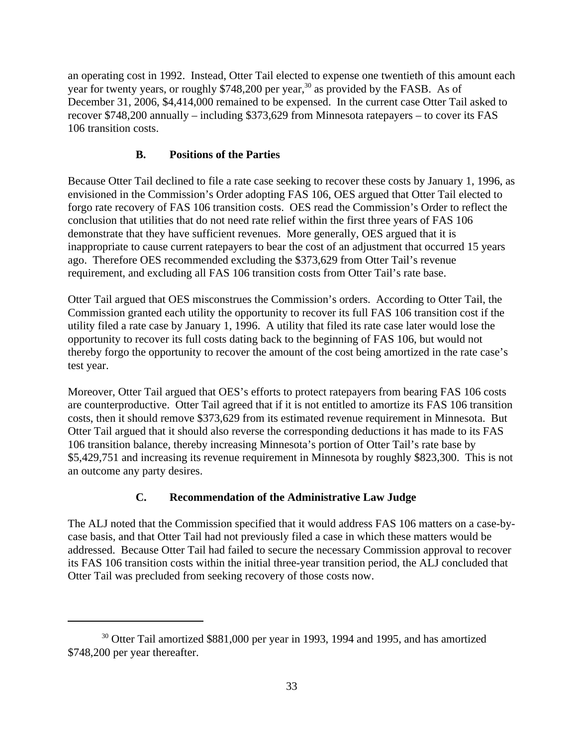an operating cost in 1992. Instead, Otter Tail elected to expense one twentieth of this amount each year for twenty years, or roughly  $$748,200$  per year,<sup>30</sup> as provided by the FASB. As of December 31, 2006, \$4,414,000 remained to be expensed. In the current case Otter Tail asked to recover \$748,200 annually – including \$373,629 from Minnesota ratepayers – to cover its FAS 106 transition costs.

#### **B. Positions of the Parties**

Because Otter Tail declined to file a rate case seeking to recover these costs by January 1, 1996, as envisioned in the Commission's Order adopting FAS 106, OES argued that Otter Tail elected to forgo rate recovery of FAS 106 transition costs. OES read the Commission's Order to reflect the conclusion that utilities that do not need rate relief within the first three years of FAS 106 demonstrate that they have sufficient revenues. More generally, OES argued that it is inappropriate to cause current ratepayers to bear the cost of an adjustment that occurred 15 years ago. Therefore OES recommended excluding the \$373,629 from Otter Tail's revenue requirement, and excluding all FAS 106 transition costs from Otter Tail's rate base.

Otter Tail argued that OES misconstrues the Commission's orders. According to Otter Tail, the Commission granted each utility the opportunity to recover its full FAS 106 transition cost if the utility filed a rate case by January 1, 1996. A utility that filed its rate case later would lose the opportunity to recover its full costs dating back to the beginning of FAS 106, but would not thereby forgo the opportunity to recover the amount of the cost being amortized in the rate case's test year.

Moreover, Otter Tail argued that OES's efforts to protect ratepayers from bearing FAS 106 costs are counterproductive. Otter Tail agreed that if it is not entitled to amortize its FAS 106 transition costs, then it should remove \$373,629 from its estimated revenue requirement in Minnesota. But Otter Tail argued that it should also reverse the corresponding deductions it has made to its FAS 106 transition balance, thereby increasing Minnesota's portion of Otter Tail's rate base by \$5,429,751 and increasing its revenue requirement in Minnesota by roughly \$823,300. This is not an outcome any party desires.

#### **C. Recommendation of the Administrative Law Judge**

The ALJ noted that the Commission specified that it would address FAS 106 matters on a case-bycase basis, and that Otter Tail had not previously filed a case in which these matters would be addressed. Because Otter Tail had failed to secure the necessary Commission approval to recover its FAS 106 transition costs within the initial three-year transition period, the ALJ concluded that Otter Tail was precluded from seeking recovery of those costs now.

<sup>&</sup>lt;sup>30</sup> Otter Tail amortized \$881,000 per year in 1993, 1994 and 1995, and has amortized \$748,200 per year thereafter.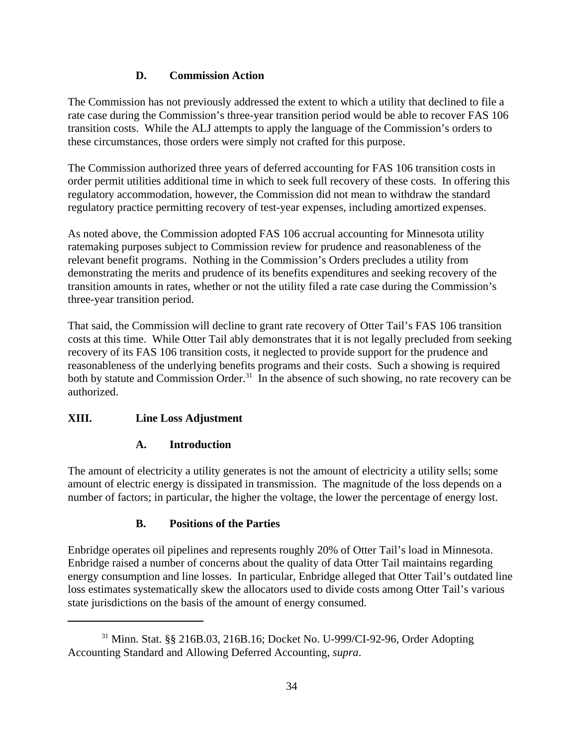## **D. Commission Action**

The Commission has not previously addressed the extent to which a utility that declined to file a rate case during the Commission's three-year transition period would be able to recover FAS 106 transition costs. While the ALJ attempts to apply the language of the Commission's orders to these circumstances, those orders were simply not crafted for this purpose.

The Commission authorized three years of deferred accounting for FAS 106 transition costs in order permit utilities additional time in which to seek full recovery of these costs. In offering this regulatory accommodation, however, the Commission did not mean to withdraw the standard regulatory practice permitting recovery of test-year expenses, including amortized expenses.

As noted above, the Commission adopted FAS 106 accrual accounting for Minnesota utility ratemaking purposes subject to Commission review for prudence and reasonableness of the relevant benefit programs. Nothing in the Commission's Orders precludes a utility from demonstrating the merits and prudence of its benefits expenditures and seeking recovery of the transition amounts in rates, whether or not the utility filed a rate case during the Commission's three-year transition period.

That said, the Commission will decline to grant rate recovery of Otter Tail's FAS 106 transition costs at this time. While Otter Tail ably demonstrates that it is not legally precluded from seeking recovery of its FAS 106 transition costs, it neglected to provide support for the prudence and reasonableness of the underlying benefits programs and their costs. Such a showing is required both by statute and Commission Order.<sup>31</sup> In the absence of such showing, no rate recovery can be authorized.

# **XIII. Line Loss Adjustment**

#### **A. Introduction**

The amount of electricity a utility generates is not the amount of electricity a utility sells; some amount of electric energy is dissipated in transmission. The magnitude of the loss depends on a number of factors; in particular, the higher the voltage, the lower the percentage of energy lost.

# **B. Positions of the Parties**

Enbridge operates oil pipelines and represents roughly 20% of Otter Tail's load in Minnesota. Enbridge raised a number of concerns about the quality of data Otter Tail maintains regarding energy consumption and line losses. In particular, Enbridge alleged that Otter Tail's outdated line loss estimates systematically skew the allocators used to divide costs among Otter Tail's various state jurisdictions on the basis of the amount of energy consumed.

<sup>31</sup> Minn. Stat. §§ 216B.03, 216B.16; Docket No. U-999/CI-92-96, Order Adopting Accounting Standard and Allowing Deferred Accounting, *supra*.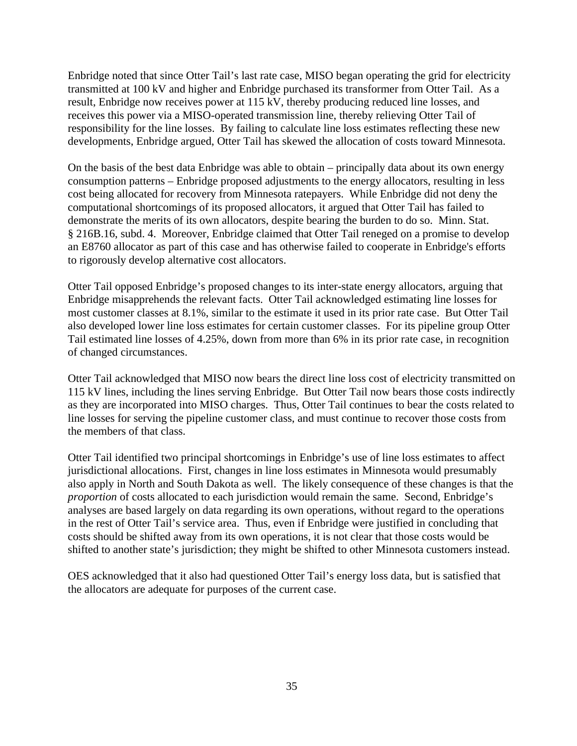Enbridge noted that since Otter Tail's last rate case, MISO began operating the grid for electricity transmitted at 100 kV and higher and Enbridge purchased its transformer from Otter Tail. As a result, Enbridge now receives power at 115 kV, thereby producing reduced line losses, and receives this power via a MISO-operated transmission line, thereby relieving Otter Tail of responsibility for the line losses. By failing to calculate line loss estimates reflecting these new developments, Enbridge argued, Otter Tail has skewed the allocation of costs toward Minnesota.

On the basis of the best data Enbridge was able to obtain – principally data about its own energy consumption patterns – Enbridge proposed adjustments to the energy allocators, resulting in less cost being allocated for recovery from Minnesota ratepayers. While Enbridge did not deny the computational shortcomings of its proposed allocators, it argued that Otter Tail has failed to demonstrate the merits of its own allocators, despite bearing the burden to do so. Minn. Stat. § 216B.16, subd. 4. Moreover, Enbridge claimed that Otter Tail reneged on a promise to develop an E8760 allocator as part of this case and has otherwise failed to cooperate in Enbridge's efforts to rigorously develop alternative cost allocators.

Otter Tail opposed Enbridge's proposed changes to its inter-state energy allocators, arguing that Enbridge misapprehends the relevant facts. Otter Tail acknowledged estimating line losses for most customer classes at 8.1%, similar to the estimate it used in its prior rate case. But Otter Tail also developed lower line loss estimates for certain customer classes. For its pipeline group Otter Tail estimated line losses of 4.25%, down from more than 6% in its prior rate case, in recognition of changed circumstances.

Otter Tail acknowledged that MISO now bears the direct line loss cost of electricity transmitted on 115 kV lines, including the lines serving Enbridge. But Otter Tail now bears those costs indirectly as they are incorporated into MISO charges. Thus, Otter Tail continues to bear the costs related to line losses for serving the pipeline customer class, and must continue to recover those costs from the members of that class.

Otter Tail identified two principal shortcomings in Enbridge's use of line loss estimates to affect jurisdictional allocations. First, changes in line loss estimates in Minnesota would presumably also apply in North and South Dakota as well. The likely consequence of these changes is that the *proportion* of costs allocated to each jurisdiction would remain the same. Second, Enbridge's analyses are based largely on data regarding its own operations, without regard to the operations in the rest of Otter Tail's service area. Thus, even if Enbridge were justified in concluding that costs should be shifted away from its own operations, it is not clear that those costs would be shifted to another state's jurisdiction; they might be shifted to other Minnesota customers instead.

OES acknowledged that it also had questioned Otter Tail's energy loss data, but is satisfied that the allocators are adequate for purposes of the current case.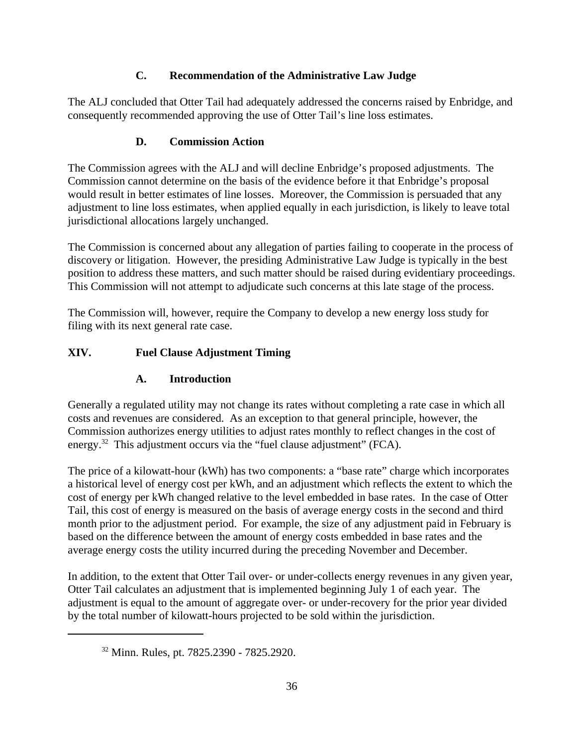# **C. Recommendation of the Administrative Law Judge**

The ALJ concluded that Otter Tail had adequately addressed the concerns raised by Enbridge, and consequently recommended approving the use of Otter Tail's line loss estimates.

# **D. Commission Action**

The Commission agrees with the ALJ and will decline Enbridge's proposed adjustments. The Commission cannot determine on the basis of the evidence before it that Enbridge's proposal would result in better estimates of line losses. Moreover, the Commission is persuaded that any adjustment to line loss estimates, when applied equally in each jurisdiction, is likely to leave total jurisdictional allocations largely unchanged.

The Commission is concerned about any allegation of parties failing to cooperate in the process of discovery or litigation. However, the presiding Administrative Law Judge is typically in the best position to address these matters, and such matter should be raised during evidentiary proceedings. This Commission will not attempt to adjudicate such concerns at this late stage of the process.

The Commission will, however, require the Company to develop a new energy loss study for filing with its next general rate case.

# **XIV. Fuel Clause Adjustment Timing**

## **A. Introduction**

Generally a regulated utility may not change its rates without completing a rate case in which all costs and revenues are considered. As an exception to that general principle, however, the Commission authorizes energy utilities to adjust rates monthly to reflect changes in the cost of energy.<sup>32</sup> This adjustment occurs via the "fuel clause adjustment" (FCA).

The price of a kilowatt-hour (kWh) has two components: a "base rate" charge which incorporates a historical level of energy cost per kWh, and an adjustment which reflects the extent to which the cost of energy per kWh changed relative to the level embedded in base rates. In the case of Otter Tail, this cost of energy is measured on the basis of average energy costs in the second and third month prior to the adjustment period. For example, the size of any adjustment paid in February is based on the difference between the amount of energy costs embedded in base rates and the average energy costs the utility incurred during the preceding November and December.

In addition, to the extent that Otter Tail over- or under-collects energy revenues in any given year, Otter Tail calculates an adjustment that is implemented beginning July 1 of each year. The adjustment is equal to the amount of aggregate over- or under-recovery for the prior year divided by the total number of kilowatt-hours projected to be sold within the jurisdiction.

<sup>32</sup> Minn. Rules, pt. 7825.2390 - 7825.2920.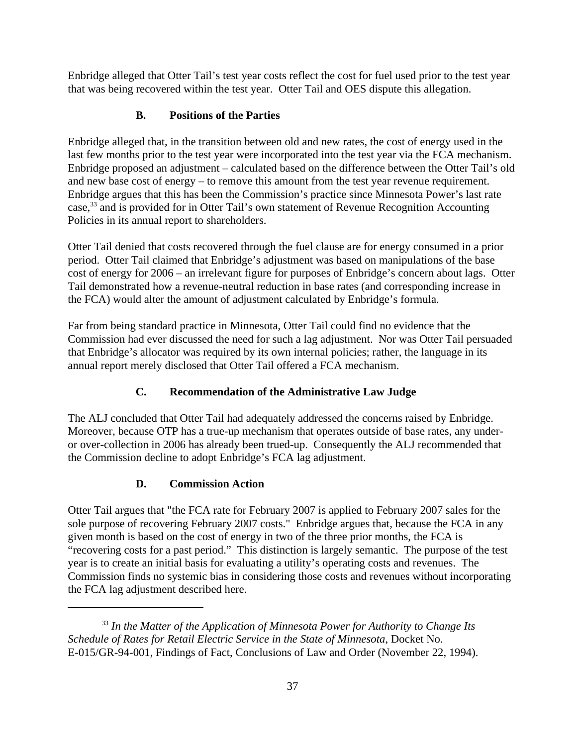Enbridge alleged that Otter Tail's test year costs reflect the cost for fuel used prior to the test year that was being recovered within the test year. Otter Tail and OES dispute this allegation.

## **B. Positions of the Parties**

Enbridge alleged that, in the transition between old and new rates, the cost of energy used in the last few months prior to the test year were incorporated into the test year via the FCA mechanism. Enbridge proposed an adjustment – calculated based on the difference between the Otter Tail's old and new base cost of energy – to remove this amount from the test year revenue requirement. Enbridge argues that this has been the Commission's practice since Minnesota Power's last rate case,33 and is provided for in Otter Tail's own statement of Revenue Recognition Accounting Policies in its annual report to shareholders.

Otter Tail denied that costs recovered through the fuel clause are for energy consumed in a prior period. Otter Tail claimed that Enbridge's adjustment was based on manipulations of the base cost of energy for 2006 – an irrelevant figure for purposes of Enbridge's concern about lags. Otter Tail demonstrated how a revenue-neutral reduction in base rates (and corresponding increase in the FCA) would alter the amount of adjustment calculated by Enbridge's formula.

Far from being standard practice in Minnesota, Otter Tail could find no evidence that the Commission had ever discussed the need for such a lag adjustment. Nor was Otter Tail persuaded that Enbridge's allocator was required by its own internal policies; rather, the language in its annual report merely disclosed that Otter Tail offered a FCA mechanism.

# **C. Recommendation of the Administrative Law Judge**

The ALJ concluded that Otter Tail had adequately addressed the concerns raised by Enbridge. Moreover, because OTP has a true-up mechanism that operates outside of base rates, any underor over-collection in 2006 has already been trued-up. Consequently the ALJ recommended that the Commission decline to adopt Enbridge's FCA lag adjustment.

## **D. Commission Action**

Otter Tail argues that "the FCA rate for February 2007 is applied to February 2007 sales for the sole purpose of recovering February 2007 costs." Enbridge argues that, because the FCA in any given month is based on the cost of energy in two of the three prior months, the FCA is "recovering costs for a past period." This distinction is largely semantic. The purpose of the test year is to create an initial basis for evaluating a utility's operating costs and revenues. The Commission finds no systemic bias in considering those costs and revenues without incorporating the FCA lag adjustment described here.

<sup>33</sup> *In the Matter of the Application of Minnesota Power for Authority to Change Its Schedule of Rates for Retail Electric Service in the State of Minnesota*, Docket No. E-015/GR-94-001, Findings of Fact, Conclusions of Law and Order (November 22, 1994).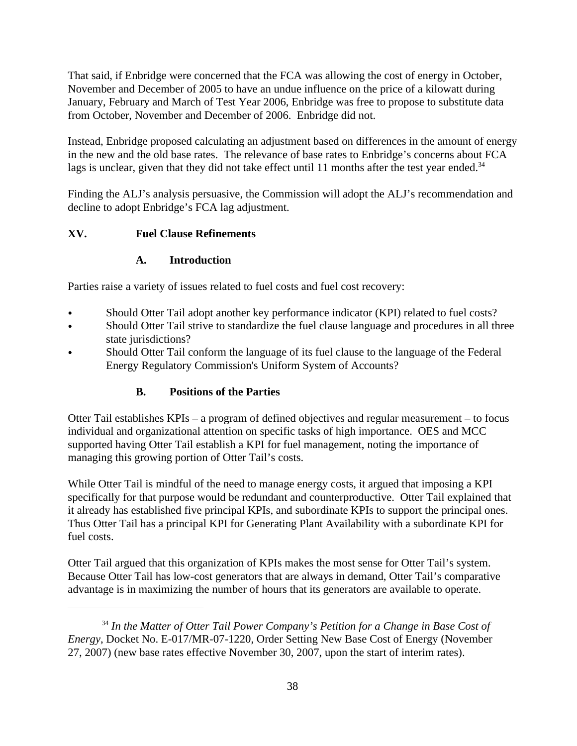That said, if Enbridge were concerned that the FCA was allowing the cost of energy in October, November and December of 2005 to have an undue influence on the price of a kilowatt during January, February and March of Test Year 2006, Enbridge was free to propose to substitute data from October, November and December of 2006. Enbridge did not.

Instead, Enbridge proposed calculating an adjustment based on differences in the amount of energy in the new and the old base rates. The relevance of base rates to Enbridge's concerns about FCA lags is unclear, given that they did not take effect until 11 months after the test year ended. $34$ 

lags is unclear, given that they did not take effect until 11 months after the test year ended.<sup>34</sup><br>Finding the ALJ's analysis persuasive, the Commission will adopt the ALJ's recommendation and decline to adopt Enbridge's FCA lag adjustment.

## **XV. Fuel Clause Refinements**

#### **A. Introduction**

Parties raise a variety of issues related to fuel costs and fuel cost recovery:

- Should Otter Tail adopt another key performance indicator (KPI) related to fuel costs?
- Should Otter Tail strive to standardize the fuel clause language and procedures in all three state jurisdictions?
- Should Otter Tail conform the language of its fuel clause to the language of the Federal Energy Regulatory Commission's Uniform System of Accounts?

# **B. Positions of the Parties**

Otter Tail establishes KPIs – a program of defined objectives and regular measurement – to focus individual and organizational attention on specific tasks of high importance. OES and MCC supported having Otter Tail establish a KPI for fuel management, noting the importance of managing this growing portion of Otter Tail's costs.

While Otter Tail is mindful of the need to manage energy costs, it argued that imposing a KPI specifically for that purpose would be redundant and counterproductive. Otter Tail explained that it already has established five principal KPIs, and subordinate KPIs to support the principal ones. Thus Otter Tail has a principal KPI for Generating Plant Availability with a subordinate KPI for fuel costs.

Otter Tail argued that this organization of KPIs makes the most sense for Otter Tail's system. Because Otter Tail has low-cost generators that are always in demand, Otter Tail's comparative advantage is in maximizing the number of hours that its generators are available to operate.

<sup>34</sup> *In the Matter of Otter Tail Power Company's Petition for a Change in Base Cost of Energy*, Docket No. E-017/MR-07-1220, Order Setting New Base Cost of Energy (November 27, 2007) (new base rates effective November 30, 2007, upon the start of interim rates).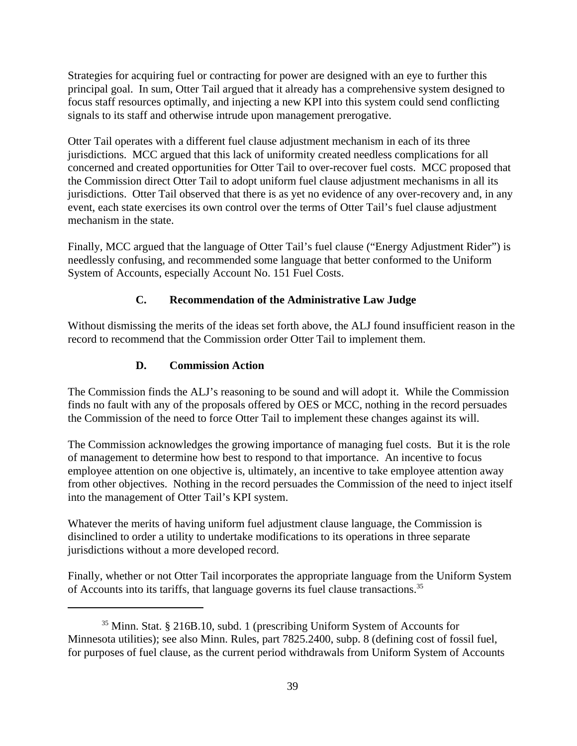Strategies for acquiring fuel or contracting for power are designed with an eye to further this principal goal. In sum, Otter Tail argued that it already has a comprehensive system designed to focus staff resources optimally, and injecting a new KPI into this system could send conflicting signals to its staff and otherwise intrude upon management prerogative.

Otter Tail operates with a different fuel clause adjustment mechanism in each of its three jurisdictions. MCC argued that this lack of uniformity created needless complications for all concerned and created opportunities for Otter Tail to over-recover fuel costs. MCC proposed that the Commission direct Otter Tail to adopt uniform fuel clause adjustment mechanisms in all its jurisdictions. Otter Tail observed that there is as yet no evidence of any over-recovery and, in any event, each state exercises its own control over the terms of Otter Tail's fuel clause adjustment mechanism in the state.

Finally, MCC argued that the language of Otter Tail's fuel clause ("Energy Adjustment Rider") is needlessly confusing, and recommended some language that better conformed to the Uniform System of Accounts, especially Account No. 151 Fuel Costs.

# **C. Recommendation of the Administrative Law Judge**

Without dismissing the merits of the ideas set forth above, the ALJ found insufficient reason in the record to recommend that the Commission order Otter Tail to implement them.

# **D. Commission Action**

The Commission finds the ALJ's reasoning to be sound and will adopt it. While the Commission finds no fault with any of the proposals offered by OES or MCC, nothing in the record persuades the Commission of the need to force Otter Tail to implement these changes against its will.

The Commission acknowledges the growing importance of managing fuel costs. But it is the role of management to determine how best to respond to that importance. An incentive to focus employee attention on one objective is, ultimately, an incentive to take employee attention away from other objectives. Nothing in the record persuades the Commission of the need to inject itself into the management of Otter Tail's KPI system.

Whatever the merits of having uniform fuel adjustment clause language, the Commission is disinclined to order a utility to undertake modifications to its operations in three separate jurisdictions without a more developed record.

Finally, whether or not Otter Tail incorporates the appropriate language from the Uniform System of Accounts into its tariffs, that language governs its fuel clause transactions.<sup>35</sup>

<sup>35</sup> Minn. Stat. § 216B.10, subd. 1 (prescribing Uniform System of Accounts for Minnesota utilities); see also Minn. Rules, part 7825.2400, subp. 8 (defining cost of fossil fuel, for purposes of fuel clause, as the current period withdrawals from Uniform System of Accounts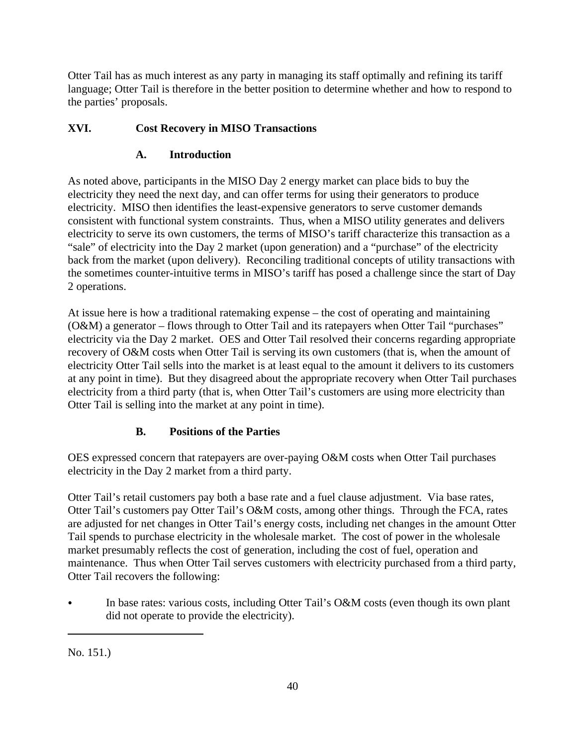Otter Tail has as much interest as any party in managing its staff optimally and refining its tariff language; Otter Tail is therefore in the better position to determine whether and how to respond to the parties' proposals.

# **XVI. Cost Recovery in MISO Transactions**

# **A. Introduction**

As noted above, participants in the MISO Day 2 energy market can place bids to buy the electricity they need the next day, and can offer terms for using their generators to produce electricity. MISO then identifies the least-expensive generators to serve customer demands consistent with functional system constraints. Thus, when a MISO utility generates and delivers electricity to serve its own customers, the terms of MISO's tariff characterize this transaction as a "sale" of electricity into the Day 2 market (upon generation) and a "purchase" of the electricity back from the market (upon delivery). Reconciling traditional concepts of utility transactions with the sometimes counter-intuitive terms in MISO's tariff has posed a challenge since the start of Day 2 operations.

At issue here is how a traditional ratemaking expense – the cost of operating and maintaining (O&M) a generator – flows through to Otter Tail and its ratepayers when Otter Tail "purchases" electricity via the Day 2 market. OES and Otter Tail resolved their concerns regarding appropriate recovery of O&M costs when Otter Tail is serving its own customers (that is, when the amount of electricity Otter Tail sells into the market is at least equal to the amount it delivers to its customers at any point in time). But they disagreed about the appropriate recovery when Otter Tail purchases electricity from a third party (that is, when Otter Tail's customers are using more electricity than Otter Tail is selling into the market at any point in time).

# **B. Positions of the Parties**

OES expressed concern that ratepayers are over-paying O&M costs when Otter Tail purchases electricity in the Day 2 market from a third party.

Otter Tail's retail customers pay both a base rate and a fuel clause adjustment. Via base rates, Otter Tail's customers pay Otter Tail's O&M costs, among other things. Through the FCA, rates are adjusted for net changes in Otter Tail's energy costs, including net changes in the amount Otter Tail spends to purchase electricity in the wholesale market. The cost of power in the wholesale market presumably reflects the cost of generation, including the cost of fuel, operation and maintenance. Thus when Otter Tail serves customers with electricity purchased from a third party, Otter Tail recovers the following:

In base rates: various costs, including Otter Tail's O&M costs (even though its own plant did not operate to provide the electricity).

No. 151.)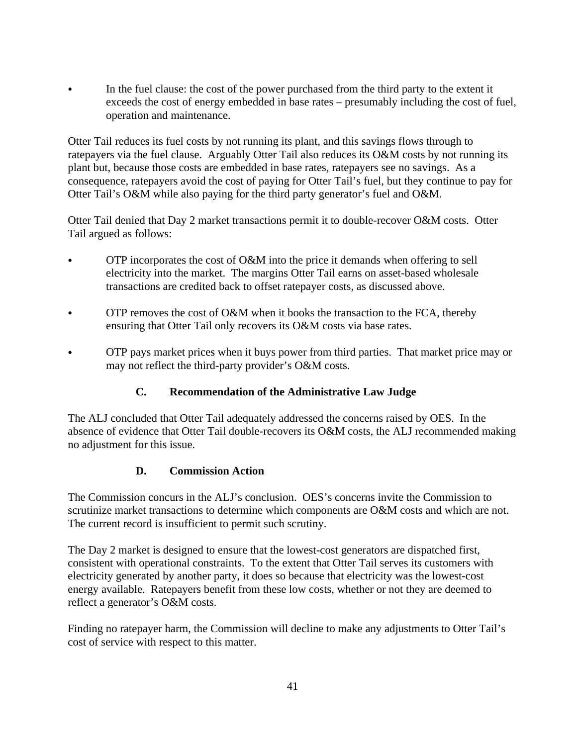In the fuel clause: the cost of the power purchased from the third party to the extent it exceeds the cost of energy embedded in base rates – presumably including the cost of fuel, operation and maintenance.

Otter Tail reduces its fuel costs by not running its plant, and this savings flows through to ratepayers via the fuel clause. Arguably Otter Tail also reduces its O&M costs by not running its plant but, because those costs are embedded in base rates, ratepayers see no savings. As a consequence, ratepayers avoid the cost of paying for Otter Tail's fuel, but they continue to pay for Otter Tail's O&M while also paying for the third party generator's fuel and O&M.

Otter Tail denied that Day 2 market transactions permit it to double-recover O&M costs. Otter Tail argued as follows:

- OTP incorporates the cost of O&M into the price it demands when offering to sell electricity into the market. The margins Otter Tail earns on asset-based wholesale transactions are credited back to offset ratepayer costs, as discussed above.
- OTP removes the cost of O&M when it books the transaction to the FCA, thereby ensuring that Otter Tail only recovers its O&M costs via base rates.
- OTP pays market prices when it buys power from third parties. That market price may or may not reflect the third-party provider's O&M costs.

## **C. Recommendation of the Administrative Law Judge**

The ALJ concluded that Otter Tail adequately addressed the concerns raised by OES. In the absence of evidence that Otter Tail double-recovers its O&M costs, the ALJ recommended making no adjustment for this issue.

## **D. Commission Action**

The Commission concurs in the ALJ's conclusion. OES's concerns invite the Commission to scrutinize market transactions to determine which components are O&M costs and which are not. The current record is insufficient to permit such scrutiny.

The Day 2 market is designed to ensure that the lowest-cost generators are dispatched first, consistent with operational constraints. To the extent that Otter Tail serves its customers with electricity generated by another party, it does so because that electricity was the lowest-cost energy available. Ratepayers benefit from these low costs, whether or not they are deemed to reflect a generator's O&M costs.

Finding no ratepayer harm, the Commission will decline to make any adjustments to Otter Tail's cost of service with respect to this matter.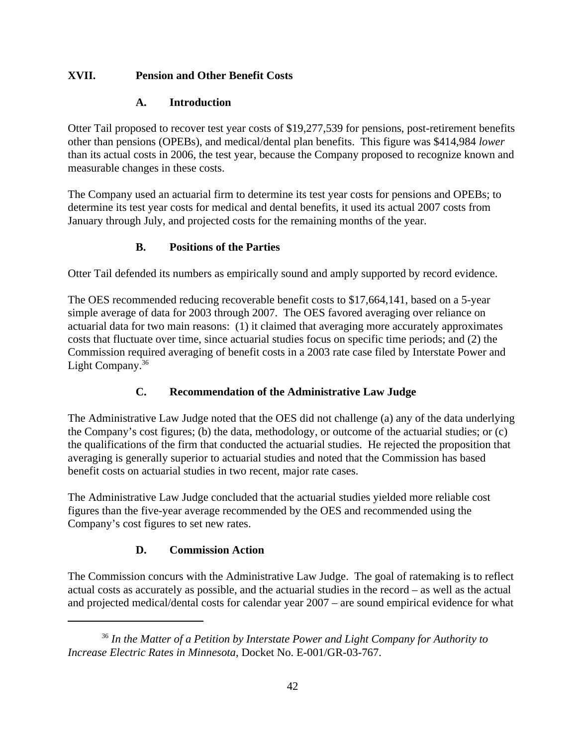## **XVII. Pension and Other Benefit Costs**

## **A. Introduction**

Otter Tail proposed to recover test year costs of \$19,277,539 for pensions, post-retirement benefits other than pensions (OPEBs), and medical/dental plan benefits. This figure was \$414,984 *lower* than its actual costs in 2006, the test year, because the Company proposed to recognize known and measurable changes in these costs.

The Company used an actuarial firm to determine its test year costs for pensions and OPEBs; to determine its test year costs for medical and dental benefits, it used its actual 2007 costs from January through July, and projected costs for the remaining months of the year.

# **B. Positions of the Parties**

Otter Tail defended its numbers as empirically sound and amply supported by record evidence.

The OES recommended reducing recoverable benefit costs to \$17,664,141, based on a 5-year simple average of data for 2003 through 2007. The OES favored averaging over reliance on actuarial data for two main reasons: (1) it claimed that averaging more accurately approximates costs that fluctuate over time, since actuarial studies focus on specific time periods; and (2) the Commission required averaging of benefit costs in a 2003 rate case filed by Interstate Power and Light Company.<sup>36</sup>

# **C. Recommendation of the Administrative Law Judge**

The Administrative Law Judge noted that the OES did not challenge (a) any of the data underlying the Company's cost figures; (b) the data, methodology, or outcome of the actuarial studies; or (c) the qualifications of the firm that conducted the actuarial studies. He rejected the proposition that averaging is generally superior to actuarial studies and noted that the Commission has based benefit costs on actuarial studies in two recent, major rate cases.

The Administrative Law Judge concluded that the actuarial studies yielded more reliable cost figures than the five-year average recommended by the OES and recommended using the Company's cost figures to set new rates.

# **D. Commission Action**

The Commission concurs with the Administrative Law Judge. The goal of ratemaking is to reflect actual costs as accurately as possible, and the actuarial studies in the record – as well as the actual and projected medical/dental costs for calendar year 2007 – are sound empirical evidence for what

<sup>36</sup> *In the Matter of a Petition by Interstate Power and Light Company for Authority to Increase Electric Rates in Minnesota*, Docket No. E-001/GR-03-767.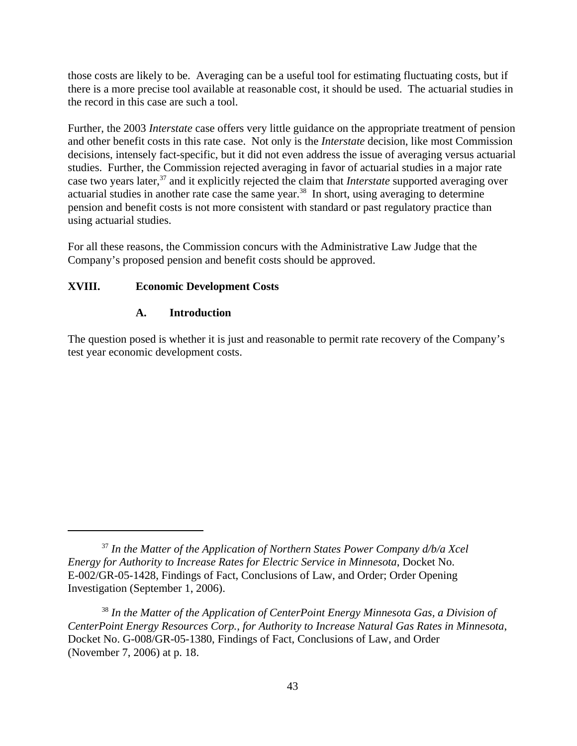those costs are likely to be. Averaging can be a useful tool for estimating fluctuating costs, but if there is a more precise tool available at reasonable cost, it should be used. The actuarial studies in the record in this case are such a tool.

Further, the 2003 *Interstate* case offers very little guidance on the appropriate treatment of pension and other benefit costs in this rate case. Not only is the *Interstate* decision, like most Commission decisions, intensely fact-specific, but it did not even address the issue of averaging versus actuarial studies. Further, the Commission rejected averaging in favor of actuarial studies in a major rate case two years later,37 and it explicitly rejected the claim that *Interstate* supported averaging over actuarial studies in another rate case the same year.<sup>38</sup> In short, using averaging to determine pension and benefit costs is not more consistent with standard or past regulatory practice than using actuarial studies.

For all these reasons, the Commission concurs with the Administrative Law Judge that the Company's proposed pension and benefit costs should be approved.

#### **XVIII. Economic Development Costs**

#### **A. Introduction**

The question posed is whether it is just and reasonable to permit rate recovery of the Company's test year economic development costs.

<sup>37</sup> *In the Matter of the Application of Northern States Power Company d/b/a Xcel Energy for Authority to Increase Rates for Electric Service in Minnesota*, Docket No. E-002/GR-05-1428, Findings of Fact, Conclusions of Law, and Order; Order Opening Investigation (September 1, 2006).

<sup>38</sup> *In the Matter of the Application of CenterPoint Energy Minnesota Gas, a Division of CenterPoint Energy Resources Corp., for Authority to Increase Natural Gas Rates in Minnesota*, Docket No. G-008/GR-05-1380, Findings of Fact, Conclusions of Law, and Order (November 7, 2006) at p. 18.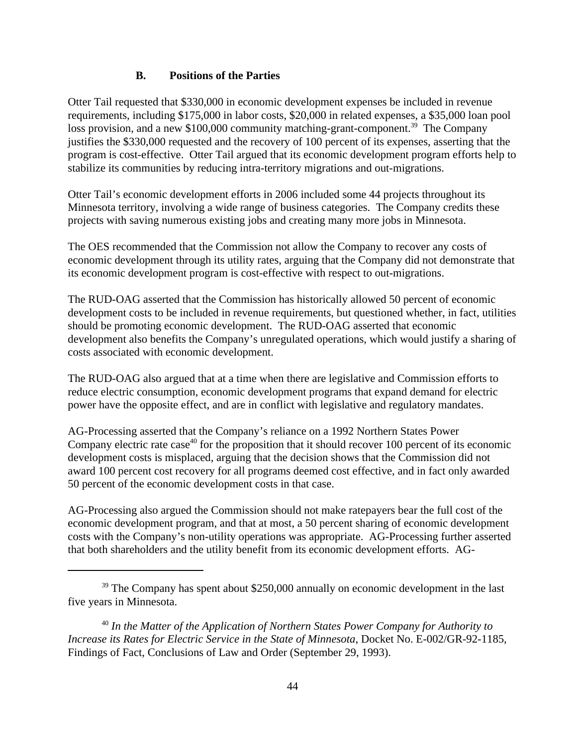#### **B. Positions of the Parties**

Otter Tail requested that \$330,000 in economic development expenses be included in revenue requirements, including \$175,000 in labor costs, \$20,000 in related expenses, a \$35,000 loan pool loss provision, and a new \$100,000 community matching-grant-component.<sup>39</sup> The Company justifies the \$330,000 requested and the recovery of 100 percent of its expenses, asserting that the program is cost-effective. Otter Tail argued that its economic development program efforts help to stabilize its communities by reducing intra-territory migrations and out-migrations.

Otter Tail's economic development efforts in 2006 included some 44 projects throughout its Minnesota territory, involving a wide range of business categories. The Company credits these projects with saving numerous existing jobs and creating many more jobs in Minnesota.

The OES recommended that the Commission not allow the Company to recover any costs of economic development through its utility rates, arguing that the Company did not demonstrate that its economic development program is cost-effective with respect to out-migrations.

The RUD-OAG asserted that the Commission has historically allowed 50 percent of economic development costs to be included in revenue requirements, but questioned whether, in fact, utilities should be promoting economic development. The RUD-OAG asserted that economic development also benefits the Company's unregulated operations, which would justify a sharing of costs associated with economic development.

The RUD-OAG also argued that at a time when there are legislative and Commission efforts to reduce electric consumption, economic development programs that expand demand for electric power have the opposite effect, and are in conflict with legislative and regulatory mandates.

AG-Processing asserted that the Company's reliance on a 1992 Northern States Power Company electric rate case<sup>40</sup> for the proposition that it should recover 100 percent of its economic development costs is misplaced, arguing that the decision shows that the Commission did not award 100 percent cost recovery for all programs deemed cost effective, and in fact only awarded 50 percent of the economic development costs in that case.

AG-Processing also argued the Commission should not make ratepayers bear the full cost of the economic development program, and that at most, a 50 percent sharing of economic development costs with the Company's non-utility operations was appropriate. AG-Processing further asserted that both shareholders and the utility benefit from its economic development efforts. AG-

<sup>40</sup> *In the Matter of the Application of Northern States Power Company for Authority to Increase its Rates for Electric Service in the State of Minnesota*, Docket No. E-002/GR-92-1185, Findings of Fact, Conclusions of Law and Order (September 29, 1993).

 $39$  The Company has spent about \$250,000 annually on economic development in the last five years in Minnesota.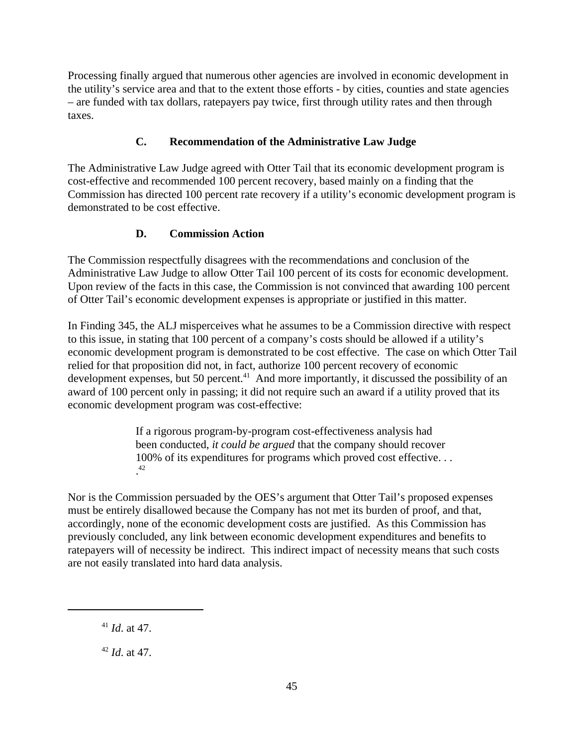Processing finally argued that numerous other agencies are involved in economic development in the utility's service area and that to the extent those efforts - by cities, counties and state agencies – are funded with tax dollars, ratepayers pay twice, first through utility rates and then through taxes.

# **C. Recommendation of the Administrative Law Judge**

The Administrative Law Judge agreed with Otter Tail that its economic development program is cost-effective and recommended 100 percent recovery, based mainly on a finding that the Commission has directed 100 percent rate recovery if a utility's economic development program is demonstrated to be cost effective.

# **D. Commission Action**

The Commission respectfully disagrees with the recommendations and conclusion of the Administrative Law Judge to allow Otter Tail 100 percent of its costs for economic development. Upon review of the facts in this case, the Commission is not convinced that awarding 100 percent of Otter Tail's economic development expenses is appropriate or justified in this matter.

In Finding 345, the ALJ misperceives what he assumes to be a Commission directive with respect to this issue, in stating that 100 percent of a company's costs should be allowed if a utility's economic development program is demonstrated to be cost effective. The case on which Otter Tail relied for that proposition did not, in fact, authorize 100 percent recovery of economic development expenses, but 50 percent.<sup>41</sup> And more importantly, it discussed the possibility of an award of 100 percent only in passing; it did not require such an award if a utility proved that its economic development program was cost-effective:

> If a rigorous program-by-program cost-effectiveness analysis had been conducted, *it could be argued* that the company should recover 100% of its expenditures for programs which proved cost effective. . .  $\frac{12}{12}$ .42

 Nor is the Commission persuaded by the OES's argument that Otter Tail's proposed expenses must be entirely disallowed because the Company has not met its burden of proof, and that, accordingly, none of the economic development costs are justified. As this Commission has previously concluded, any link between economic development expenditures and benefits to ratepayers will of necessity be indirect. This indirect impact of necessity means that such costs are not easily translated into hard data analysis.

<sup>41</sup> *Id*. at 47.

<sup>42</sup> *Id*. at 47.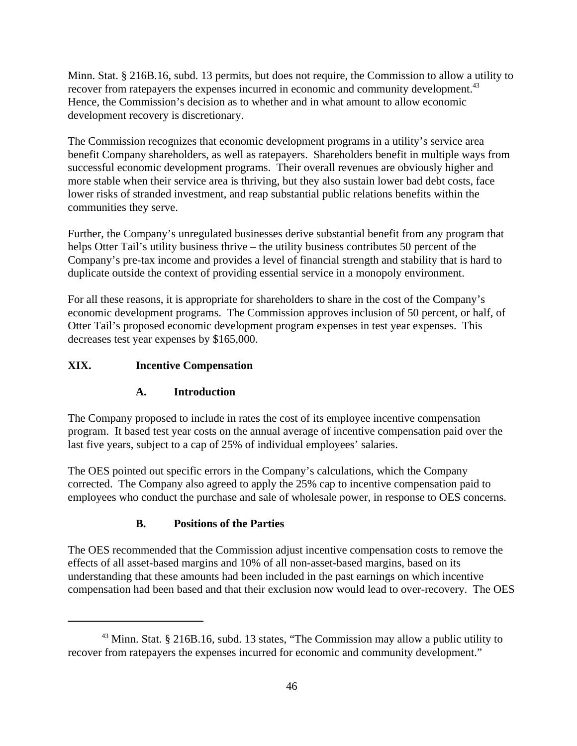Minn. Stat. § 216B.16, subd. 13 permits, but does not require, the Commission to allow a utility to recover from ratepayers the expenses incurred in economic and community development.<sup>43</sup> Hence, the Commission's decision as to whether and in what amount to allow economic development recovery is discretionary.

The Commission recognizes that economic development programs in a utility's service area benefit Company shareholders, as well as ratepayers. Shareholders benefit in multiple ways from successful economic development programs. Their overall revenues are obviously higher and more stable when their service area is thriving, but they also sustain lower bad debt costs, face lower risks of stranded investment, and reap substantial public relations benefits within the communities they serve.

Further, the Company's unregulated businesses derive substantial benefit from any program that helps Otter Tail's utility business thrive – the utility business contributes 50 percent of the Company's pre-tax income and provides a level of financial strength and stability that is hard to duplicate outside the context of providing essential service in a monopoly environment.

For all these reasons, it is appropriate for shareholders to share in the cost of the Company's economic development programs. The Commission approves inclusion of 50 percent, or half, of Otter Tail's proposed economic development program expenses in test year expenses. This decreases test year expenses by \$165,000.

# **XIX. Incentive Compensation**

## **A. Introduction**

The Company proposed to include in rates the cost of its employee incentive compensation program. It based test year costs on the annual average of incentive compensation paid over the last five years, subject to a cap of 25% of individual employees' salaries.

The OES pointed out specific errors in the Company's calculations, which the Company corrected. The Company also agreed to apply the 25% cap to incentive compensation paid to employees who conduct the purchase and sale of wholesale power, in response to OES concerns.

## **B. Positions of the Parties**

The OES recommended that the Commission adjust incentive compensation costs to remove the effects of all asset-based margins and 10% of all non-asset-based margins, based on its understanding that these amounts had been included in the past earnings on which incentive compensation had been based and that their exclusion now would lead to over-recovery. The OES

<sup>&</sup>lt;sup>43</sup> Minn. Stat. § 216B.16, subd. 13 states, "The Commission may allow a public utility to recover from ratepayers the expenses incurred for economic and community development."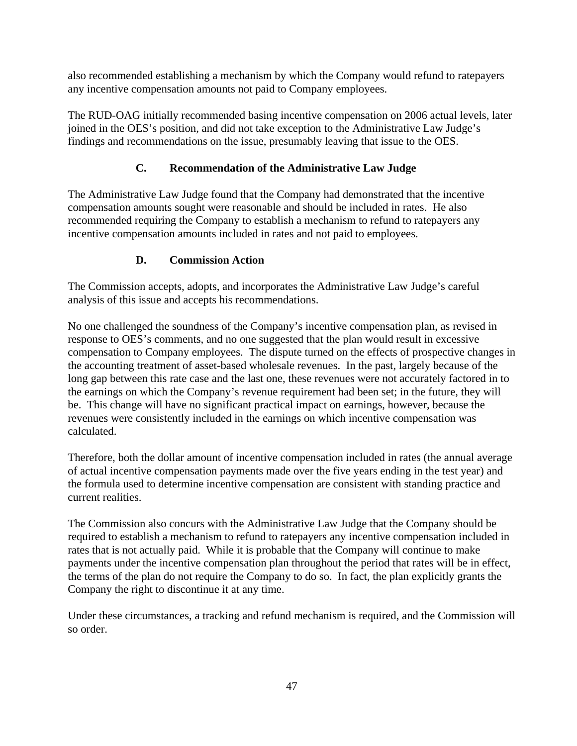also recommended establishing a mechanism by which the Company would refund to ratepayers any incentive compensation amounts not paid to Company employees.

The RUD-OAG initially recommended basing incentive compensation on 2006 actual levels, later joined in the OES's position, and did not take exception to the Administrative Law Judge's findings and recommendations on the issue, presumably leaving that issue to the OES.

# **C. Recommendation of the Administrative Law Judge**

The Administrative Law Judge found that the Company had demonstrated that the incentive compensation amounts sought were reasonable and should be included in rates. He also recommended requiring the Company to establish a mechanism to refund to ratepayers any incentive compensation amounts included in rates and not paid to employees.

# **D. Commission Action**

The Commission accepts, adopts, and incorporates the Administrative Law Judge's careful analysis of this issue and accepts his recommendations.

No one challenged the soundness of the Company's incentive compensation plan, as revised in response to OES's comments, and no one suggested that the plan would result in excessive compensation to Company employees. The dispute turned on the effects of prospective changes in the accounting treatment of asset-based wholesale revenues. In the past, largely because of the long gap between this rate case and the last one, these revenues were not accurately factored in to the earnings on which the Company's revenue requirement had been set; in the future, they will be. This change will have no significant practical impact on earnings, however, because the revenues were consistently included in the earnings on which incentive compensation was calculated.

Therefore, both the dollar amount of incentive compensation included in rates (the annual average of actual incentive compensation payments made over the five years ending in the test year) and the formula used to determine incentive compensation are consistent with standing practice and current realities.

The Commission also concurs with the Administrative Law Judge that the Company should be required to establish a mechanism to refund to ratepayers any incentive compensation included in rates that is not actually paid. While it is probable that the Company will continue to make payments under the incentive compensation plan throughout the period that rates will be in effect, the terms of the plan do not require the Company to do so. In fact, the plan explicitly grants the Company the right to discontinue it at any time.

Under these circumstances, a tracking and refund mechanism is required, and the Commission will so order.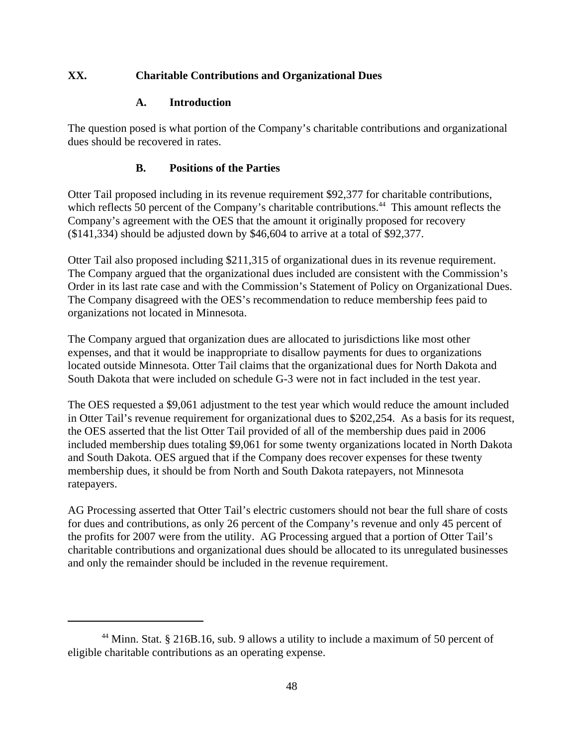## **XX. Charitable Contributions and Organizational Dues**

## **A. Introduction**

The question posed is what portion of the Company's charitable contributions and organizational dues should be recovered in rates.

## **B. Positions of the Parties**

Otter Tail proposed including in its revenue requirement \$92,377 for charitable contributions, which reflects 50 percent of the Company's charitable contributions.<sup>44</sup> This amount reflects the Company's agreement with the OES that the amount it originally proposed for recovery (\$141,334) should be adjusted down by \$46,604 to arrive at a total of \$92,377.

Otter Tail also proposed including \$211,315 of organizational dues in its revenue requirement. The Company argued that the organizational dues included are consistent with the Commission's Order in its last rate case and with the Commission's Statement of Policy on Organizational Dues. The Company disagreed with the OES's recommendation to reduce membership fees paid to organizations not located in Minnesota.

The Company argued that organization dues are allocated to jurisdictions like most other expenses, and that it would be inappropriate to disallow payments for dues to organizations located outside Minnesota. Otter Tail claims that the organizational dues for North Dakota and South Dakota that were included on schedule G-3 were not in fact included in the test year.

The OES requested a \$9,061 adjustment to the test year which would reduce the amount included in Otter Tail's revenue requirement for organizational dues to \$202,254. As a basis for its request, the OES asserted that the list Otter Tail provided of all of the membership dues paid in 2006 included membership dues totaling \$9,061 for some twenty organizations located in North Dakota and South Dakota. OES argued that if the Company does recover expenses for these twenty membership dues, it should be from North and South Dakota ratepayers, not Minnesota ratepayers.

AG Processing asserted that Otter Tail's electric customers should not bear the full share of costs for dues and contributions, as only 26 percent of the Company's revenue and only 45 percent of the profits for 2007 were from the utility. AG Processing argued that a portion of Otter Tail's charitable contributions and organizational dues should be allocated to its unregulated businesses and only the remainder should be included in the revenue requirement.

<sup>44</sup> Minn. Stat. § 216B.16, sub. 9 allows a utility to include a maximum of 50 percent of eligible charitable contributions as an operating expense.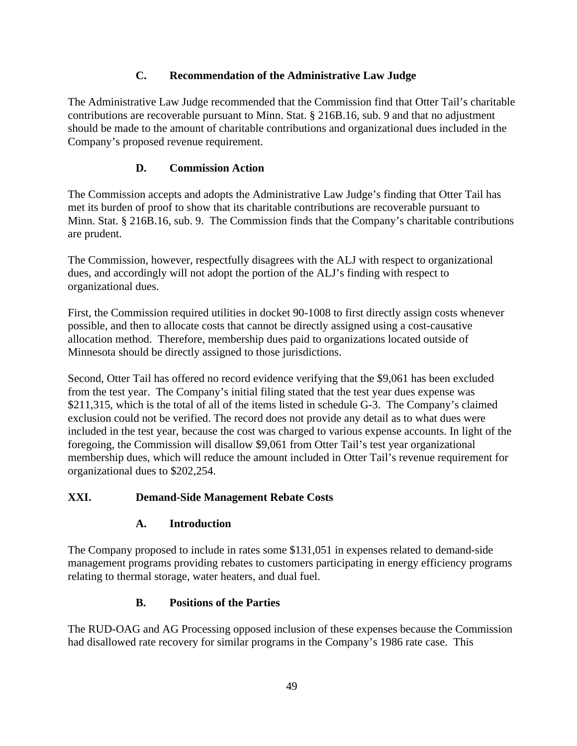# **C. Recommendation of the Administrative Law Judge**

The Administrative Law Judge recommended that the Commission find that Otter Tail's charitable contributions are recoverable pursuant to Minn. Stat. § 216B.16, sub. 9 and that no adjustment should be made to the amount of charitable contributions and organizational dues included in the Company's proposed revenue requirement.

# **D. Commission Action**

The Commission accepts and adopts the Administrative Law Judge's finding that Otter Tail has met its burden of proof to show that its charitable contributions are recoverable pursuant to Minn. Stat. § 216B.16, sub. 9. The Commission finds that the Company's charitable contributions are prudent.

The Commission, however, respectfully disagrees with the ALJ with respect to organizational dues, and accordingly will not adopt the portion of the ALJ's finding with respect to organizational dues.

First, the Commission required utilities in docket 90-1008 to first directly assign costs whenever possible, and then to allocate costs that cannot be directly assigned using a cost-causative allocation method. Therefore, membership dues paid to organizations located outside of Minnesota should be directly assigned to those jurisdictions.

Second, Otter Tail has offered no record evidence verifying that the \$9,061 has been excluded from the test year. The Company's initial filing stated that the test year dues expense was \$211,315, which is the total of all of the items listed in schedule G-3. The Company's claimed exclusion could not be verified. The record does not provide any detail as to what dues were included in the test year, because the cost was charged to various expense accounts. In light of the foregoing, the Commission will disallow \$9,061 from Otter Tail's test year organizational membership dues, which will reduce the amount included in Otter Tail's revenue requirement for organizational dues to \$202,254.

# **XXI. Demand-Side Management Rebate Costs**

## **A. Introduction**

The Company proposed to include in rates some \$131,051 in expenses related to demand-side management programs providing rebates to customers participating in energy efficiency programs relating to thermal storage, water heaters, and dual fuel.

# **B. Positions of the Parties**

The RUD-OAG and AG Processing opposed inclusion of these expenses because the Commission had disallowed rate recovery for similar programs in the Company's 1986 rate case. This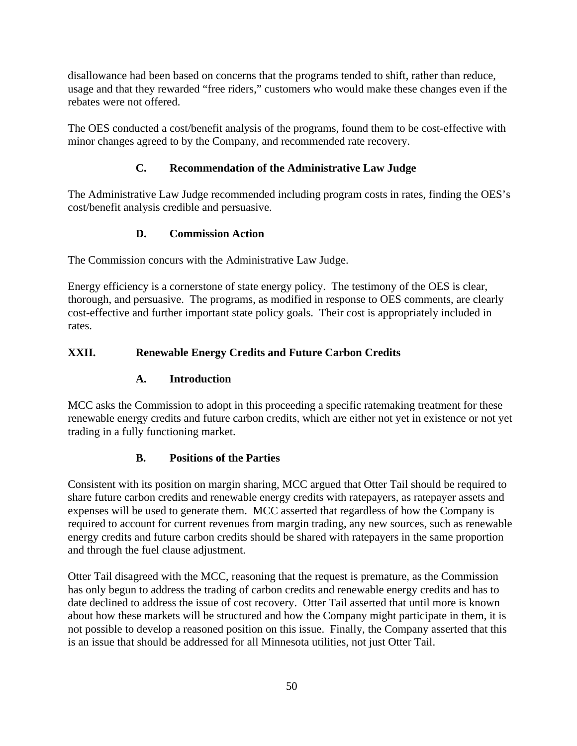disallowance had been based on concerns that the programs tended to shift, rather than reduce, usage and that they rewarded "free riders," customers who would make these changes even if the rebates were not offered.

The OES conducted a cost/benefit analysis of the programs, found them to be cost-effective with minor changes agreed to by the Company, and recommended rate recovery.

# **C. Recommendation of the Administrative Law Judge**

The Administrative Law Judge recommended including program costs in rates, finding the OES's cost/benefit analysis credible and persuasive.

# **D. Commission Action**

The Commission concurs with the Administrative Law Judge.

Energy efficiency is a cornerstone of state energy policy. The testimony of the OES is clear, thorough, and persuasive. The programs, as modified in response to OES comments, are clearly cost-effective and further important state policy goals. Their cost is appropriately included in rates.

# **XXII. Renewable Energy Credits and Future Carbon Credits**

## **A. Introduction**

MCC asks the Commission to adopt in this proceeding a specific ratemaking treatment for these renewable energy credits and future carbon credits, which are either not yet in existence or not yet trading in a fully functioning market.

## **B. Positions of the Parties**

Consistent with its position on margin sharing, MCC argued that Otter Tail should be required to share future carbon credits and renewable energy credits with ratepayers, as ratepayer assets and expenses will be used to generate them. MCC asserted that regardless of how the Company is required to account for current revenues from margin trading, any new sources, such as renewable energy credits and future carbon credits should be shared with ratepayers in the same proportion and through the fuel clause adjustment.

Otter Tail disagreed with the MCC, reasoning that the request is premature, as the Commission has only begun to address the trading of carbon credits and renewable energy credits and has to date declined to address the issue of cost recovery. Otter Tail asserted that until more is known about how these markets will be structured and how the Company might participate in them, it is not possible to develop a reasoned position on this issue. Finally, the Company asserted that this is an issue that should be addressed for all Minnesota utilities, not just Otter Tail.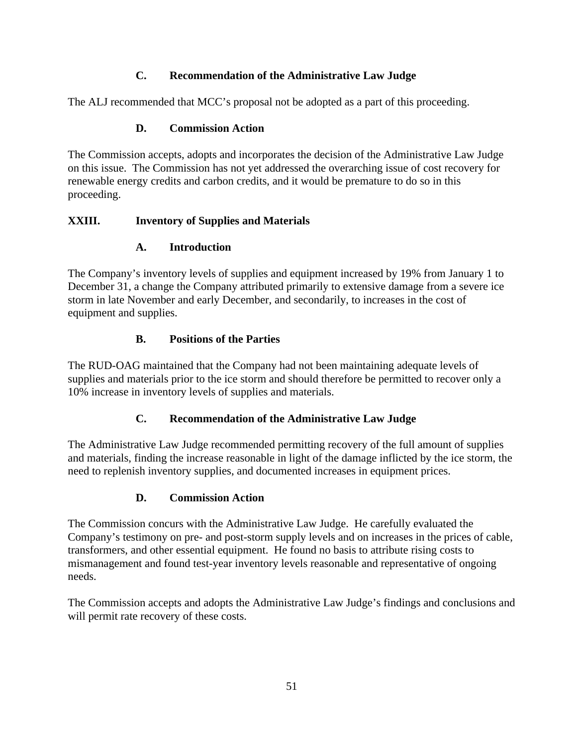# **C. Recommendation of the Administrative Law Judge**

The ALJ recommended that MCC's proposal not be adopted as a part of this proceeding.

## **D. Commission Action**

The Commission accepts, adopts and incorporates the decision of the Administrative Law Judge on this issue. The Commission has not yet addressed the overarching issue of cost recovery for renewable energy credits and carbon credits, and it would be premature to do so in this proceeding.

#### **XXIII. Inventory of Supplies and Materials**

#### **A. Introduction**

The Company's inventory levels of supplies and equipment increased by 19% from January 1 to December 31, a change the Company attributed primarily to extensive damage from a severe ice storm in late November and early December, and secondarily, to increases in the cost of equipment and supplies.

**B. Positions of the Parties**<br>The RUD-OAG maintained that the Company had not been maintaining adequate levels of supplies and materials prior to the ice storm and should therefore be permitted to recover only a 10% increase in inventory levels of supplies and materials.

#### **C. Recommendation of the Administrative Law Judge**

The Administrative Law Judge recommended permitting recovery of the full amount of supplies and materials, finding the increase reasonable in light of the damage inflicted by the ice storm, the need to replenish inventory supplies, and documented increases in equipment prices.

## **D. Commission Action**

The Commission concurs with the Administrative Law Judge. He carefully evaluated the Company's testimony on pre- and post-storm supply levels and on increases in the prices of cable, transformers, and other essential equipment. He found no basis to attribute rising costs to mismanagement and found test-year inventory levels reasonable and representative of ongoing needs.

The Commission accepts and adopts the Administrative Law Judge's findings and conclusions and will permit rate recovery of these costs.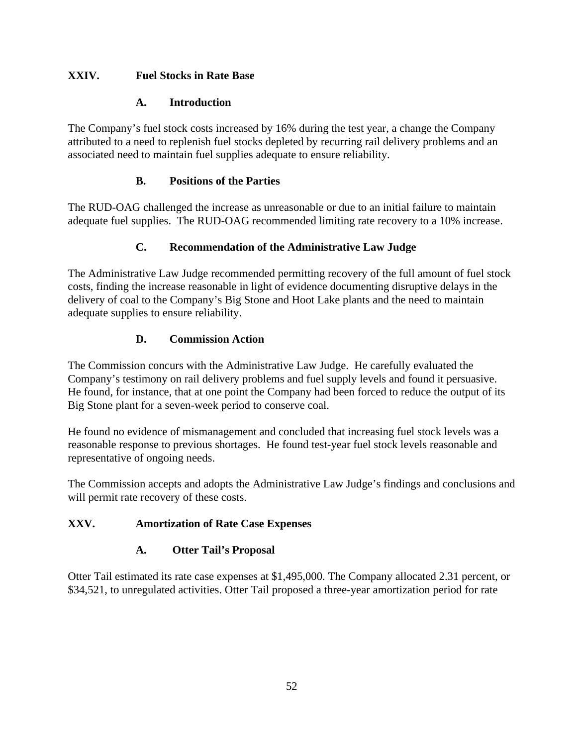# **XXIV. Fuel Stocks in Rate Base**

# **A. Introduction**

The Company's fuel stock costs increased by 16% during the test year, a change the Company attributed to a need to replenish fuel stocks depleted by recurring rail delivery problems and an associated need to maintain fuel supplies adequate to ensure reliability.

# **B. Positions of the Parties**

The RUD-OAG challenged the increase as unreasonable or due to an initial failure to maintain adequate fuel supplies. The RUD-OAG recommended limiting rate recovery to a 10% increase.

# **C. Recommendation of the Administrative Law Judge**

The Administrative Law Judge recommended permitting recovery of the full amount of fuel stock costs, finding the increase reasonable in light of evidence documenting disruptive delays in the delivery of coal to the Company's Big Stone and Hoot Lake plants and the need to maintain adequate supplies to ensure reliability.

# **D. Commission Action**

The Commission concurs with the Administrative Law Judge. He carefully evaluated the Company's testimony on rail delivery problems and fuel supply levels and found it persuasive. He found, for instance, that at one point the Company had been forced to reduce the output of its Big Stone plant for a seven-week period to conserve coal.

He found no evidence of mismanagement and concluded that increasing fuel stock levels was a reasonable response to previous shortages. He found test-year fuel stock levels reasonable and representative of ongoing needs.

The Commission accepts and adopts the Administrative Law Judge's findings and conclusions and will permit rate recovery of these costs.

# **XXV. Amortization of Rate Case Expenses**

# **A. Otter Tail's Proposal**

Otter Tail estimated its rate case expenses at \$1,495,000. The Company allocated 2.31 percent, or \$34,521, to unregulated activities. Otter Tail proposed a three-year amortization period for rate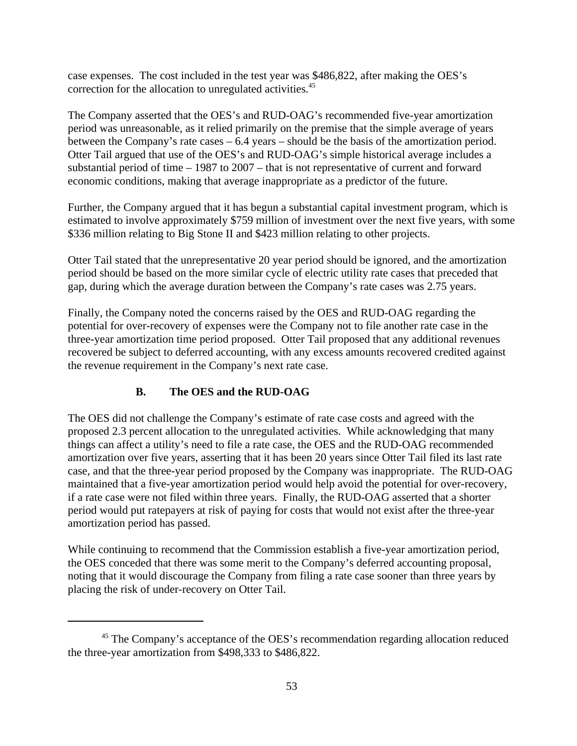case expenses. The cost included in the test year was \$486,822, after making the OES's correction for the allocation to unregulated activities.45

The Company asserted that the OES's and RUD-OAG's recommended five-year amortization period was unreasonable, as it relied primarily on the premise that the simple average of years between the Company's rate cases – 6.4 years – should be the basis of the amortization period. Otter Tail argued that use of the OES's and RUD-OAG's simple historical average includes a substantial period of time – 1987 to 2007 – that is not representative of current and forward economic conditions, making that average inappropriate as a predictor of the future.

Further, the Company argued that it has begun a substantial capital investment program, which is estimated to involve approximately \$759 million of investment over the next five years, with some \$336 million relating to Big Stone II and \$423 million relating to other projects.

Otter Tail stated that the unrepresentative 20 year period should be ignored, and the amortization period should be based on the more similar cycle of electric utility rate cases that preceded that gap, during which the average duration between the Company's rate cases was 2.75 years.

Finally, the Company noted the concerns raised by the OES and RUD-OAG regarding the potential for over-recovery of expenses were the Company not to file another rate case in the three-year amortization time period proposed. Otter Tail proposed that any additional revenues recovered be subject to deferred accounting, with any excess amounts recovered credited against the revenue requirement in the Company's next rate case.

# **B. The OES and the RUD-OAG**

The OES did not challenge the Company's estimate of rate case costs and agreed with the proposed 2.3 percent allocation to the unregulated activities. While acknowledging that many things can affect a utility's need to file a rate case, the OES and the RUD-OAG recommended amortization over five years, asserting that it has been 20 years since Otter Tail filed its last rate case, and that the three-year period proposed by the Company was inappropriate. The RUD-OAG maintained that a five-year amortization period would help avoid the potential for over-recovery, if a rate case were not filed within three years. Finally, the RUD-OAG asserted that a shorter period would put ratepayers at risk of paying for costs that would not exist after the three-year amortization period has passed.

While continuing to recommend that the Commission establish a five-year amortization period, the OES conceded that there was some merit to the Company's deferred accounting proposal, noting that it would discourage the Company from filing a rate case sooner than three years by placing the risk of under-recovery on Otter Tail.

<sup>&</sup>lt;sup>45</sup> The Company's acceptance of the OES's recommendation regarding allocation reduced the three-year amortization from \$498,333 to \$486,822.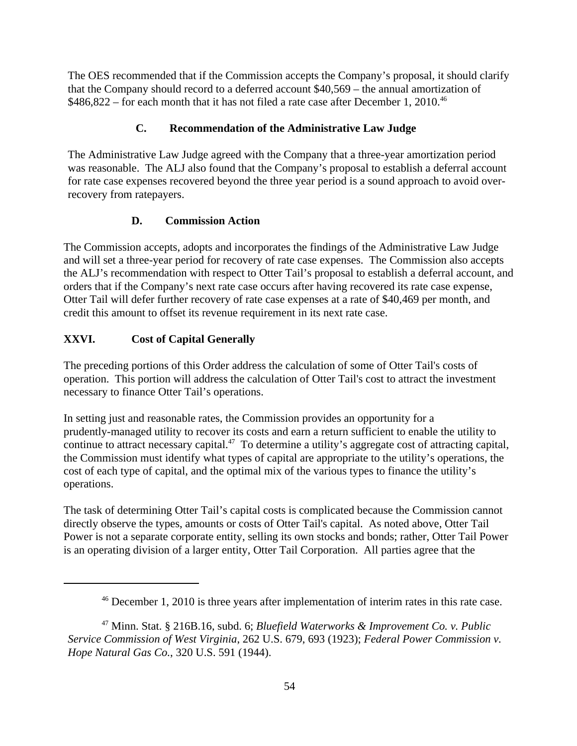The OES recommended that if the Commission accepts the Company's proposal, it should clarify that the Company should record to a deferred account \$40,569 – the annual amortization of \$486,822 – for each month that it has not filed a rate case after December 1, 2010.<sup>46</sup>

# **C. Recommendation of the Administrative Law Judge**

The Administrative Law Judge agreed with the Company that a three-year amortization period was reasonable. The ALJ also found that the Company's proposal to establish a deferral account for rate case expenses recovered beyond the three year period is a sound approach to avoid overrecovery from ratepayers.

## **D. Commission Action**

The Commission accepts, adopts and incorporates the findings of the Administrative Law Judge and will set a three-year period for recovery of rate case expenses. The Commission also accepts the ALJ's recommendation with respect to Otter Tail's proposal to establish a deferral account, and orders that if the Company's next rate case occurs after having recovered its rate case expense, Otter Tail will defer further recovery of rate case expenses at a rate of \$40,469 per month, and credit this amount to offset its revenue requirement in its next rate case.

# **XXVI. Cost of Capital Generally**

The preceding portions of this Order address the calculation of some of Otter Tail's costs of operation. This portion will address the calculation of Otter Tail's cost to attract the investment necessary to finance Otter Tail's operations.

In setting just and reasonable rates, the Commission provides an opportunity for a prudently-managed utility to recover its costs and earn a return sufficient to enable the utility to continue to attract necessary capital.<sup>47</sup> To determine a utility's aggregate cost of attracting capital, the Commission must identify what types of capital are appropriate to the utility's operations, the cost of each type of capital, and the optimal mix of the various types to finance the utility's operations.

The task of determining Otter Tail's capital costs is complicated because the Commission cannot directly observe the types, amounts or costs of Otter Tail's capital. As noted above, Otter Tail Power is not a separate corporate entity, selling its own stocks and bonds; rather, Otter Tail Power is an operating division of a larger entity, Otter Tail Corporation. All parties agree that the

<sup>46</sup> December 1, 2010 is three years after implementation of interim rates in this rate case.

<sup>47</sup> Minn. Stat. § 216B.16, subd. 6; *Bluefield Waterworks & Improvement Co. v. Public Service Commission of West Virginia*, 262 U.S. 679, 693 (1923); *Federal Power Commission v. Hope Natural Gas Co.*, 320 U.S. 591 (1944).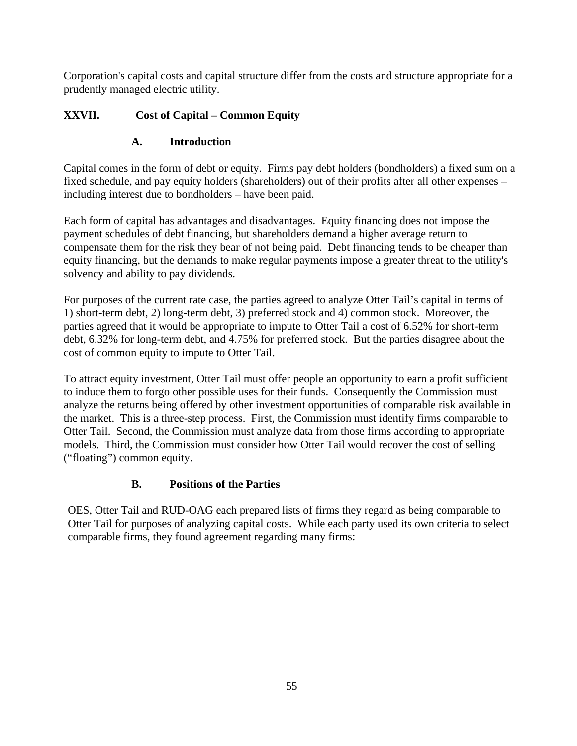Corporation's capital costs and capital structure differ from the costs and structure appropriate for a prudently managed electric utility.

# **XXVII. Cost of Capital – Common Equity**

# **A. Introduction**

Capital comes in the form of debt or equity. Firms pay debt holders (bondholders) a fixed sum on a fixed schedule, and pay equity holders (shareholders) out of their profits after all other expenses – including interest due to bondholders – have been paid.

Each form of capital has advantages and disadvantages. Equity financing does not impose the payment schedules of debt financing, but shareholders demand a higher average return to compensate them for the risk they bear of not being paid. Debt financing tends to be cheaper than equity financing, but the demands to make regular payments impose a greater threat to the utility's solvency and ability to pay dividends.

For purposes of the current rate case, the parties agreed to analyze Otter Tail's capital in terms of 1) short-term debt, 2) long-term debt, 3) preferred stock and 4) common stock. Moreover, the parties agreed that it would be appropriate to impute to Otter Tail a cost of 6.52% for short-term debt, 6.32% for long-term debt, and 4.75% for preferred stock. But the parties disagree about the cost of common equity to impute to Otter Tail.

To attract equity investment, Otter Tail must offer people an opportunity to earn a profit sufficient to induce them to forgo other possible uses for their funds. Consequently the Commission must analyze the returns being offered by other investment opportunities of comparable risk available in the market. This is a three-step process. First, the Commission must identify firms comparable to Otter Tail. Second, the Commission must analyze data from those firms according to appropriate models. Third, the Commission must consider how Otter Tail would recover the cost of selling ("floating") common equity.

# **B. Positions of the Parties**

OES, Otter Tail and RUD-OAG each prepared lists of firms they regard as being comparable to Otter Tail for purposes of analyzing capital costs. While each party used its own criteria to select comparable firms, they found agreement regarding many firms: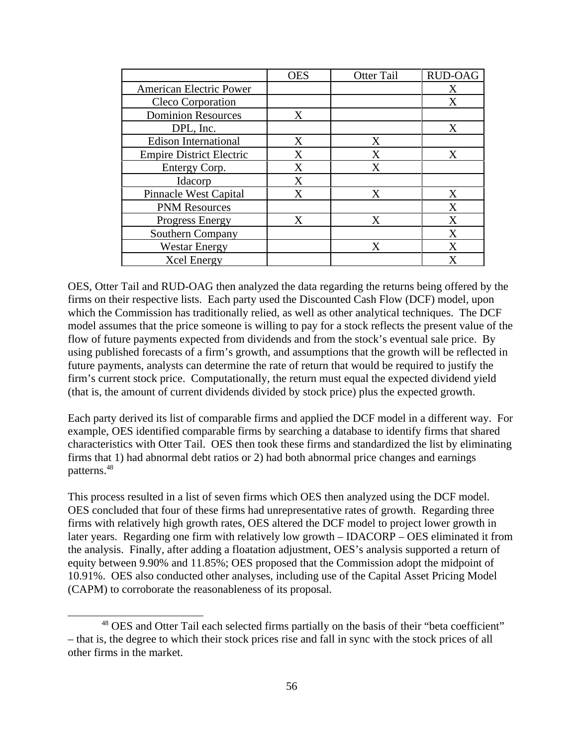|                                 | <b>OES</b> | Otter Tail | RUD-OAG      |
|---------------------------------|------------|------------|--------------|
| <b>American Electric Power</b>  |            |            | $\mathbf{v}$ |
| Cleco Corporation               |            |            | $\mathbf{v}$ |
| <b>Dominion Resources</b>       |            |            |              |
| DPL, Inc.                       |            |            | $\mathbf{v}$ |
| <b>Edison International</b>     |            |            |              |
| <b>Empire District Electric</b> |            |            | $\mathbf{r}$ |
| Entergy Corp.                   |            |            |              |
| Idacorp                         |            |            |              |
| <b>Pinnacle West Capital</b>    |            |            | $- -$        |
| <b>PNM Resources</b>            |            |            | $\mathbf{v}$ |
| <b>Progress Energy</b>          |            |            | $- -$        |
| Southern Company                |            |            | $\mathbf{v}$ |
| <b>Westar Energy</b>            |            |            | $\mathbf{v}$ |
| <b>Xcel Energy</b>              |            |            | $\mathbf{v}$ |

OES, Otter Tail and RUD-OAG then analyzed the data regarding the returns being offered by the firms on their respective lists. Each party used the Discounted Cash Flow (DCF) model, upon which the Commission has traditionally relied, as well as other analytical techniques. The DCF model assumes that the price someone is willing to pay for a stock reflects the present value of the flow of future payments expected from dividends and from the stock's eventual sale price. By using published forecasts of a firm's growth, and assumptions that the growth will be reflected in future payments, analysts can determine the rate of return that would be required to justify the firm's current stock price. Computationally, the return must equal the expected dividend yield (that is, the amount of current dividends divided by stock price) plus the expected growth.

Each party derived its list of comparable firms and applied the DCF model in a different way. For example, OES identified comparable firms by searching a database to identify firms that shared characteristics with Otter Tail. OES then took these firms and standardized the list by eliminating firms that 1) had abnormal debt ratios or 2) had both abnormal price changes and earnings  $\mathsf{patterns.}^{48}$ 

This process resulted in a list of seven firms which OES then analyzed using the DCF model. OES concluded that four of these firms had unrepresentative rates of growth. Regarding three firms with relatively high growth rates, OES altered the DCF model to project lower growth in later years. Regarding one firm with relatively low growth – IDACORP – OES eliminated it from the analysis. Finally, after adding a floatation adjustment, OES's analysis supported a return of equity between 9.90% and 11.85%; OES proposed that the Commission adopt the midpoint of 10.91%. OES also conducted other analyses, including use of the Capital Asset Pricing Model (CAPM) to corroborate the reasonableness of its proposal.

<sup>&</sup>lt;sup>48</sup> OES and Otter Tail each selected firms partially on the basis of their "beta coefficient" – that is, the degree to which their stock prices rise and fall in sync with the stock prices of all other firms in the market.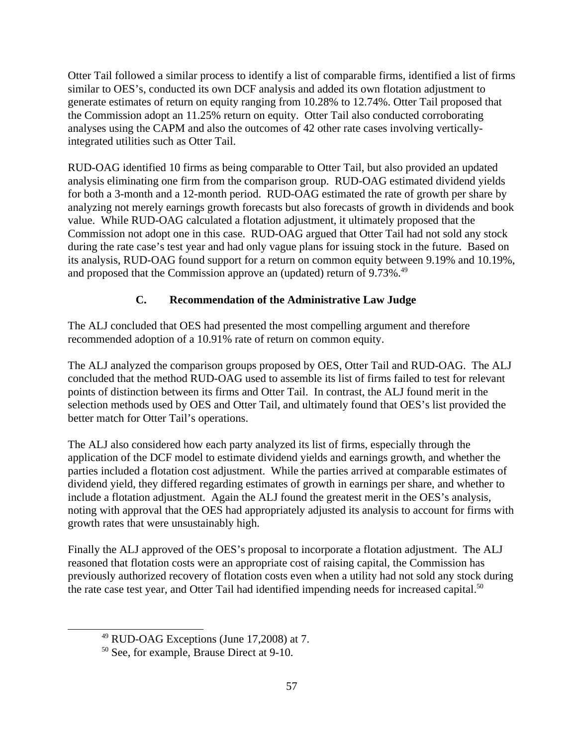Otter Tail followed a similar process to identify a list of comparable firms, identified a list of firms similar to OES's, conducted its own DCF analysis and added its own flotation adjustment to generate estimates of return on equity ranging from 10.28% to 12.74%. Otter Tail proposed that the Commission adopt an 11.25% return on equity. Otter Tail also conducted corroborating analyses using the CAPM and also the outcomes of 42 other rate cases involving verticallyintegrated utilities such as Otter Tail.

RUD-OAG identified 10 firms as being comparable to Otter Tail, but also provided an updated analysis eliminating one firm from the comparison group. RUD-OAG estimated dividend yields for both a 3-month and a 12-month period. RUD-OAG estimated the rate of growth per share by analyzing not merely earnings growth forecasts but also forecasts of growth in dividends and book value. While RUD-OAG calculated a flotation adjustment, it ultimately proposed that the Commission not adopt one in this case. RUD-OAG argued that Otter Tail had not sold any stock during the rate case's test year and had only vague plans for issuing stock in the future. Based on its analysis, RUD-OAG found support for a return on common equity between 9.19% and 10.19%, and proposed that the Commission approve an (updated) return of 9.73%.<sup>49</sup>

# **C. Recommendation of the Administrative Law Judge**

The ALJ concluded that OES had presented the most compelling argument and therefore recommended adoption of a 10.91% rate of return on common equity.

The ALJ analyzed the comparison groups proposed by OES, Otter Tail and RUD-OAG. The ALJ concluded that the method RUD-OAG used to assemble its list of firms failed to test for relevant points of distinction between its firms and Otter Tail. In contrast, the ALJ found merit in the selection methods used by OES and Otter Tail, and ultimately found that OES's list provided the better match for Otter Tail's operations.

The ALJ also considered how each party analyzed its list of firms, especially through the application of the DCF model to estimate dividend yields and earnings growth, and whether the parties included a flotation cost adjustment. While the parties arrived at comparable estimates of dividend yield, they differed regarding estimates of growth in earnings per share, and whether to include a flotation adjustment. Again the ALJ found the greatest merit in the OES's analysis, noting with approval that the OES had appropriately adjusted its analysis to account for firms with growth rates that were unsustainably high.

Finally the ALJ approved of the OES's proposal to incorporate a flotation adjustment. The ALJ reasoned that flotation costs were an appropriate cost of raising capital, the Commission has previously authorized recovery of flotation costs even when a utility had not sold any stock during the rate case test year, and Otter Tail had identified impending needs for increased capital.<sup>50</sup>

 $49$  RUD-OAG Exceptions (June 17,2008) at 7.

<sup>50</sup> See, for example, Brause Direct at 9-10.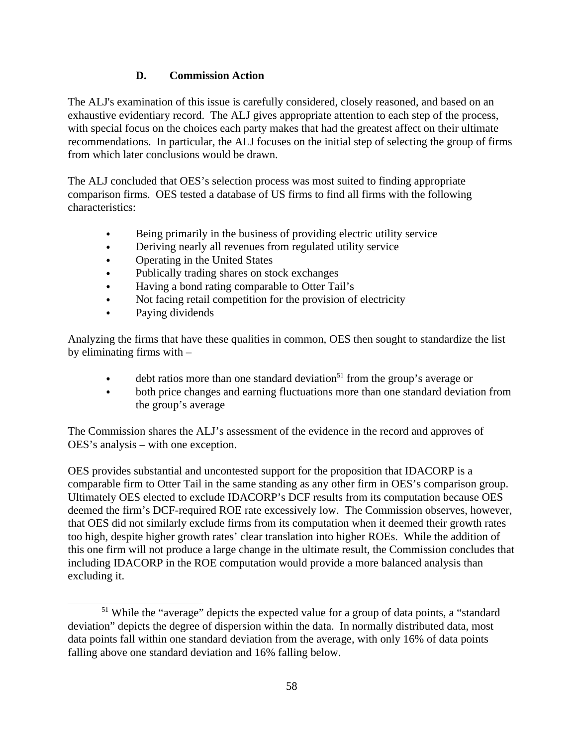## **D. Commission Action**

The ALJ's examination of this issue is carefully considered, closely reasoned, and based on an exhaustive evidentiary record. The ALJ gives appropriate attention to each step of the process, with special focus on the choices each party makes that had the greatest affect on their ultimate recommendations. In particular, the ALJ focuses on the initial step of selecting the group of firms from which later conclusions would be drawn.

The ALJ concluded that OES's selection process was most suited to finding appropriate comparison firms. OES tested a database of US firms to find all firms with the following characteristics:

- Being primarily in the business of providing electric utility service
- Deriving nearly all revenues from regulated utility service  $\bullet$
- Operating in the United States  $\bullet$
- Publically trading shares on stock exchanges
- Having a bond rating comparable to Otter Tail's  $\bullet$
- Not facing retail competition for the provision of electricity  $\bullet$
- Paying dividends and the state of the state of the state of the state of the state of the state of the state of the state of the state of the state of the state of the state of the state of the state of the state of the st

Analyzing the firms that have these qualities in common, OES then sought to standardize the list by eliminating firms with –

- debt ratios more than one standard deviation<sup>51</sup> from the group's average or  $\bullet$
- both price changes and earning fluctuations more than one standard deviation from  $\bullet$ the group's average

The Commission shares the ALJ's assessment of the evidence in the record and approves of OES's analysis – with one exception.

OES provides substantial and uncontested support for the proposition that IDACORP is a comparable firm to Otter Tail in the same standing as any other firm in OES's comparison group. Ultimately OES elected to exclude IDACORP's DCF results from its computation because OES deemed the firm's DCF-required ROE rate excessively low. The Commission observes, however, that OES did not similarly exclude firms from its computation when it deemed their growth rates too high, despite higher growth rates' clear translation into higher ROEs. While the addition of this one firm will not produce a large change in the ultimate result, the Commission concludes that including IDACORP in the ROE computation would provide a more balanced analysis than excluding it.

<sup>&</sup>lt;sup>51</sup> While the "average" depicts the expected value for a group of data points, a "standard deviation" depicts the degree of dispersion within the data. In normally distributed data, most data points fall within one standard deviation from the average, with only 16% of data points falling above one standard deviation and 16% falling below.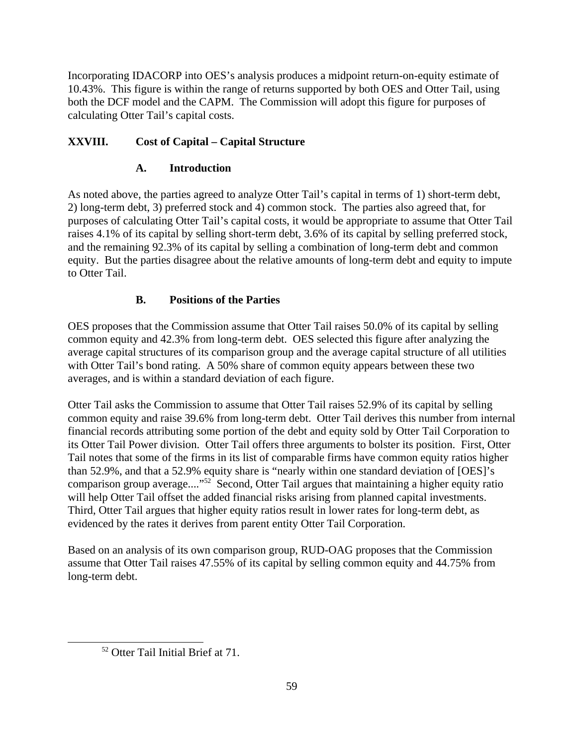Incorporating IDACORP into OES's analysis produces a midpoint return-on-equity estimate of 10.43%. This figure is within the range of returns supported by both OES and Otter Tail, using both the DCF model and the CAPM. The Commission will adopt this figure for purposes of calculating Otter Tail's capital costs.

# **XXVIII. Cost of Capital – Capital Structure**

## **A. Introduction**

As noted above, the parties agreed to analyze Otter Tail's capital in terms of 1) short-term debt, 2) long-term debt, 3) preferred stock and 4) common stock. The parties also agreed that, for purposes of calculating Otter Tail's capital costs, it would be appropriate to assume that Otter Tail raises 4.1% of its capital by selling short-term debt, 3.6% of its capital by selling preferred stock, and the remaining 92.3% of its capital by selling a combination of long-term debt and common equity. But the parties disagree about the relative amounts of long-term debt and equity to impute to Otter Tail.

## **B. Positions of the Parties**

OES proposes that the Commission assume that Otter Tail raises 50.0% of its capital by selling common equity and 42.3% from long-term debt. OES selected this figure after analyzing the average capital structures of its comparison group and the average capital structure of all utilities with Otter Tail's bond rating. A 50% share of common equity appears between these two averages, and is within a standard deviation of each figure.

Otter Tail asks the Commission to assume that Otter Tail raises 52.9% of its capital by selling common equity and raise 39.6% from long-term debt. Otter Tail derives this number from internal financial records attributing some portion of the debt and equity sold by Otter Tail Corporation to its Otter Tail Power division. Otter Tail offers three arguments to bolster its position. First, Otter Tail notes that some of the firms in its list of comparable firms have common equity ratios higher than 52.9%, and that a 52.9% equity share is "nearly within one standard deviation of [OES]'s comparison group average...."52 Second, Otter Tail argues that maintaining a higher equity ratio will help Otter Tail offset the added financial risks arising from planned capital investments. Third, Otter Tail argues that higher equity ratios result in lower rates for long-term debt, as evidenced by the rates it derives from parent entity Otter Tail Corporation.

Based on an analysis of its own comparison group, RUD-OAG proposes that the Commission assume that Otter Tail raises 47.55% of its capital by selling common equity and 44.75% from long-term debt.

<sup>52</sup> Otter Tail Initial Brief at 71.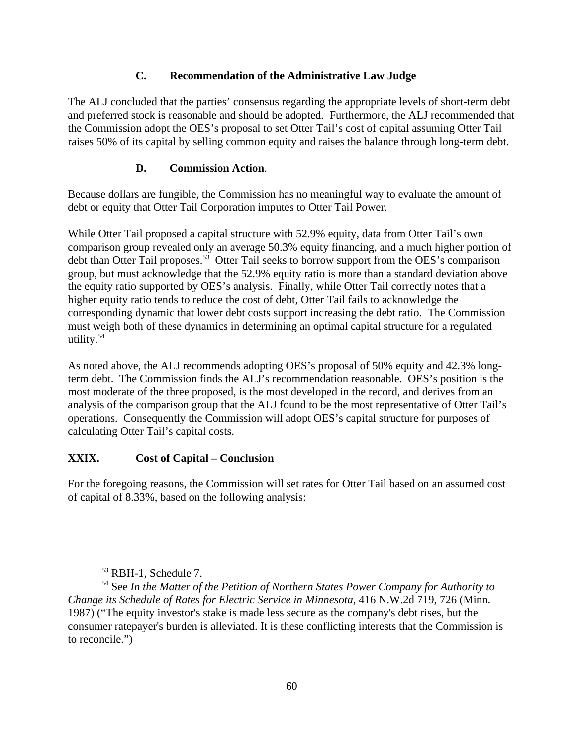#### **C. Recommendation of the Administrative Law Judge**

The ALJ concluded that the parties' consensus regarding the appropriate levels of short-term debt and preferred stock is reasonable and should be adopted. Furthermore, the ALJ recommended that the Commission adopt the OES's proposal to set Otter Tail's cost of capital assuming Otter Tail raises 50% of its capital by selling common equity and raises the balance through long-term debt.

## **D. Commission Action**.

Because dollars are fungible, the Commission has no meaningful way to evaluate the amount of debt or equity that Otter Tail Corporation imputes to Otter Tail Power.

While Otter Tail proposed a capital structure with 52.9% equity, data from Otter Tail's own comparison group revealed only an average 50.3% equity financing, and a much higher portion of debt than Otter Tail proposes.<sup>53</sup> Otter Tail seeks to borrow support from the OES's comparison group, but must acknowledge that the 52.9% equity ratio is more than a standard deviation above the equity ratio supported by OES's analysis. Finally, while Otter Tail correctly notes that a higher equity ratio tends to reduce the cost of debt, Otter Tail fails to acknowledge the corresponding dynamic that lower debt costs support increasing the debt ratio. The Commission must weigh both of these dynamics in determining an optimal capital structure for a regulated utility.<sup>54</sup> utility. $54$ 

As noted above, the ALJ recommends adopting OES's proposal of 50% equity and 42.3% longterm debt. The Commission finds the ALJ's recommendation reasonable. OES's position is the most moderate of the three proposed, is the most developed in the record, and derives from an analysis of the comparison group that the ALJ found to be the most representative of Otter Tail's operations. Consequently the Commission will adopt OES's capital structure for purposes of calculating Otter Tail's capital costs.

## **XXIX. Cost of Capital – Conclusion**

For the foregoing reasons, the Commission will set rates for Otter Tail based on an assumed cost of capital of 8.33%, based on the following analysis:

<sup>53</sup> RBH-1, Schedule 7.

<sup>54</sup> See *In the Matter of the Petition of Northern States Power Company for Authority to Change its Schedule of Rates for Electric Service in Minnesota*, 416 N.W.2d 719, 726 (Minn. 1987) ("The equity investor's stake is made less secure as the company's debt rises, but the consumer ratepayer's burden is alleviated. It is these conflicting interests that the Commission is to reconcile.")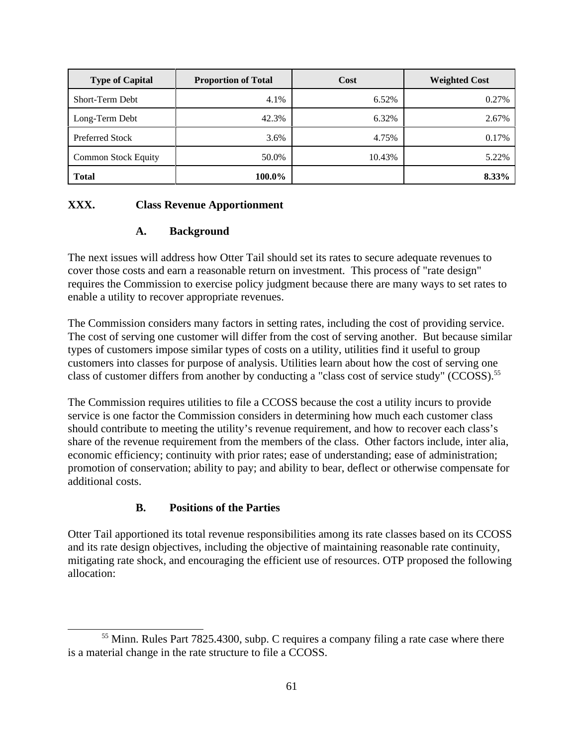| Type of Capital     | <b>Proportion of Total</b> | Cost | Weighted Cost |
|---------------------|----------------------------|------|---------------|
| Short-Term Debt     |                            |      |               |
| Long-Term Debt      |                            |      |               |
| Preferred Stock     |                            |      |               |
| Common Stock Equity |                            |      |               |
| <b>Total</b>        | 100.0%                     |      | $8.33\%$      |

## **XXX. Class Revenue Apportionment**

#### **A. Background**

The next issues will address how Otter Tail should set its rates to secure adequate revenues to cover those costs and earn a reasonable return on investment. This process of "rate design" requires the Commission to exercise policy judgment because there are many ways to set rates to enable a utility to recover appropriate revenues.

The Commission considers many factors in setting rates, including the cost of providing service. The cost of serving one customer will differ from the cost of serving another. But because similar types of customers impose similar types of costs on a utility, utilities find it useful to group customers into classes for purpose of analysis. Utilities learn about how the cost of serving one class of customer differs from another by conducting a "class cost of service study" (CCOSS).<sup>55</sup>

The Commission requires utilities to file a CCOSS because the cost a utility incurs to provide service is one factor the Commission considers in determining how much each customer class should contribute to meeting the utility's revenue requirement, and how to recover each class's share of the revenue requirement from the members of the class. Other factors include, inter alia, economic efficiency; continuity with prior rates; ease of understanding; ease of administration; promotion of conservation; ability to pay; and ability to bear, deflect or otherwise compensate for additional costs.

## **B. Positions of the Parties**

Otter Tail apportioned its total revenue responsibilities among its rate classes based on its CCOSS and its rate design objectives, including the objective of maintaining reasonable rate continuity, mitigating rate shock, and encouraging the efficient use of resources. OTP proposed the following allocation:

<sup>&</sup>lt;sup>55</sup> Minn. Rules Part 7825.4300, subp. C requires a company filing a rate case where there is a material change in the rate structure to file a CCOSS.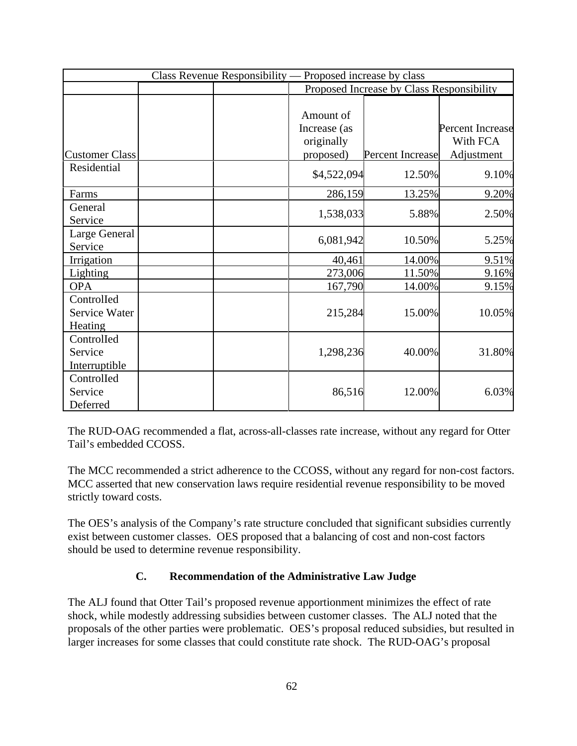| Class Revenue Responsibility — Proposed increase by class |                                         |                                           |                              |  |
|-----------------------------------------------------------|-----------------------------------------|-------------------------------------------|------------------------------|--|
|                                                           |                                         | Proposed Increase by Class Responsibility |                              |  |
|                                                           | Amount of<br>Increase (as<br>originally |                                           | Percent Increase<br>With FCA |  |
| Customer Class                                            | proposed)                               | <b>Percent Increase</b>                   | Adjustment                   |  |
| Residential                                               | \$4,522,094                             | 12.50%                                    | 9.10%                        |  |
| Farms                                                     | 286,159                                 | 13.25%                                    | 9.20%                        |  |
| General<br>Service                                        | 1,538,033                               | 5.88%                                     | 2.50%                        |  |
| Large General<br>Service                                  | 6,081,942                               | 10.50%                                    | 5.25%                        |  |
| Irrigation                                                | 40,46                                   | 14.00%                                    | 9.51%                        |  |
| Lighting                                                  | 273,006                                 | 11.50%                                    | 9.16%                        |  |
| OPA                                                       | 167,790                                 | 14.00%                                    | 9.15%                        |  |
| Controlled<br>Service Water<br>Heating                    | 215,284                                 | 15.00%                                    | 10.05%                       |  |
| Controlled<br>Service<br>Interruptible                    | 1,298,236                               | 40.00%                                    | 31.80%                       |  |
| Controlled<br>Service<br>Deferred                         | 86,51                                   | 12.00%                                    | 6.039                        |  |

The RUD-OAG recommended a flat, across-all-classes rate increase, without any regard for Otter Tail's embedded CCOSS.

The MCC recommended a strict adherence to the CCOSS, without any regard for non-cost factors. MCC asserted that new conservation laws require residential revenue responsibility to be moved strictly toward costs.

The OES's analysis of the Company's rate structure concluded that significant subsidies currently exist between customer classes. OES proposed that a balancing of cost and non-cost factors should be used to determine revenue responsibility.

## **C. Recommendation of the Administrative Law Judge**

The ALJ found that Otter Tail's proposed revenue apportionment minimizes the effect of rate shock, while modestly addressing subsidies between customer classes. The ALJ noted that the proposals of the other parties were problematic. OES's proposal reduced subsidies, but resulted in larger increases for some classes that could constitute rate shock. The RUD-OAG's proposal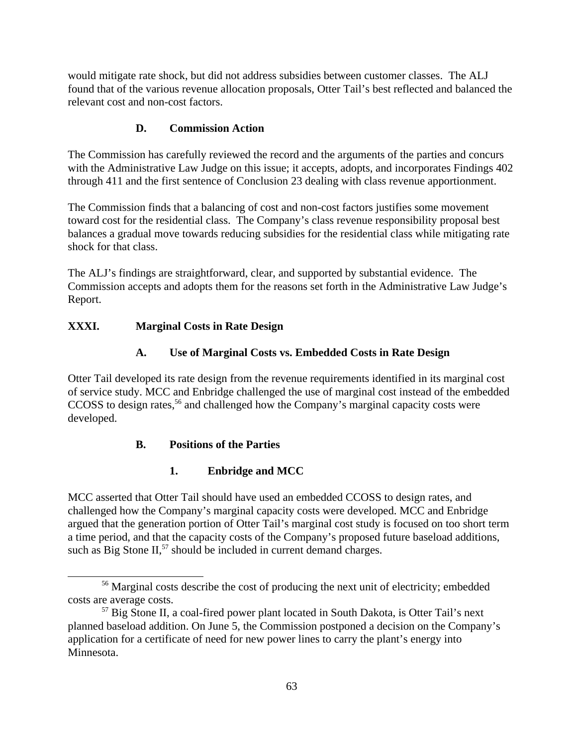would mitigate rate shock, but did not address subsidies between customer classes. The ALJ found that of the various revenue allocation proposals, Otter Tail's best reflected and balanced the relevant cost and non-cost factors.

# **D. Commission Action**

The Commission has carefully reviewed the record and the arguments of the parties and concurs with the Administrative Law Judge on this issue; it accepts, adopts, and incorporates Findings 402 through 411 and the first sentence of Conclusion 23 dealing with class revenue apportionment.

The Commission finds that a balancing of cost and non-cost factors justifies some movement toward cost for the residential class. The Company's class revenue responsibility proposal best balances a gradual move towards reducing subsidies for the residential class while mitigating rate shock for that class.

The ALJ's findings are straightforward, clear, and supported by substantial evidence. The Commission accepts and adopts them for the reasons set forth in the Administrative Law Judge's Report.

# **XXXI. Marginal Costs in Rate Design**

# **A. Use of Marginal Costs vs. Embedded Costs in Rate Design**

Otter Tail developed its rate design from the revenue requirements identified in its marginal cost of service study. MCC and Enbridge challenged the use of marginal cost instead of the embedded CCOSS to design rates,<sup>56</sup> and challenged how the Company's marginal capacity costs were developed.

## **B. Positions of the Parties**

# **1. Enbridge and MCC**

MCC asserted that Otter Tail should have used an embedded CCOSS to design rates, and challenged how the Company's marginal capacity costs were developed. MCC and Enbridge argued that the generation portion of Otter Tail's marginal cost study is focused on too short term a time period, and that the capacity costs of the Company's proposed future baseload additions, such as Big Stone  $II$ ,  $57$  should be included in current demand charges.

<sup>56</sup> Marginal costs describe the cost of producing the next unit of electricity; embedded costs are average costs.

<sup>&</sup>lt;sup>57</sup> Big Stone II, a coal-fired power plant located in South Dakota, is Otter Tail's next planned baseload addition. On June 5, the Commission postponed a decision on the Company's application for a certificate of need for new power lines to carry the plant's energy into Minnesota.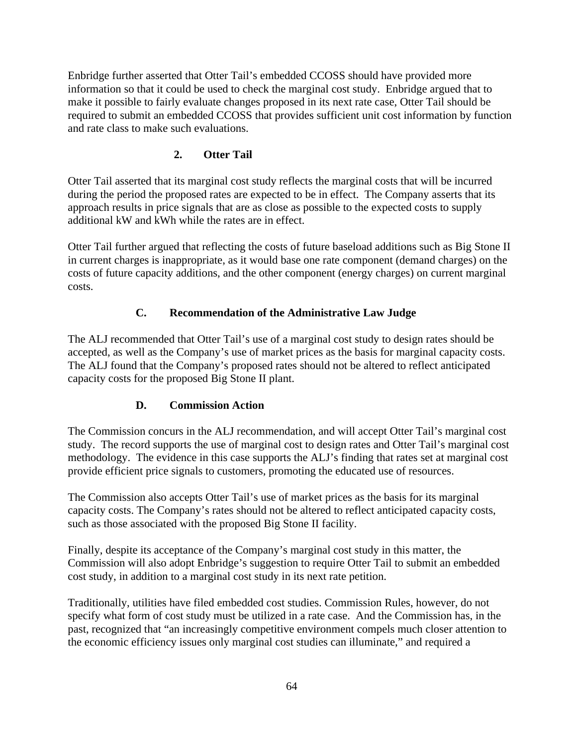Enbridge further asserted that Otter Tail's embedded CCOSS should have provided more information so that it could be used to check the marginal cost study. Enbridge argued that to make it possible to fairly evaluate changes proposed in its next rate case, Otter Tail should be required to submit an embedded CCOSS that provides sufficient unit cost information by function and rate class to make such evaluations.

## **2. Otter Tail**

Otter Tail asserted that its marginal cost study reflects the marginal costs that will be incurred during the period the proposed rates are expected to be in effect. The Company asserts that its approach results in price signals that are as close as possible to the expected costs to supply additional kW and kWh while the rates are in effect.

Otter Tail further argued that reflecting the costs of future baseload additions such as Big Stone II in current charges is inappropriate, as it would base one rate component (demand charges) on the costs of future capacity additions, and the other component (energy charges) on current marginal costs.

## **C. Recommendation of the Administrative Law Judge**

The ALJ recommended that Otter Tail's use of a marginal cost study to design rates should be accepted, as well as the Company's use of market prices as the basis for marginal capacity costs. The ALJ found that the Company's proposed rates should not be altered to reflect anticipated capacity costs for the proposed Big Stone II plant.

## **D. Commission Action**

The Commission concurs in the ALJ recommendation, and will accept Otter Tail's marginal cost study. The record supports the use of marginal cost to design rates and Otter Tail's marginal cost methodology. The evidence in this case supports the ALJ's finding that rates set at marginal cost provide efficient price signals to customers, promoting the educated use of resources.

The Commission also accepts Otter Tail's use of market prices as the basis for its marginal capacity costs. The Company's rates should not be altered to reflect anticipated capacity costs, such as those associated with the proposed Big Stone II facility.

Finally, despite its acceptance of the Company's marginal cost study in this matter, the Commission will also adopt Enbridge's suggestion to require Otter Tail to submit an embedded cost study, in addition to a marginal cost study in its next rate petition.

Traditionally, utilities have filed embedded cost studies. Commission Rules, however, do not specify what form of cost study must be utilized in a rate case. And the Commission has, in the past, recognized that "an increasingly competitive environment compels much closer attention to the economic efficiency issues only marginal cost studies can illuminate," and required a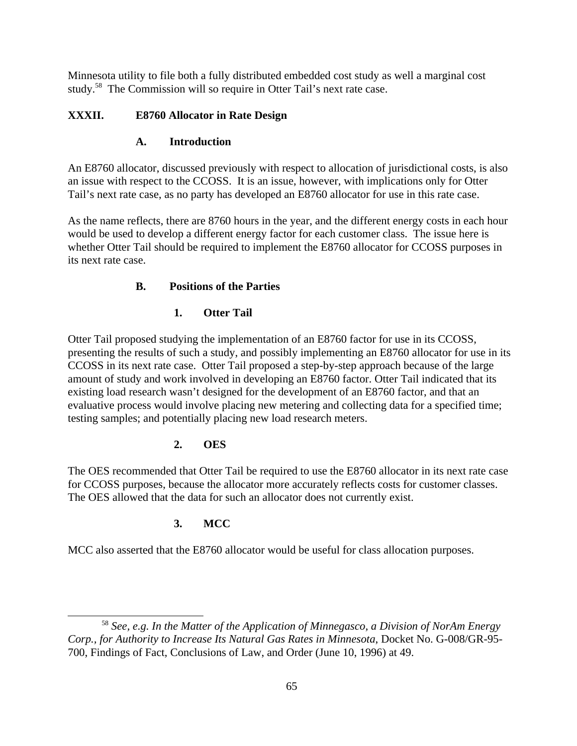Minnesota utility to file both a fully distributed embedded cost study as well a marginal cost study.<sup>58</sup> The Commission will so require in Otter Tail's next rate case.

## **XXXII. E8760 Allocator in Rate Design**

## **A. Introduction**

An E8760 allocator, discussed previously with respect to allocation of jurisdictional costs, is also an issue with respect to the CCOSS. It is an issue, however, with implications only for Otter Tail's next rate case, as no party has developed an E8760 allocator for use in this rate case.

As the name reflects, there are 8760 hours in the year, and the different energy costs in each hour would be used to develop a different energy factor for each customer class. The issue here is whether Otter Tail should be required to implement the E8760 allocator for CCOSS purposes in its next rate case.

# **B. Positions of the Parties**

# **1. Otter Tail**

Otter Tail proposed studying the implementation of an E8760 factor for use in its CCOSS, presenting the results of such a study, and possibly implementing an E8760 allocator for use in its CCOSS in its next rate case. Otter Tail proposed a step-by-step approach because of the large amount of study and work involved in developing an E8760 factor. Otter Tail indicated that its existing load research wasn't designed for the development of an E8760 factor, and that an evaluative process would involve placing new metering and collecting data for a specified time; testing samples; and potentially placing new load research meters.

## **2. OES**

The OES recommended that Otter Tail be required to use the E8760 allocator in its next rate case for CCOSS purposes, because the allocator more accurately reflects costs for customer classes. The OES allowed that the data for such an allocator does not currently exist.

# **3. MCC**

MCC also asserted that the E8760 allocator would be useful for class allocation purposes.

<sup>58</sup> *See, e.g. In the Matter of the Application of Minnegasco, a Division of NorAm Energy Corp., for Authority to Increase Its Natural Gas Rates in Minnesota*, Docket No. G-008/GR-95- 700, Findings of Fact, Conclusions of Law, and Order (June 10, 1996) at 49.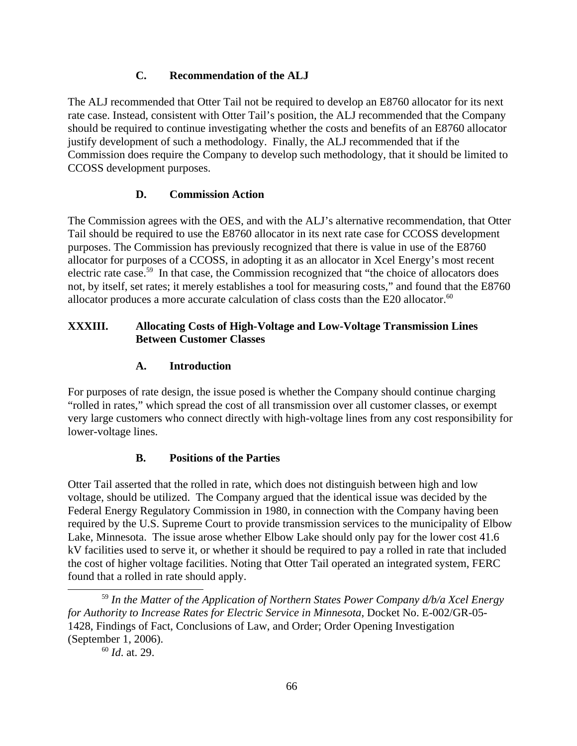## **C. Recommendation of the ALJ**

The ALJ recommended that Otter Tail not be required to develop an E8760 allocator for its next rate case. Instead, consistent with Otter Tail's position, the ALJ recommended that the Company should be required to continue investigating whether the costs and benefits of an E8760 allocator justify development of such a methodology. Finally, the ALJ recommended that if the Commission does require the Company to develop such methodology, that it should be limited to CCOSS development purposes.

# **D. Commission Action**

The Commission agrees with the OES, and with the ALJ's alternative recommendation, that Otter Tail should be required to use the E8760 allocator in its next rate case for CCOSS development purposes. The Commission has previously recognized that there is value in use of the E8760 allocator for purposes of a CCOSS, in adopting it as an allocator in Xcel Energy's most recent electric rate case.<sup>59</sup> In that case, the Commission recognized that "the choice of allocators does not, by itself, set rates; it merely establishes a tool for measuring costs," and found that the E8760 allocator produces a more accurate calculation of class costs than the E20 allocator. $60$ 

## **XXXIII. Allocating Costs of High-Voltage and Low-Voltage Transmission Lines Between Customer Classes**

# **A. Introduction**

For purposes of rate design, the issue posed is whether the Company should continue charging "rolled in rates," which spread the cost of all transmission over all customer classes, or exempt very large customers who connect directly with high-voltage lines from any cost responsibility for lower-voltage lines.

## **B. Positions of the Parties**

Otter Tail asserted that the rolled in rate, which does not distinguish between high and low voltage, should be utilized. The Company argued that the identical issue was decided by the Federal Energy Regulatory Commission in 1980, in connection with the Company having been required by the U.S. Supreme Court to provide transmission services to the municipality of Elbow Lake, Minnesota. The issue arose whether Elbow Lake should only pay for the lower cost 41.6 kV facilities used to serve it, or whether it should be required to pay a rolled in rate that included the cost of higher voltage facilities. Noting that Otter Tail operated an integrated system, FERC found that a rolled in rate should apply.

<sup>59</sup> *In the Matter of the Application of Northern States Power Company d/b/a Xcel Energy for Authority to Increase Rates for Electric Service in Minnesota*, Docket No. E-002/GR-05- 1428, Findings of Fact, Conclusions of Law, and Order; Order Opening Investigation (September 1, 2006).<br><sup>60</sup> *Id.* at. 29.

<sup>60</sup> *Id*. at. 29.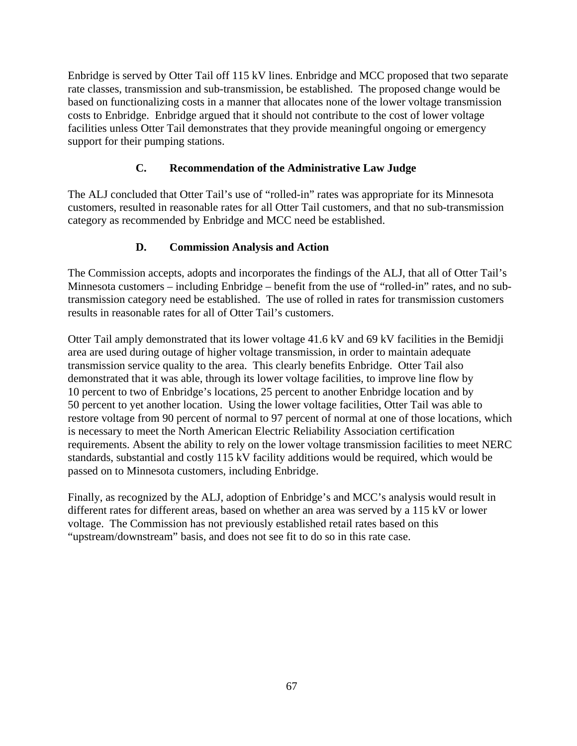Enbridge is served by Otter Tail off 115 kV lines. Enbridge and MCC proposed that two separate rate classes, transmission and sub-transmission, be established. The proposed change would be based on functionalizing costs in a manner that allocates none of the lower voltage transmission costs to Enbridge. Enbridge argued that it should not contribute to the cost of lower voltage facilities unless Otter Tail demonstrates that they provide meaningful ongoing or emergency support for their pumping stations.

# **C. Recommendation of the Administrative Law Judge**

The ALJ concluded that Otter Tail's use of "rolled-in" rates was appropriate for its Minnesota customers, resulted in reasonable rates for all Otter Tail customers, and that no sub-transmission category as recommended by Enbridge and MCC need be established.

# **D. Commission Analysis and Action**

The Commission accepts, adopts and incorporates the findings of the ALJ, that all of Otter Tail's Minnesota customers – including Enbridge – benefit from the use of "rolled-in" rates, and no subtransmission category need be established. The use of rolled in rates for transmission customers results in reasonable rates for all of Otter Tail's customers.

Otter Tail amply demonstrated that its lower voltage 41.6 kV and 69 kV facilities in the Bemidji area are used during outage of higher voltage transmission, in order to maintain adequate transmission service quality to the area. This clearly benefits Enbridge. Otter Tail also demonstrated that it was able, through its lower voltage facilities, to improve line flow by 10 percent to two of Enbridge's locations, 25 percent to another Enbridge location and by 50 percent to yet another location. Using the lower voltage facilities, Otter Tail was able to restore voltage from 90 percent of normal to 97 percent of normal at one of those locations, which is necessary to meet the North American Electric Reliability Association certification requirements. Absent the ability to rely on the lower voltage transmission facilities to meet NERC standards, substantial and costly 115 kV facility additions would be required, which would be passed on to Minnesota customers, including Enbridge.

Finally, as recognized by the ALJ, adoption of Enbridge's and MCC's analysis would result in different rates for different areas, based on whether an area was served by a 115 kV or lower voltage. The Commission has not previously established retail rates based on this "upstream/downstream" basis, and does not see fit to do so in this rate case.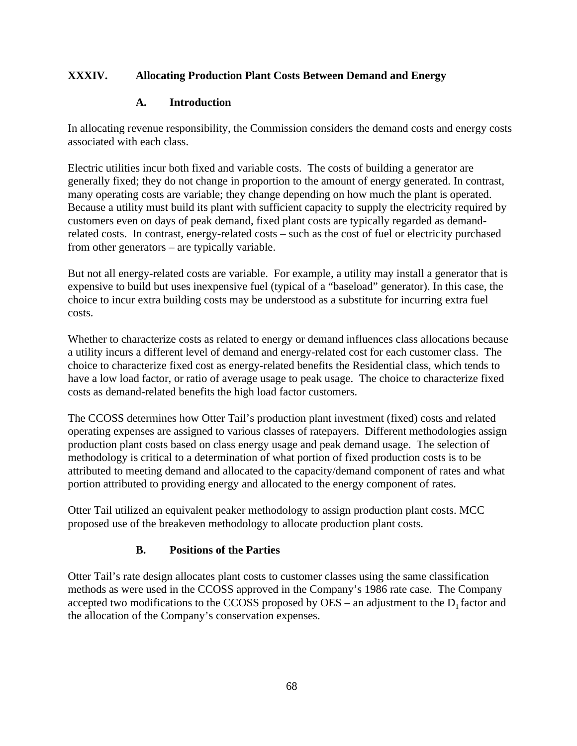## **XXXIV. Allocating Production Plant Costs Between Demand and Energy**

## **A. Introduction**

In allocating revenue responsibility, the Commission considers the demand costs and energy costs associated with each class.

Electric utilities incur both fixed and variable costs. The costs of building a generator are generally fixed; they do not change in proportion to the amount of energy generated. In contrast, many operating costs are variable; they change depending on how much the plant is operated. Because a utility must build its plant with sufficient capacity to supply the electricity required by customers even on days of peak demand, fixed plant costs are typically regarded as demandrelated costs. In contrast, energy-related costs – such as the cost of fuel or electricity purchased from other generators – are typically variable.

But not all energy-related costs are variable. For example, a utility may install a generator that is expensive to build but uses inexpensive fuel (typical of a "baseload" generator). In this case, the choice to incur extra building costs may be understood as a substitute for incurring extra fuel costs.

Whether to characterize costs as related to energy or demand influences class allocations because a utility incurs a different level of demand and energy-related cost for each customer class. The choice to characterize fixed cost as energy-related benefits the Residential class, which tends to have a low load factor, or ratio of average usage to peak usage. The choice to characterize fixed costs as demand-related benefits the high load factor customers.

The CCOSS determines how Otter Tail's production plant investment (fixed) costs and related operating expenses are assigned to various classes of ratepayers. Different methodologies assign production plant costs based on class energy usage and peak demand usage. The selection of methodology is critical to a determination of what portion of fixed production costs is to be attributed to meeting demand and allocated to the capacity/demand component of rates and what portion attributed to providing energy and allocated to the energy component of rates.

Otter Tail utilized an equivalent peaker methodology to assign production plant costs. MCC proposed use of the breakeven methodology to allocate production plant costs.

## **B. Positions of the Parties**

Otter Tail's rate design allocates plant costs to customer classes using the same classification methods as were used in the CCOSS approved in the Company's 1986 rate case. The Company accepted two modifications to the CCOSS proposed by OES – an adjustment to the  $D_1$  factor and the allocation of the Company's conservation expenses.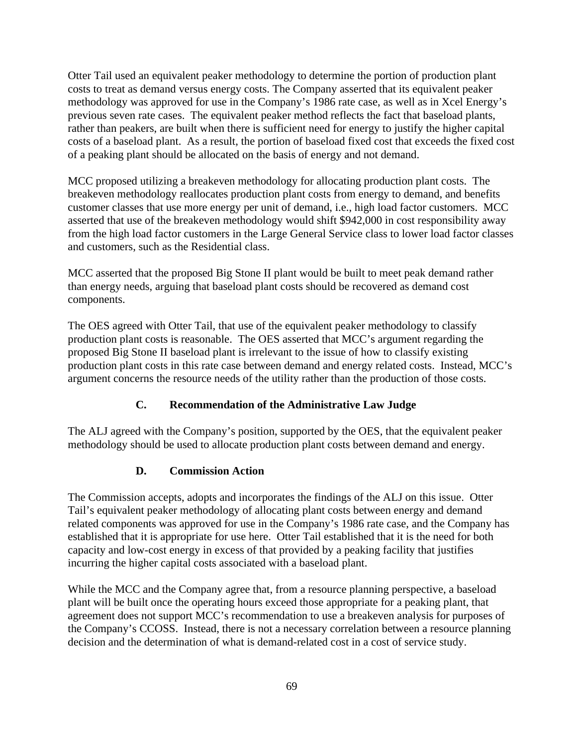Otter Tail used an equivalent peaker methodology to determine the portion of production plant costs to treat as demand versus energy costs. The Company asserted that its equivalent peaker methodology was approved for use in the Company's 1986 rate case, as well as in Xcel Energy's previous seven rate cases. The equivalent peaker method reflects the fact that baseload plants, rather than peakers, are built when there is sufficient need for energy to justify the higher capital costs of a baseload plant. As a result, the portion of baseload fixed cost that exceeds the fixed cost of a peaking plant should be allocated on the basis of energy and not demand.

MCC proposed utilizing a breakeven methodology for allocating production plant costs. The breakeven methodology reallocates production plant costs from energy to demand, and benefits customer classes that use more energy per unit of demand, i.e., high load factor customers. MCC asserted that use of the breakeven methodology would shift \$942,000 in cost responsibility away from the high load factor customers in the Large General Service class to lower load factor classes and customers, such as the Residential class.

MCC asserted that the proposed Big Stone II plant would be built to meet peak demand rather than energy needs, arguing that baseload plant costs should be recovered as demand cost components.

The OES agreed with Otter Tail, that use of the equivalent peaker methodology to classify production plant costs is reasonable. The OES asserted that MCC's argument regarding the proposed Big Stone II baseload plant is irrelevant to the issue of how to classify existing production plant costs in this rate case between demand and energy related costs. Instead, MCC's argument concerns the resource needs of the utility rather than the production of those costs.

## **C. Recommendation of the Administrative Law Judge**

The ALJ agreed with the Company's position, supported by the OES, that the equivalent peaker methodology should be used to allocate production plant costs between demand and energy.

## **D. Commission Action**

The Commission accepts, adopts and incorporates the findings of the ALJ on this issue. Otter Tail's equivalent peaker methodology of allocating plant costs between energy and demand related components was approved for use in the Company's 1986 rate case, and the Company has established that it is appropriate for use here. Otter Tail established that it is the need for both capacity and low-cost energy in excess of that provided by a peaking facility that justifies incurring the higher capital costs associated with a baseload plant.

While the MCC and the Company agree that, from a resource planning perspective, a baseload plant will be built once the operating hours exceed those appropriate for a peaking plant, that agreement does not support MCC's recommendation to use a breakeven analysis for purposes of the Company's CCOSS. Instead, there is not a necessary correlation between a resource planning decision and the determination of what is demand-related cost in a cost of service study.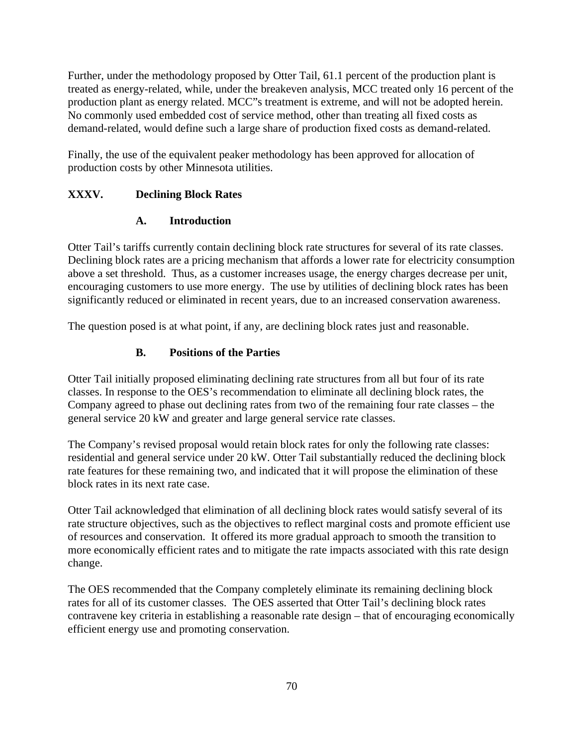Further, under the methodology proposed by Otter Tail, 61.1 percent of the production plant is treated as energy-related, while, under the breakeven analysis, MCC treated only 16 percent of the production plant as energy related. MCC"s treatment is extreme, and will not be adopted herein. No commonly used embedded cost of service method, other than treating all fixed costs as demand-related, would define such a large share of production fixed costs as demand-related.

Finally, the use of the equivalent peaker methodology has been approved for allocation of production costs by other Minnesota utilities.

# **XXXV. Declining Block Rates**

## **A. Introduction**

Otter Tail's tariffs currently contain declining block rate structures for several of its rate classes. Declining block rates are a pricing mechanism that affords a lower rate for electricity consumption above a set threshold. Thus, as a customer increases usage, the energy charges decrease per unit, encouraging customers to use more energy. The use by utilities of declining block rates has been significantly reduced or eliminated in recent years, due to an increased conservation awareness.

The question posed is at what point, if any, are declining block rates just and reasonable.

# **B. Positions of the Parties**

Otter Tail initially proposed eliminating declining rate structures from all but four of its rate classes. In response to the OES's recommendation to eliminate all declining block rates, the Company agreed to phase out declining rates from two of the remaining four rate classes – the general service 20 kW and greater and large general service rate classes.

The Company's revised proposal would retain block rates for only the following rate classes: residential and general service under 20 kW. Otter Tail substantially reduced the declining block rate features for these remaining two, and indicated that it will propose the elimination of these block rates in its next rate case.

Otter Tail acknowledged that elimination of all declining block rates would satisfy several of its rate structure objectives, such as the objectives to reflect marginal costs and promote efficient use of resources and conservation. It offered its more gradual approach to smooth the transition to more economically efficient rates and to mitigate the rate impacts associated with this rate design change.

The OES recommended that the Company completely eliminate its remaining declining block rates for all of its customer classes. The OES asserted that Otter Tail's declining block rates contravene key criteria in establishing a reasonable rate design – that of encouraging economically efficient energy use and promoting conservation.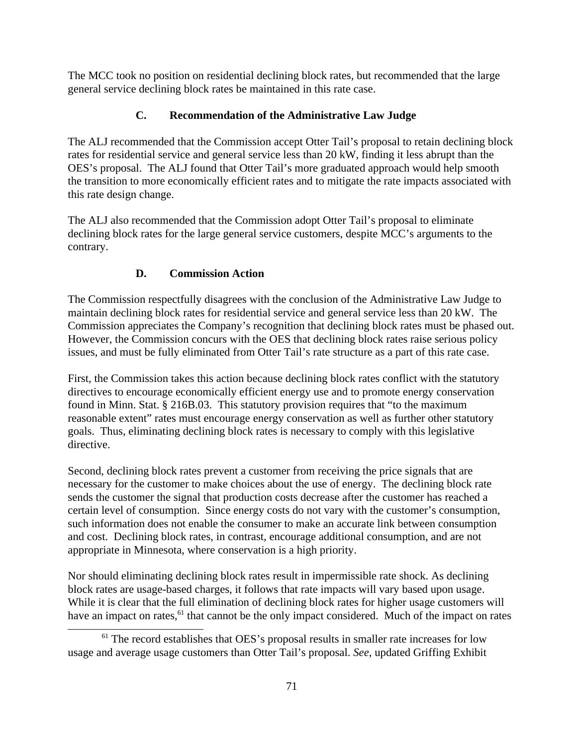The MCC took no position on residential declining block rates, but recommended that the large general service declining block rates be maintained in this rate case.

## **C. Recommendation of the Administrative Law Judge**

The ALJ recommended that the Commission accept Otter Tail's proposal to retain declining block rates for residential service and general service less than 20 kW, finding it less abrupt than the OES's proposal. The ALJ found that Otter Tail's more graduated approach would help smooth the transition to more economically efficient rates and to mitigate the rate impacts associated with this rate design change.

The ALJ also recommended that the Commission adopt Otter Tail's proposal to eliminate declining block rates for the large general service customers, despite MCC's arguments to the contrary.

## **D. Commission Action**

The Commission respectfully disagrees with the conclusion of the Administrative Law Judge to maintain declining block rates for residential service and general service less than 20 kW. The Commission appreciates the Company's recognition that declining block rates must be phased out. However, the Commission concurs with the OES that declining block rates raise serious policy issues, and must be fully eliminated from Otter Tail's rate structure as a part of this rate case.

First, the Commission takes this action because declining block rates conflict with the statutory directives to encourage economically efficient energy use and to promote energy conservation found in Minn. Stat. § 216B.03. This statutory provision requires that "to the maximum reasonable extent" rates must encourage energy conservation as well as further other statutory goals. Thus, eliminating declining block rates is necessary to comply with this legislative directive.

Second, declining block rates prevent a customer from receiving the price signals that are necessary for the customer to make choices about the use of energy. The declining block rate sends the customer the signal that production costs decrease after the customer has reached a certain level of consumption. Since energy costs do not vary with the customer's consumption, such information does not enable the consumer to make an accurate link between consumption and cost. Declining block rates, in contrast, encourage additional consumption, and are not appropriate in Minnesota, where conservation is a high priority.

Nor should eliminating declining block rates result in impermissible rate shock. As declining block rates are usage-based charges, it follows that rate impacts will vary based upon usage. While it is clear that the full elimination of declining block rates for higher usage customers will have an impact on rates,<sup>61</sup> that cannot be the only impact considered. Much of the impact on rates

<sup>&</sup>lt;sup>61</sup> The record establishes that OES's proposal results in smaller rate increases for low usage and average usage customers than Otter Tail's proposal. *See*, updated Griffing Exhibit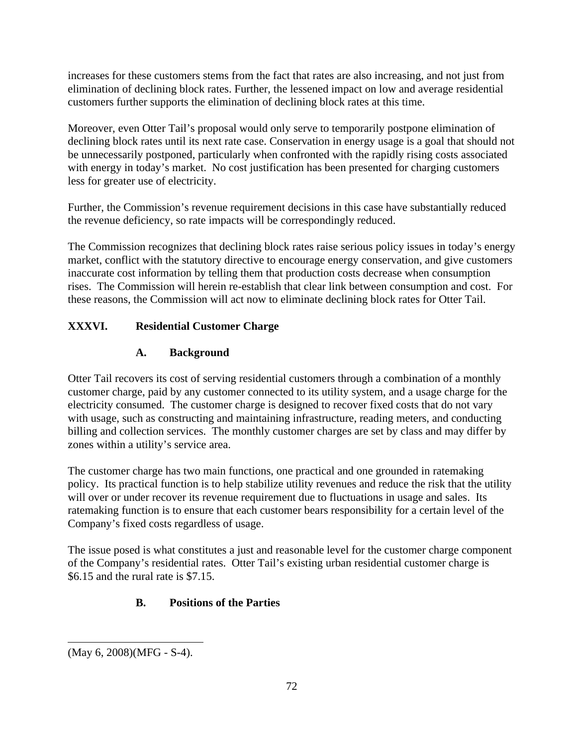increases for these customers stems from the fact that rates are also increasing, and not just from elimination of declining block rates. Further, the lessened impact on low and average residential customers further supports the elimination of declining block rates at this time.

Moreover, even Otter Tail's proposal would only serve to temporarily postpone elimination of declining block rates until its next rate case. Conservation in energy usage is a goal that should not be unnecessarily postponed, particularly when confronted with the rapidly rising costs associated with energy in today's market. No cost justification has been presented for charging customers less for greater use of electricity.

Further, the Commission's revenue requirement decisions in this case have substantially reduced the revenue deficiency, so rate impacts will be correspondingly reduced.

The Commission recognizes that declining block rates raise serious policy issues in today's energy market, conflict with the statutory directive to encourage energy conservation, and give customers inaccurate cost information by telling them that production costs decrease when consumption rises. The Commission will herein re-establish that clear link between consumption and cost. For these reasons, the Commission will act now to eliminate declining block rates for Otter Tail.

## **XXXVI. Residential Customer Charge**

## **A. Background**

Otter Tail recovers its cost of serving residential customers through a combination of a monthly customer charge, paid by any customer connected to its utility system, and a usage charge for the electricity consumed. The customer charge is designed to recover fixed costs that do not vary with usage, such as constructing and maintaining infrastructure, reading meters, and conducting billing and collection services. The monthly customer charges are set by class and may differ by zones within a utility's service area.

The customer charge has two main functions, one practical and one grounded in ratemaking policy. Its practical function is to help stabilize utility revenues and reduce the risk that the utility will over or under recover its revenue requirement due to fluctuations in usage and sales. Its ratemaking function is to ensure that each customer bears responsibility for a certain level of the Company's fixed costs regardless of usage.

The issue posed is what constitutes a just and reasonable level for the customer charge component of the Company's residential rates. Otter Tail's existing urban residential customer charge is \$6.15 and the rural rate is \$7.15.

## **B. Positions of the Parties**

<sup>(</sup>May 6, 2008)(MFG - S-4).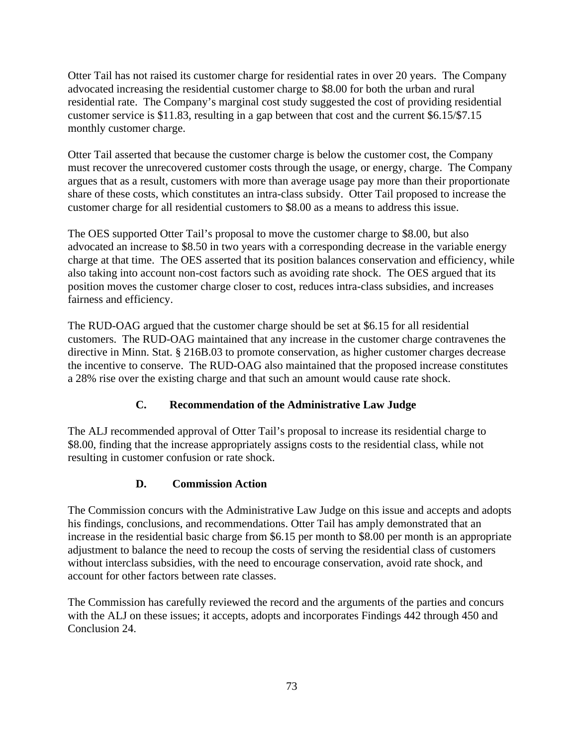Otter Tail has not raised its customer charge for residential rates in over 20 years. The Company advocated increasing the residential customer charge to \$8.00 for both the urban and rural residential rate. The Company's marginal cost study suggested the cost of providing residential customer service is \$11.83, resulting in a gap between that cost and the current \$6.15/\$7.15 monthly customer charge.

Otter Tail asserted that because the customer charge is below the customer cost, the Company must recover the unrecovered customer costs through the usage, or energy, charge. The Company argues that as a result, customers with more than average usage pay more than their proportionate share of these costs, which constitutes an intra-class subsidy. Otter Tail proposed to increase the customer charge for all residential customers to \$8.00 as a means to address this issue.

The OES supported Otter Tail's proposal to move the customer charge to \$8.00, but also advocated an increase to \$8.50 in two years with a corresponding decrease in the variable energy charge at that time. The OES asserted that its position balances conservation and efficiency, while also taking into account non-cost factors such as avoiding rate shock. The OES argued that its position moves the customer charge closer to cost, reduces intra-class subsidies, and increases fairness and efficiency.

The RUD-OAG argued that the customer charge should be set at \$6.15 for all residential customers. The RUD-OAG maintained that any increase in the customer charge contravenes the directive in Minn. Stat. § 216B.03 to promote conservation, as higher customer charges decrease the incentive to conserve. The RUD-OAG also maintained that the proposed increase constitutes a 28% rise over the existing charge and that such an amount would cause rate shock.

## **C. Recommendation of the Administrative Law Judge**

The ALJ recommended approval of Otter Tail's proposal to increase its residential charge to \$8.00, finding that the increase appropriately assigns costs to the residential class, while not resulting in customer confusion or rate shock.

## **D. Commission Action**

The Commission concurs with the Administrative Law Judge on this issue and accepts and adopts his findings, conclusions, and recommendations. Otter Tail has amply demonstrated that an increase in the residential basic charge from \$6.15 per month to \$8.00 per month is an appropriate adjustment to balance the need to recoup the costs of serving the residential class of customers without interclass subsidies, with the need to encourage conservation, avoid rate shock, and account for other factors between rate classes.

The Commission has carefully reviewed the record and the arguments of the parties and concurs with the ALJ on these issues; it accepts, adopts and incorporates Findings 442 through 450 and Conclusion 24.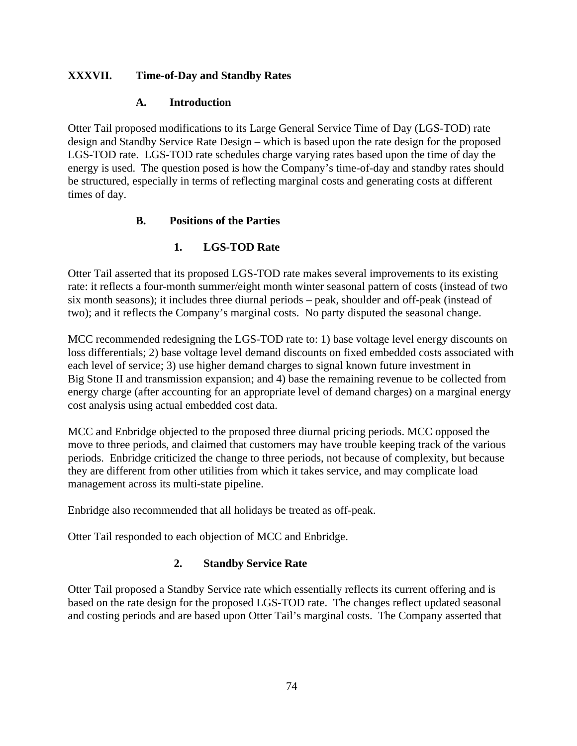## **XXXVII. Time-of-Day and Standby Rates**

## **A. Introduction**

Otter Tail proposed modifications to its Large General Service Time of Day (LGS-TOD) rate design and Standby Service Rate Design – which is based upon the rate design for the proposed LGS-TOD rate. LGS-TOD rate schedules charge varying rates based upon the time of day the energy is used. The question posed is how the Company's time-of-day and standby rates should be structured, especially in terms of reflecting marginal costs and generating costs at different times of day.

## **B. Positions of the Parties**

## **1. LGS-TOD Rate**

Otter Tail asserted that its proposed LGS-TOD rate makes several improvements to its existing rate: it reflects a four-month summer/eight month winter seasonal pattern of costs (instead of two six month seasons); it includes three diurnal periods – peak, shoulder and off-peak (instead of two); and it reflects the Company's marginal costs. No party disputed the seasonal change.

MCC recommended redesigning the LGS-TOD rate to: 1) base voltage level energy discounts on loss differentials; 2) base voltage level demand discounts on fixed embedded costs associated with each level of service; 3) use higher demand charges to signal known future investment in Big Stone II and transmission expansion; and 4) base the remaining revenue to be collected from energy charge (after accounting for an appropriate level of demand charges) on a marginal energy cost analysis using actual embedded cost data.

MCC and Enbridge objected to the proposed three diurnal pricing periods. MCC opposed the move to three periods, and claimed that customers may have trouble keeping track of the various periods. Enbridge criticized the change to three periods, not because of complexity, but because they are different from other utilities from which it takes service, and may complicate load management across its multi-state pipeline.

Enbridge also recommended that all holidays be treated as off-peak.

Otter Tail responded to each objection of MCC and Enbridge.

## **2. Standby Service Rate**

Otter Tail proposed a Standby Service rate which essentially reflects its current offering and is based on the rate design for the proposed LGS-TOD rate. The changes reflect updated seasonal and costing periods and are based upon Otter Tail's marginal costs. The Company asserted that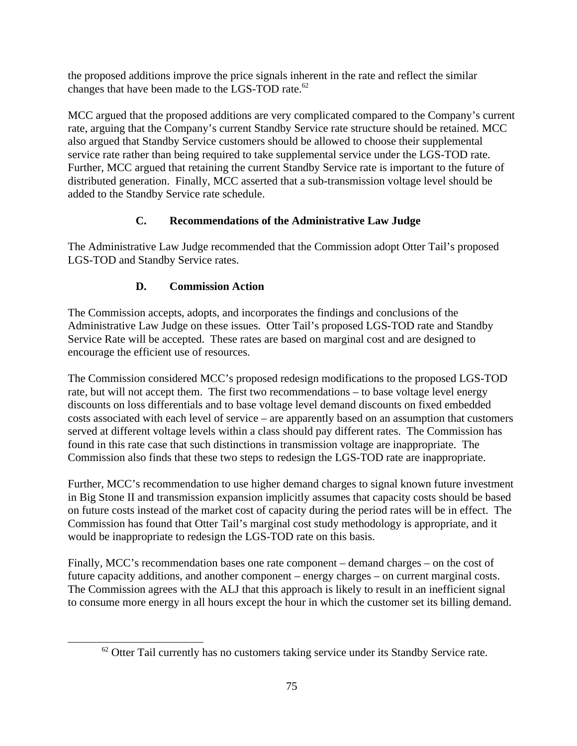the proposed additions improve the price signals inherent in the rate and reflect the similar changes that have been made to the LGS-TOD rate.<sup>62</sup>

MCC argued that the proposed additions are very complicated compared to the Company's current rate, arguing that the Company's current Standby Service rate structure should be retained. MCC also argued that Standby Service customers should be allowed to choose their supplemental service rate rather than being required to take supplemental service under the LGS-TOD rate. Further, MCC argued that retaining the current Standby Service rate is important to the future of distributed generation. Finally, MCC asserted that a sub-transmission voltage level should be added to the Standby Service rate schedule.

## **C. Recommendations of the Administrative Law Judge**

The Administrative Law Judge recommended that the Commission adopt Otter Tail's proposed LGS-TOD and Standby Service rates.

## **D. Commission Action**

The Commission accepts, adopts, and incorporates the findings and conclusions of the Administrative Law Judge on these issues. Otter Tail's proposed LGS-TOD rate and Standby Service Rate will be accepted. These rates are based on marginal cost and are designed to encourage the efficient use of resources.

The Commission considered MCC's proposed redesign modifications to the proposed LGS-TOD rate, but will not accept them. The first two recommendations – to base voltage level energy discounts on loss differentials and to base voltage level demand discounts on fixed embedded costs associated with each level of service – are apparently based on an assumption that customers served at different voltage levels within a class should pay different rates. The Commission has found in this rate case that such distinctions in transmission voltage are inappropriate. The Commission also finds that these two steps to redesign the LGS-TOD rate are inappropriate.

Further, MCC's recommendation to use higher demand charges to signal known future investment in Big Stone II and transmission expansion implicitly assumes that capacity costs should be based on future costs instead of the market cost of capacity during the period rates will be in effect. The Commission has found that Otter Tail's marginal cost study methodology is appropriate, and it would be inappropriate to redesign the LGS-TOD rate on this basis.

Finally, MCC's recommendation bases one rate component – demand charges – on the cost of future capacity additions, and another component – energy charges – on current marginal costs. The Commission agrees with the ALJ that this approach is likely to result in an inefficient signal to consume more energy in all hours except the hour in which the customer set its billing demand.

 $62$  Otter Tail currently has no customers taking service under its Standby Service rate.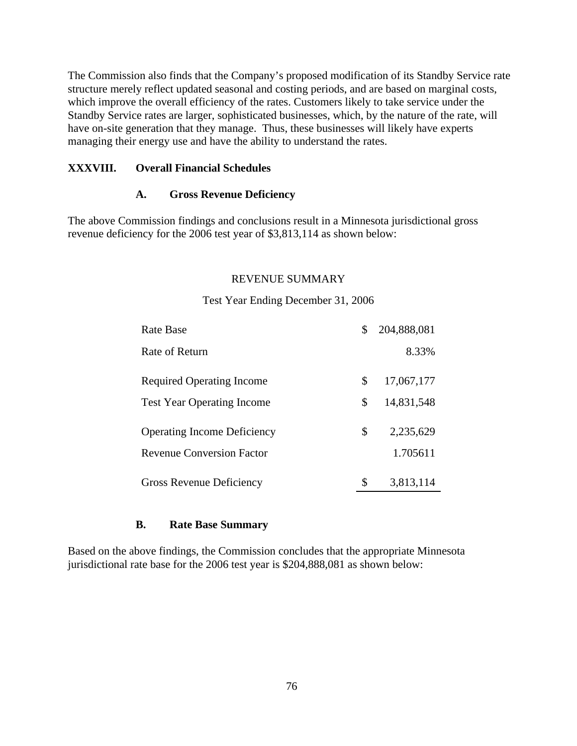The Commission also finds that the Company's proposed modification of its Standby Service rate structure merely reflect updated seasonal and costing periods, and are based on marginal costs, which improve the overall efficiency of the rates. Customers likely to take service under the Standby Service rates are larger, sophisticated businesses, which, by the nature of the rate, will have on-site generation that they manage. Thus, these businesses will likely have experts managing their energy use and have the ability to understand the rates.

#### **XXXVIII. Overall Financial Schedules**

#### **A. Gross Revenue Deficiency**

The above Commission findings and conclusions result in a Minnesota jurisdictional gross revenue deficiency for the 2006 test year of \$3,813,114 as shown below:

### REVENUE SUMMARY

# Rate Base \$ 204,888,081 Rate of Return 8.33% Required Operating Income  $\qquad \qquad$  \$ 17,067,177 Test Year Operating Income  $\qquad \qquad$  \$ 14,831,548 Operating Income Deficiency \$ 2,235,629 Revenue Conversion Factor 1.705611 Gross Revenue Deficiency  $\qquad \qquad$  \$ 3,813,114

#### Test Year Ending December 31, 2006

#### **B. Rate Base Summary**

Based on the above findings, the Commission concludes that the appropriate Minnesota jurisdictional rate base for the 2006 test year is \$204,888,081 as shown below: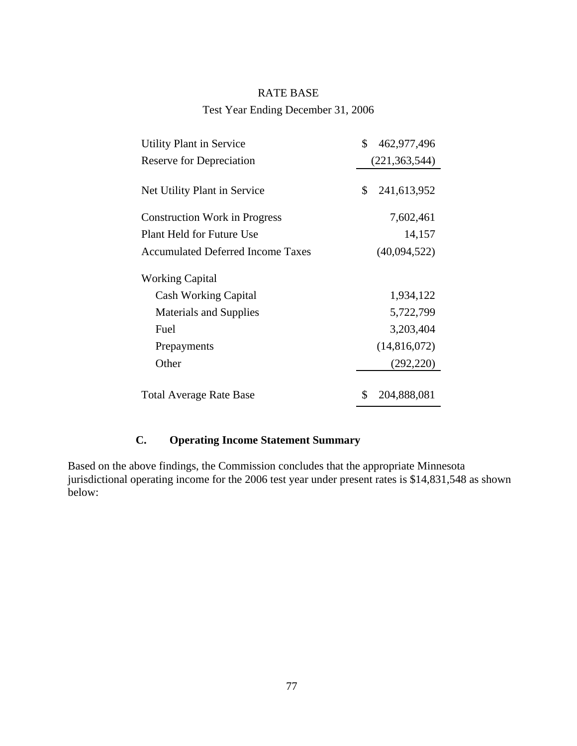#### RATE BASE

Test Year Ending December 31, 2006

| (221, 363, 544)<br>\$241,613,952<br>7,602,461<br>14,157<br>(40,094,522)<br>1,934,122<br>5,722,799<br>3,203,404<br>(14,816,072)<br>(292, 220) | <b>Utility Plant in Service</b>          | \$462,977,496  |
|----------------------------------------------------------------------------------------------------------------------------------------------|------------------------------------------|----------------|
|                                                                                                                                              | <b>Reserve for Depreciation</b>          |                |
|                                                                                                                                              | Net Utility Plant in Service             |                |
|                                                                                                                                              | <b>Construction Work in Progress</b>     |                |
|                                                                                                                                              | Plant Held for Future Use                |                |
|                                                                                                                                              | <b>Accumulated Deferred Income Taxes</b> |                |
|                                                                                                                                              | <b>Working Capital</b>                   |                |
|                                                                                                                                              | <b>Cash Working Capital</b>              |                |
|                                                                                                                                              | <b>Materials and Supplies</b>            |                |
|                                                                                                                                              | Fuel                                     |                |
|                                                                                                                                              | Prepayments                              |                |
|                                                                                                                                              | Other                                    |                |
|                                                                                                                                              | <b>Total Average Rate Base</b>           | \$ 204,888,081 |

# **C. Operating Income Statement Summary**

Based on the above findings, the Commission concludes that the appropriate Minnesota jurisdictional operating income for the 2006 test year under present rates is \$14,831,548 as shown below: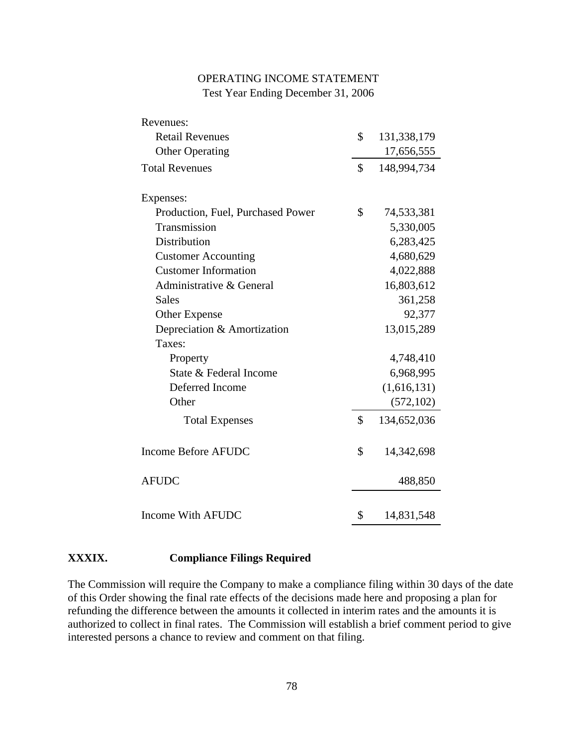## OPERATING INCOME STATEMENT Test Year Ending December 31, 2006

| Revenues:                         |                             |  |
|-----------------------------------|-----------------------------|--|
| <b>Retail Revenues</b>            | 131,338,179<br>$\mathbb{S}$ |  |
| <b>Other Operating</b>            | 17,656,555                  |  |
| <b>Total Revenues</b>             | 148,994,734<br>SS.          |  |
| Expenses:                         |                             |  |
| Production, Fuel, Purchased Power | 74,533,381<br><sup>S</sup>  |  |
| Transmission                      | 5,330,005                   |  |
| Distribution                      | 6,283,425                   |  |
| <b>Customer Accounting</b>        | 4,680,629                   |  |
| <b>Customer Information</b>       | 4,022,888                   |  |
| Administrative & General          | 16,803,612                  |  |
| Sales                             | 361,258                     |  |
| Other Expense                     | 92,377                      |  |
| Depreciation & Amortization       | 13,015,289                  |  |
| Taxes:                            |                             |  |
| Property                          | 4,748,410                   |  |
| State & Federal Income            | 6,968,995                   |  |
| Deferred Income                   | (1,616,131)                 |  |
| Other                             | (572, 102)                  |  |
| <b>Total Expenses</b>             | 134,652,036<br>$\mathbb{S}$ |  |
| Income Before AFUDC               | 14,342,698<br>$\mathbb{S}$  |  |
| ${\rm AFUDC}$                     | 488,850                     |  |
| Income With AFUDC                 | 14,831,548<br><sup>S</sup>  |  |

#### **XXXIX. Compliance Filings Required**

The Commission will require the Company to make a compliance filing within 30 days of the date of this Order showing the final rate effects of the decisions made here and proposing a plan for refunding the difference between the amounts it collected in interim rates and the amounts it is authorized to collect in final rates. The Commission will establish a brief comment period to give interested persons a chance to review and comment on that filing.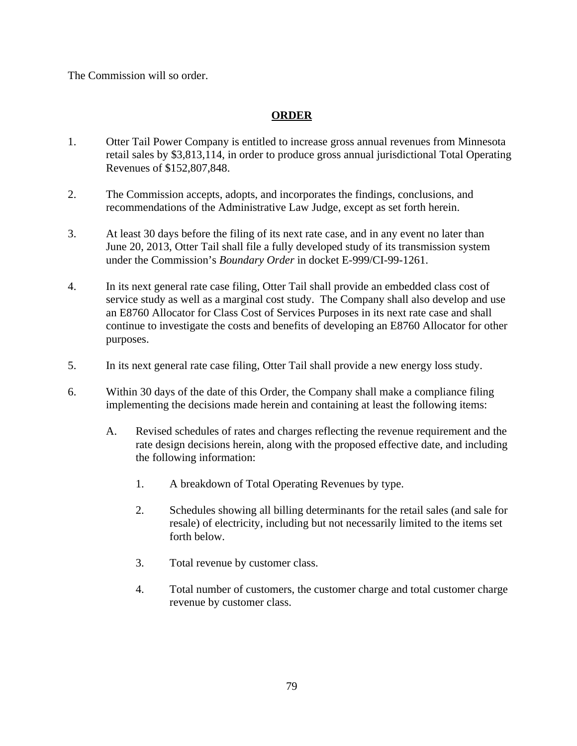The Commission will so order.

## **ORDER**

- 1. Otter Tail Power Company is entitled to increase gross annual revenues from Minnesota retail sales by \$3,813,114, in order to produce gross annual jurisdictional Total Operating Revenues of \$152,807,848.
- 2. The Commission accepts, adopts, and incorporates the findings, conclusions, and recommendations of the Administrative Law Judge, except as set forth herein.
- 3. At least 30 days before the filing of its next rate case, and in any event no later than June 20, 2013, Otter Tail shall file a fully developed study of its transmission system under the Commission's *Boundary Order* in docket E-999/CI-99-1261.
- 4. In its next general rate case filing, Otter Tail shall provide an embedded class cost of service study as well as a marginal cost study. The Company shall also develop and use an E8760 Allocator for Class Cost of Services Purposes in its next rate case and shall continue to investigate the costs and benefits of developing an E8760 Allocator for other purposes.
- 5. In its next general rate case filing, Otter Tail shall provide a new energy loss study.
- 6. Within 30 days of the date of this Order, the Company shall make a compliance filing implementing the decisions made herein and containing at least the following items:
	- A. Revised schedules of rates and charges reflecting the revenue requirement and the rate design decisions herein, along with the proposed effective date, and including the following information:
		- 1. A breakdown of Total Operating Revenues by type.
		- 2. Schedules showing all billing determinants for the retail sales (and sale for resale) of electricity, including but not necessarily limited to the items set forth below.
		- 3. Total revenue by customer class.
		- 4. Total number of customers, the customer charge and total customer charge revenue by customer class.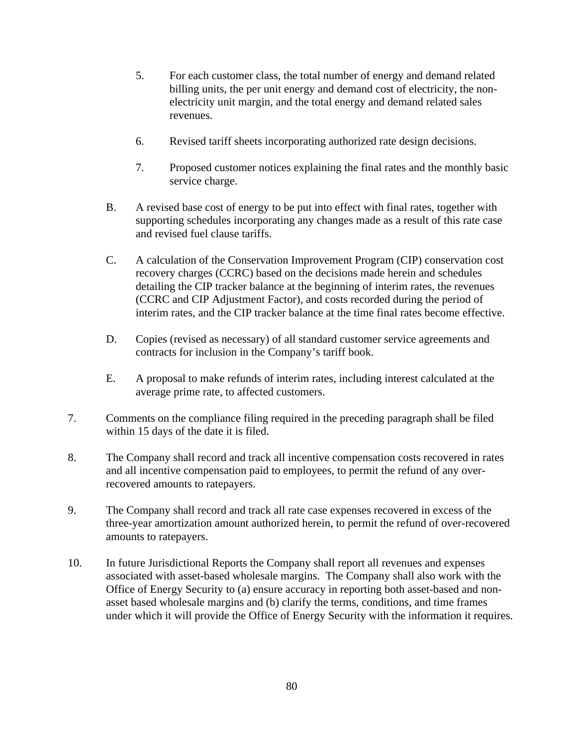- 5. For each customer class, the total number of energy and demand related billing units, the per unit energy and demand cost of electricity, the nonelectricity unit margin, and the total energy and demand related sales revenues.
- 6. Revised tariff sheets incorporating authorized rate design decisions.
- 7. Proposed customer notices explaining the final rates and the monthly basic service charge.
- B. A revised base cost of energy to be put into effect with final rates, together with supporting schedules incorporating any changes made as a result of this rate case and revised fuel clause tariffs.
- C. A calculation of the Conservation Improvement Program (CIP) conservation cost recovery charges (CCRC) based on the decisions made herein and schedules detailing the CIP tracker balance at the beginning of interim rates, the revenues (CCRC and CIP Adjustment Factor), and costs recorded during the period of interim rates, and the CIP tracker balance at the time final rates become effective.
- D. Copies (revised as necessary) of all standard customer service agreements and contracts for inclusion in the Company's tariff book.
- E. A proposal to make refunds of interim rates, including interest calculated at the average prime rate, to affected customers.
- 7. Comments on the compliance filing required in the preceding paragraph shall be filed within 15 days of the date it is filed.
- 8. The Company shall record and track all incentive compensation costs recovered in rates and all incentive compensation paid to employees, to permit the refund of any overrecovered amounts to ratepayers.
- 9. The Company shall record and track all rate case expenses recovered in excess of the three-year amortization amount authorized herein, to permit the refund of over-recovered amounts to ratepayers.
- 10. In future Jurisdictional Reports the Company shall report all revenues and expenses associated with asset-based wholesale margins. The Company shall also work with the Office of Energy Security to (a) ensure accuracy in reporting both asset-based and nonasset based wholesale margins and (b) clarify the terms, conditions, and time frames under which it will provide the Office of Energy Security with the information it requires.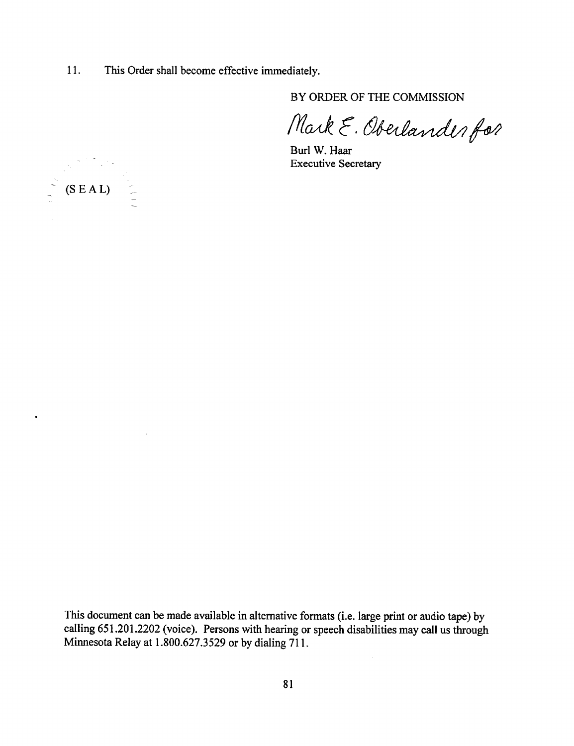11. This Order shall become effective immediately.

BY ORDER OF THE COMMISSION

Mark E. Oberlander for

Burl W. Haar Executive Secretary



 $\bar{z}$ 

 $\ddot{\phantom{0}}$ 

This document can be made available in alternative formats (i.e. large print or audio tape) by calling 651.201.2202 (voice). Persons with hearing or speech disabilities may call us through Minnesota Relay at 1.800.627.3529 or by dialing 711.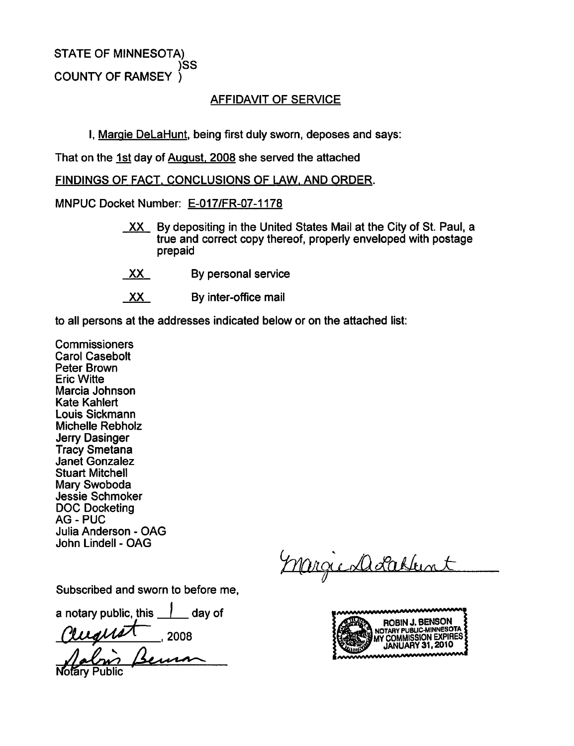STATE OF MINNESOTA) )SS COUNTY OF RAMSEY

### AFFIDAVIT OF SERVICE

I, Margie DeLaHunt. being first duly sworn, deposes and says:

That on the 1st day of August. 2008 she served the attached

FINDINGS OF FACT. CONCLUSIONS OF LAW. AND ORDER.

MNPUC Docket Number: E-017/FR-07-1178

- $XX$  By depositing in the United States Mail at the City of St. Paul, a true and correct copy thereof, properly enveloped with postage prepaid
- XX By personal service
- XX By inter-office mail

to all persons at the addresses indicated below or on the attached list:

**Commissioners** Carol Casebolt Peter Brown Eric Witte Marcia Johnson Kate Kahlert Louis Sickmann Michelle Rebholz Jerry Dasinger Tracy Smetana Janet Gonzalez Stuart Mitchell Mary Swoboda Jessie Schmoker DOC Docketing **AG - PUC** Julia Anderson - OAG John Lindell - OAG

Marge Dolchen

Subscribed and sworn to before me,

a notary public, this  $\Box$  day of

Cruquet

mmmmm ROBIN J. BENSON ;<br>NOTARY PUBLIC-MINNESOTA ; , 2008 JANUARY 31, 2010<br>Superintendent States (States January 31, 2010 MY COMMISSION EXPIRES

ibfary Public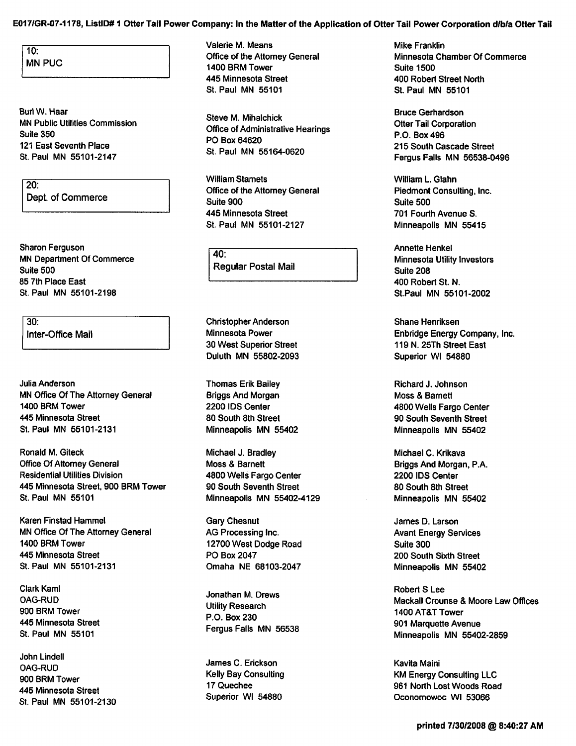#### E017/GR-07-1178, ListlD# 1 Otter Tail Power Company: In the Matter of the Application of Otter Tail Power Corporation d/b/a Otter Tail

 $10:$ **MN PUC** 

BurlW.Haar MN Public Utilities Commission Suite 350 121 East Seventh Place St. Paul MN 55101-2147

20: Dept. of Commerce

Sharon Ferguson MN Department Of Commerce Suite 500 85 7th Place East St. Paul MN 55101-2198

 $30<sub>1</sub>$ Inter-Office Mail

Julia Anderson MN Office Of The Attorney General 1400 BRM Tower 445 Minnesota Street St. Paul MN 55101-2131

Ronald M. Giteck Office Of Attorney General Residential Utilities Division 445 Minnesota Street, 900 BRM Tower St. Paul MN 55101

Karen Finstad Hammel MN Office Of The Attorney General 1400 BRM Tower 445 Minnesota Street St.Paul MN 55101-2131

Clark Kami OAG-RUD 900 BRM Tower 445 Minnesota Street St. Paul MN 55101

John Lindell OAG-RUD 900 BRM Tower 445 Minnesota Street St. Paul MN 55101-2130 Valerie M. Means Office of the Attorney General 1400 BRM Tower 445 Minnesota Street St. Paul MN 55101

Steve M. Mihalchick Office of Administrative Hearings PO Box 64620 St. Paul MN 55164-0620

William Stamets Office of the Attorney General Suite 900 445 Minnesota Street St. Paul MN 55101-2127

 $40:$ Regular Postal Mail

Christopher Anderson Minnesota Power 30 West Superior Street Duluth MN 55802-2093

Thomas Erik Bailey Briggs And Morgan 2200 IDS Center 80 South 8th Street Minneapolis MN 55402

Michael J. Bradley Moss & Barnett 4800 Wells Fargo Center 90 South Seventh Street Minneapolis MN 55402-4129

Gary Chesnut AG Processing Inc. 12700 West Dodge Road PO Box 2047 Omaha NE 68103-2047

Jonathan M. Drews Utility Research P.O. Box 230 Fergus Falls MN 56538

James C. Erickson Kelly Bay Consulting 17Quechee Superior Wl 54880

Mike Franklin Minnesota Chamber Of Commerce Suite 1500 400 Robert Street North St. Paul MN 55101

Bruce Gerhardson Otter Tail Corporation P.O. Box 496 215 South Cascade Street Fergus Falls MN 56538-0496

William L. Glahn Piedmont Consulting, Inc. Suite 500 701 Fourth Avenue S. Minneapolis MN 55415

Annette Henkel Minnesota Utility Investors Suite 208 400 Robert St. N. St.Paul MN 55101-2002

Shane Henriksen Enbridge Energy Company, Inc. 119 N.25Th Street East Superior Wl 54880

Richard J. Johnson Moss & Barnett 4800 Wells Fargo Center 90 South Seventh Street Minneapolis MN 55402

Michael C. Krikava Briggs And Morgan, P.A. 2200 IDS Center 80 South 8th Street Minneapolis MN 55402

James D. Larson Avant Energy Services Suite 300 200 South Sixth Street Minneapolis MN 55402

Robert S Lee Mackall Crounse & Moore Law Offices 1400 AT&T Tower 901 Marquette Avenue Minneapolis MN 55402-2859

Kavita Maini KM Energy Consulting LLC 961 North Lost Woods Road Oconomowoc Wl 53066